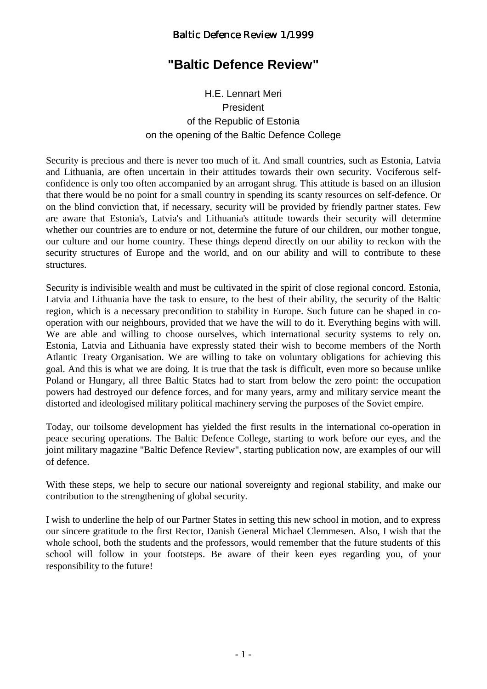# **"Baltic Defence Review"**

## H.E. Lennart Meri President of the Republic of Estonia on the opening of the Baltic Defence College

Security is precious and there is never too much of it. And small countries, such as Estonia, Latvia and Lithuania, are often uncertain in their attitudes towards their own security. Vociferous selfconfidence is only too often accompanied by an arrogant shrug. This attitude is based on an illusion that there would be no point for a small country in spending its scanty resources on self-defence. Or on the blind conviction that, if necessary, security will be provided by friendly partner states. Few are aware that Estonia's, Latvia's and Lithuania's attitude towards their security will determine whether our countries are to endure or not, determine the future of our children, our mother tongue, our culture and our home country. These things depend directly on our ability to reckon with the security structures of Europe and the world, and on our ability and will to contribute to these structures.

Security is indivisible wealth and must be cultivated in the spirit of close regional concord. Estonia, Latvia and Lithuania have the task to ensure, to the best of their ability, the security of the Baltic region, which is a necessary precondition to stability in Europe. Such future can be shaped in cooperation with our neighbours, provided that we have the will to do it. Everything begins with will. We are able and willing to choose ourselves, which international security systems to rely on. Estonia, Latvia and Lithuania have expressly stated their wish to become members of the North Atlantic Treaty Organisation. We are willing to take on voluntary obligations for achieving this goal. And this is what we are doing. It is true that the task is difficult, even more so because unlike Poland or Hungary, all three Baltic States had to start from below the zero point: the occupation powers had destroyed our defence forces, and for many years, army and military service meant the distorted and ideologised military political machinery serving the purposes of the Soviet empire.

Today, our toilsome development has yielded the first results in the international co-operation in peace securing operations. The Baltic Defence College, starting to work before our eyes, and the joint military magazine "Baltic Defence Review", starting publication now, are examples of our will of defence.

With these steps, we help to secure our national sovereignty and regional stability, and make our contribution to the strengthening of global security.

I wish to underline the help of our Partner States in setting this new school in motion, and to express our sincere gratitude to the first Rector, Danish General Michael Clemmesen. Also, I wish that the whole school, both the students and the professors, would remember that the future students of this school will follow in your footsteps. Be aware of their keen eyes regarding you, of your responsibility to the future!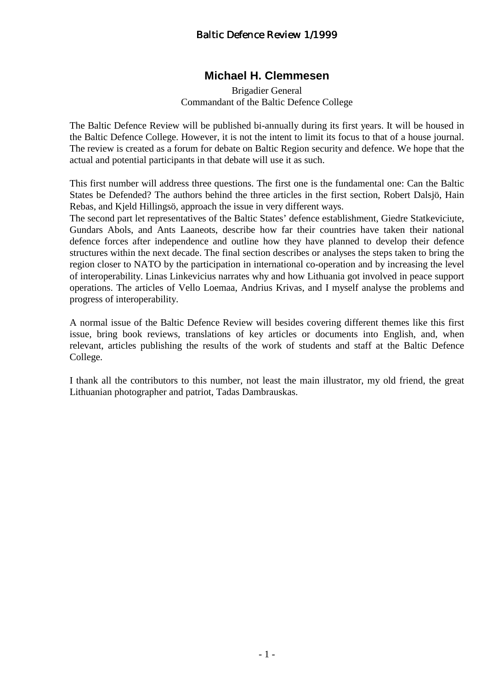## **Michael H. Clemmesen**

Brigadier General Commandant of the Baltic Defence College

The Baltic Defence Review will be published bi-annually during its first years. It will be housed in the Baltic Defence College. However, it is not the intent to limit its focus to that of a house journal. The review is created as a forum for debate on Baltic Region security and defence. We hope that the actual and potential participants in that debate will use it as such.

This first number will address three questions. The first one is the fundamental one: Can the Baltic States be Defended? The authors behind the three articles in the first section, Robert Dalsjö, Hain Rebas, and Kjeld Hillingsö, approach the issue in very different ways.

The second part let representatives of the Baltic States' defence establishment, Giedre Statkeviciute, Gundars Abols, and Ants Laaneots, describe how far their countries have taken their national defence forces after independence and outline how they have planned to develop their defence structures within the next decade. The final section describes or analyses the steps taken to bring the region closer to NATO by the participation in international co-operation and by increasing the level of interoperability. Linas Linkevicius narrates why and how Lithuania got involved in peace support operations. The articles of Vello Loemaa, Andrius Krivas, and I myself analyse the problems and progress of interoperability.

A normal issue of the Baltic Defence Review will besides covering different themes like this first issue, bring book reviews, translations of key articles or documents into English, and, when relevant, articles publishing the results of the work of students and staff at the Baltic Defence College.

I thank all the contributors to this number, not least the main illustrator, my old friend, the great Lithuanian photographer and patriot, Tadas Dambrauskas.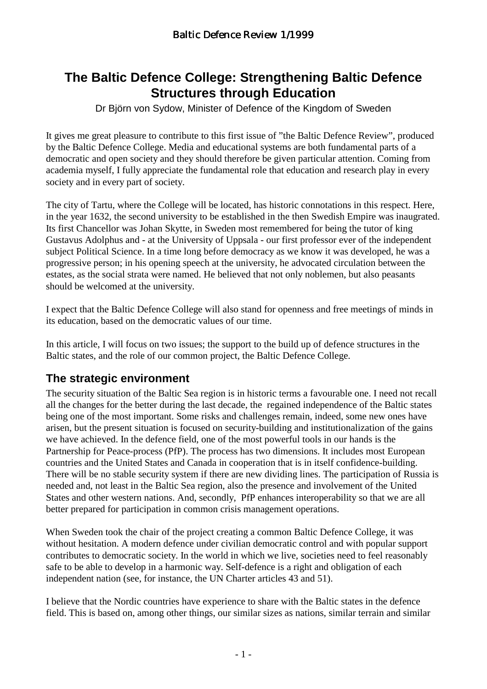# **The Baltic Defence College: Strengthening Baltic Defence Structures through Education**

Dr Björn von Sydow, Minister of Defence of the Kingdom of Sweden

It gives me great pleasure to contribute to this first issue of "the Baltic Defence Review", produced by the Baltic Defence College. Media and educational systems are both fundamental parts of a democratic and open society and they should therefore be given particular attention. Coming from academia myself, I fully appreciate the fundamental role that education and research play in every society and in every part of society.

The city of Tartu, where the College will be located, has historic connotations in this respect. Here, in the year 1632, the second university to be established in the then Swedish Empire was inaugrated. Its first Chancellor was Johan Skytte, in Sweden most remembered for being the tutor of king Gustavus Adolphus and - at the University of Uppsala - our first professor ever of the independent subject Political Science. In a time long before democracy as we know it was developed, he was a progressive person; in his opening speech at the university, he advocated circulation between the estates, as the social strata were named. He believed that not only noblemen, but also peasants should be welcomed at the university.

I expect that the Baltic Defence College will also stand for openness and free meetings of minds in its education, based on the democratic values of our time.

In this article, I will focus on two issues; the support to the build up of defence structures in the Baltic states, and the role of our common project, the Baltic Defence College.

## **The strategic environment**

The security situation of the Baltic Sea region is in historic terms a favourable one. I need not recall all the changes for the better during the last decade, the regained independence of the Baltic states being one of the most important. Some risks and challenges remain, indeed, some new ones have arisen, but the present situation is focused on security-building and institutionalization of the gains we have achieved. In the defence field, one of the most powerful tools in our hands is the Partnership for Peace-process (PfP). The process has two dimensions. It includes most European countries and the United States and Canada in cooperation that is in itself confidence-building. There will be no stable security system if there are new dividing lines. The participation of Russia is needed and, not least in the Baltic Sea region, also the presence and involvement of the United States and other western nations. And, secondly, PfP enhances interoperability so that we are all better prepared for participation in common crisis management operations.

When Sweden took the chair of the project creating a common Baltic Defence College, it was without hesitation. A modern defence under civilian democratic control and with popular support contributes to democratic society. In the world in which we live, societies need to feel reasonably safe to be able to develop in a harmonic way. Self-defence is a right and obligation of each independent nation (see, for instance, the UN Charter articles 43 and 51).

I believe that the Nordic countries have experience to share with the Baltic states in the defence field. This is based on, among other things, our similar sizes as nations, similar terrain and similar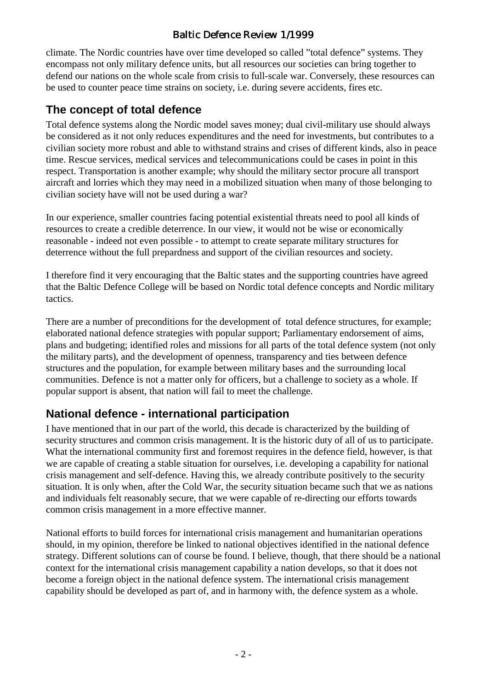climate. The Nordic countries have over time developed so called "total defence" systems. They encompass not only military defence units, but all resources our societies can bring together to defend our nations on the whole scale from crisis to full-scale war. Conversely, these resources can be used to counter peace time strains on society, i.e. during severe accidents, fires etc.

# **The concept of total defence**

Total defence systems along the Nordic model saves money; dual civil-military use should always be considered as it not only reduces expenditures and the need for investments, but contributes to a civilian society more robust and able to withstand strains and crises of different kinds, also in peace time. Rescue services, medical services and telecommunications could be cases in point in this respect. Transportation is another example; why should the military sector procure all transport aircraft and lorries which they may need in a mobilized situation when many of those belonging to civilian society have will not be used during a war?

In our experience, smaller countries facing potential existential threats need to pool all kinds of resources to create a credible deterrence. In our view, it would not be wise or economically reasonable - indeed not even possible - to attempt to create separate military structures for deterrence without the full prepardness and support of the civilian resources and society.

I therefore find it very encouraging that the Baltic states and the supporting countries have agreed that the Baltic Defence College will be based on Nordic total defence concepts and Nordic military tactics.

There are a number of preconditions for the development of total defence structures, for example; elaborated national defence strategies with popular support; Parliamentary endorsement of aims, plans and budgeting; identified roles and missions for all parts of the total defence system (not only the military parts), and the development of openness, transparency and ties between defence structures and the population, for example between military bases and the surrounding local communities. Defence is not a matter only for officers, but a challenge to society as a whole. If popular support is absent, that nation will fail to meet the challenge.

## **National defence - international participation**

I have mentioned that in our part of the world, this decade is characterized by the building of security structures and common crisis management. It is the historic duty of all of us to participate. What the international community first and foremost requires in the defence field, however, is that we are capable of creating a stable situation for ourselves, i.e. developing a capability for national crisis management and self-defence. Having this, we already contribute positively to the security situation. It is only when, after the Cold War, the security situation became such that we as nations and individuals felt reasonably secure, that we were capable of re-directing our efforts towards common crisis management in a more effective manner.

National efforts to build forces for international crisis management and humanitarian operations should, in my opinion, therefore be linked to national objectives identified in the national defence strategy. Different solutions can of course be found. I believe, though, that there should be a national context for the international crisis management capability a nation develops, so that it does not become a foreign object in the national defence system. The international crisis management capability should be developed as part of, and in harmony with, the defence system as a whole.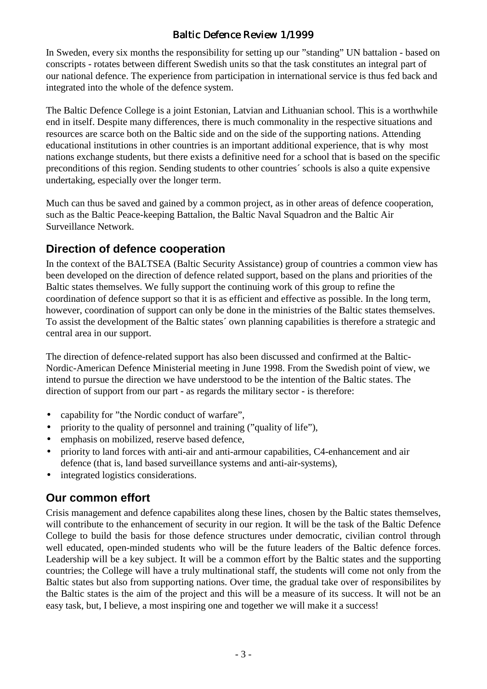In Sweden, every six months the responsibility for setting up our "standing" UN battalion - based on conscripts - rotates between different Swedish units so that the task constitutes an integral part of our national defence. The experience from participation in international service is thus fed back and integrated into the whole of the defence system.

The Baltic Defence College is a joint Estonian, Latvian and Lithuanian school. This is a worthwhile end in itself. Despite many differences, there is much commonality in the respective situations and resources are scarce both on the Baltic side and on the side of the supporting nations. Attending educational institutions in other countries is an important additional experience, that is why most nations exchange students, but there exists a definitive need for a school that is based on the specific preconditions of this region. Sending students to other countries´ schools is also a quite expensive undertaking, especially over the longer term.

Much can thus be saved and gained by a common project, as in other areas of defence cooperation, such as the Baltic Peace-keeping Battalion, the Baltic Naval Squadron and the Baltic Air Surveillance Network.

## **Direction of defence cooperation**

In the context of the BALTSEA (Baltic Security Assistance) group of countries a common view has been developed on the direction of defence related support, based on the plans and priorities of the Baltic states themselves. We fully support the continuing work of this group to refine the coordination of defence support so that it is as efficient and effective as possible. In the long term, however, coordination of support can only be done in the ministries of the Baltic states themselves. To assist the development of the Baltic states´ own planning capabilities is therefore a strategic and central area in our support.

The direction of defence-related support has also been discussed and confirmed at the Baltic-Nordic-American Defence Ministerial meeting in June 1998. From the Swedish point of view, we intend to pursue the direction we have understood to be the intention of the Baltic states. The direction of support from our part - as regards the military sector - is therefore:

- capability for "the Nordic conduct of warfare",
- priority to the quality of personnel and training ("quality of life"),
- emphasis on mobilized, reserve based defence,
- priority to land forces with anti-air and anti-armour capabilities, C4-enhancement and air defence (that is, land based surveillance systems and anti-air-systems),
- integrated logistics considerations.

## **Our common effort**

Crisis management and defence capabilites along these lines, chosen by the Baltic states themselves, will contribute to the enhancement of security in our region. It will be the task of the Baltic Defence College to build the basis for those defence structures under democratic, civilian control through well educated, open-minded students who will be the future leaders of the Baltic defence forces. Leadership will be a key subject. It will be a common effort by the Baltic states and the supporting countries; the College will have a truly multinational staff, the students will come not only from the Baltic states but also from supporting nations. Over time, the gradual take over of responsibilites by the Baltic states is the aim of the project and this will be a measure of its success. It will not be an easy task, but, I believe, a most inspiring one and together we will make it a success!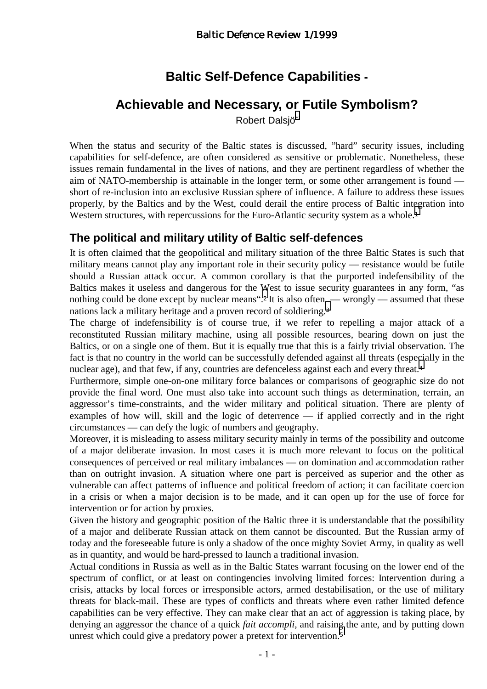# **Baltic Self-Defence Capabilities -**

## **Achievable and Necessary, or Futile Symbolism?** Robert Dalsjö[\\*](#page-9-0)

When the status and security of the Baltic states is discussed, "hard" security issues, including capabilities for self-defence, are often considered as sensitive or problematic. Nonetheless, these issues remain fundamental in the lives of nations, and they are pertinent regardless of whether the aim of NATO-membership is attainable in the longer term, or some other arrangement is found short of re-inclusion into an exclusive Russian sphere of influence. A failure to address these issues properly, by the Baltics and by the West, could derail the entire process of Baltic int[eg](#page-9-0)ration into Western structures, with repercussions for the Euro-Atlantic security system as a whole.<sup>1</sup>

### **The political and military utility of Baltic self-defences**

It is often claimed that the geopolitical and military situation of the three Baltic States is such that military means cannot play any important role in their security policy — resistance would be futile should a Russian attack occur. A common corollary is that the purported indefensibility of the Baltics makes it useless and dangerous for the [W](#page-9-0)est to issue security guarantees in any form, "as nothing could be done except by nuclear means".2 It is also often [—](#page-9-0) wrongly — assumed that these nations lack a military heritage and a proven record of soldiering.<sup>3</sup>

The charge of indefensibility is of course true, if we refer to repelling a major attack of a reconstituted Russian military machine, using all possible resources, bearing down on just the Baltics, or on a single one of them. But it is equally true that this is a fairly trivial observation. The fact is that no country in the world can be successfully defended against all threats (espe[ci](#page-9-0)ally in the nuclear age), and that few, if any, countries are defenceless against each and every threat.<sup>4</sup>

Furthermore, simple one-on-one military force balances or comparisons of geographic size do not provide the final word. One must also take into account such things as determination, terrain, an aggressor's time-constraints, and the wider military and political situation. There are plenty of examples of how will, skill and the logic of deterrence — if applied correctly and in the right circumstances — can defy the logic of numbers and geography.

Moreover, it is misleading to assess military security mainly in terms of the possibility and outcome of a major deliberate invasion. In most cases it is much more relevant to focus on the political consequences of perceived or real military imbalances — on domination and accommodation rather than on outright invasion. A situation where one part is perceived as superior and the other as vulnerable can affect patterns of influence and political freedom of action; it can facilitate coercion in a crisis or when a major decision is to be made, and it can open up for the use of force for intervention or for action by proxies.

Given the history and geographic position of the Baltic three it is understandable that the possibility of a major and deliberate Russian attack on them cannot be discounted. But the Russian army of today and the foreseeable future is only a shadow of the once mighty Soviet Army, in quality as well as in quantity, and would be hard-pressed to launch a traditional invasion.

Actual conditions in Russia as well as in the Baltic States warrant focusing on the lower end of the spectrum of conflict, or at least on contingencies involving limited forces: Intervention during a crisis, attacks by local forces or irresponsible actors, armed destabilisation, or the use of military threats for black-mail. These are types of conflicts and threats where even rather limited defence capabilities can be very effective. They can make clear that an act of aggression is taking place, by denying an aggressor the chance of a quick *fait accompli,* and raisin[g](#page-9-0) the ante, and by putting down unrest which could give a predatory power a pretext for intervention.5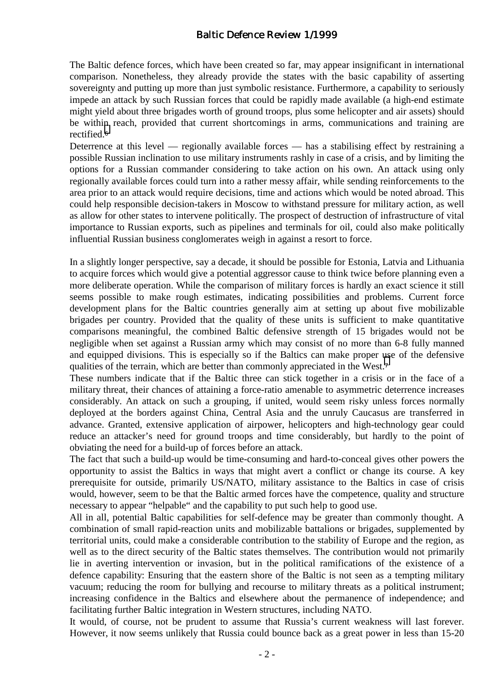The Baltic defence forces, which have been created so far, may appear insignificant in international comparison. Nonetheless, they already provide the states with the basic capability of asserting sovereignty and putting up more than just symbolic resistance. Furthermore, a capability to seriously impede an attack by such Russian forces that could be rapidly made available (a high-end estimate might yield about three brigades worth of ground troops, plus some helicopter and air assets) should be withi[n](#page-9-0) reach, provided that current shortcomings in arms, communications and training are rectified.<sup>6</sup>

Deterrence at this level — regionally available forces — has a stabilising effect by restraining a possible Russian inclination to use military instruments rashly in case of a crisis, and by limiting the options for a Russian commander considering to take action on his own. An attack using only regionally available forces could turn into a rather messy affair, while sending reinforcements to the area prior to an attack would require decisions, time and actions which would be noted abroad. This could help responsible decision-takers in Moscow to withstand pressure for military action, as well as allow for other states to intervene politically. The prospect of destruction of infrastructure of vital importance to Russian exports, such as pipelines and terminals for oil, could also make politically influential Russian business conglomerates weigh in against a resort to force.

In a slightly longer perspective, say a decade, it should be possible for Estonia, Latvia and Lithuania to acquire forces which would give a potential aggressor cause to think twice before planning even a more deliberate operation. While the comparison of military forces is hardly an exact science it still seems possible to make rough estimates, indicating possibilities and problems. Current force development plans for the Baltic countries generally aim at setting up about five mobilizable brigades per country. Provided that the quality of these units is sufficient to make quantitative comparisons meaningful, the combined Baltic defensive strength of 15 brigades would not be negligible when set against a Russian army which may consist of no more than 6-8 fully manned and equipped divisions. This is especially so if the Baltics can make proper [us](#page-9-0)e of the defensive qualities of the terrain, which are better than commonly appreciated in the West.<sup>7</sup>

These numbers indicate that if the Baltic three can stick together in a crisis or in the face of a military threat, their chances of attaining a force-ratio amenable to asymmetric deterrence increases considerably. An attack on such a grouping, if united, would seem risky unless forces normally deployed at the borders against China, Central Asia and the unruly Caucasus are transferred in advance. Granted, extensive application of airpower, helicopters and high-technology gear could reduce an attacker's need for ground troops and time considerably, but hardly to the point of obviating the need for a build-up of forces before an attack.

The fact that such a build-up would be time-consuming and hard-to-conceal gives other powers the opportunity to assist the Baltics in ways that might avert a conflict or change its course. A key prerequisite for outside, primarily US/NATO, military assistance to the Baltics in case of crisis would, however, seem to be that the Baltic armed forces have the competence, quality and structure necessary to appear "helpable" and the capability to put such help to good use.

All in all, potential Baltic capabilities for self-defence may be greater than commonly thought. A combination of small rapid-reaction units and mobilizable battalions or brigades, supplemented by territorial units, could make a considerable contribution to the stability of Europe and the region, as well as to the direct security of the Baltic states themselves. The contribution would not primarily lie in averting intervention or invasion, but in the political ramifications of the existence of a defence capability: Ensuring that the eastern shore of the Baltic is not seen as a tempting military vacuum; reducing the room for bullying and recourse to military threats as a political instrument; increasing confidence in the Baltics and elsewhere about the permanence of independence; and facilitating further Baltic integration in Western structures, including NATO.

It would, of course, not be prudent to assume that Russia's current weakness will last forever. However, it now seems unlikely that Russia could bounce back as a great power in less than 15-20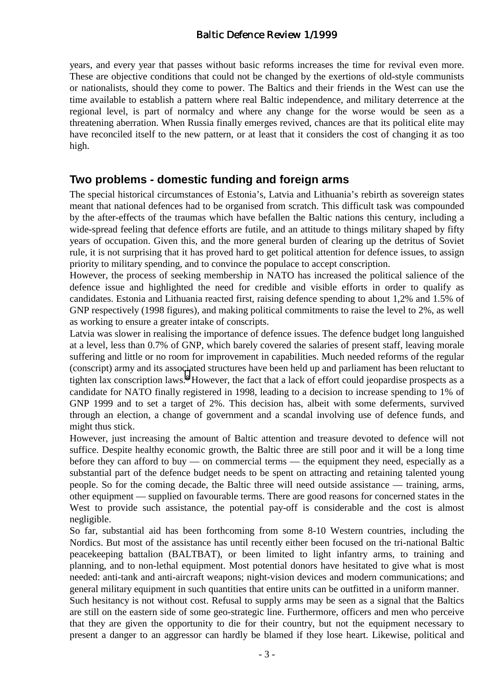years, and every year that passes without basic reforms increases the time for revival even more. These are objective conditions that could not be changed by the exertions of old-style communists or nationalists, should they come to power. The Baltics and their friends in the West can use the time available to establish a pattern where real Baltic independence, and military deterrence at the regional level, is part of normalcy and where any change for the worse would be seen as a threatening aberration. When Russia finally emerges revived, chances are that its political elite may have reconciled itself to the new pattern, or at least that it considers the cost of changing it as too high.

## **Two problems - domestic funding and foreign arms**

The special historical circumstances of Estonia's, Latvia and Lithuania's rebirth as sovereign states meant that national defences had to be organised from scratch. This difficult task was compounded by the after-effects of the traumas which have befallen the Baltic nations this century, including a wide-spread feeling that defence efforts are futile, and an attitude to things military shaped by fifty years of occupation. Given this, and the more general burden of clearing up the detritus of Soviet rule, it is not surprising that it has proved hard to get political attention for defence issues, to assign priority to military spending, and to convince the populace to accept conscription.

However, the process of seeking membership in NATO has increased the political salience of the defence issue and highlighted the need for credible and visible efforts in order to qualify as candidates. Estonia and Lithuania reacted first, raising defence spending to about 1,2% and 1.5% of GNP respectively (1998 figures), and making political commitments to raise the level to 2%, as well as working to ensure a greater intake of conscripts.

Latvia was slower in realising the importance of defence issues. The defence budget long languished at a level, less than 0.7% of GNP, which barely covered the salaries of present staff, leaving morale suffering and little or no room for improvement in capabilities. Much needed reforms of the regular (conscript) army and its asso[cia](#page-9-0)ted structures have been held up and parliament has been reluctant to tighten lax conscription laws.8 However, the fact that a lack of effort could jeopardise prospects as a candidate for NATO finally registered in 1998, leading to a decision to increase spending to 1% of GNP 1999 and to set a target of 2%. This decision has, albeit with some deferments, survived through an election, a change of government and a scandal involving use of defence funds, and might thus stick.

However, just increasing the amount of Baltic attention and treasure devoted to defence will not suffice. Despite healthy economic growth, the Baltic three are still poor and it will be a long time before they can afford to buy — on commercial terms — the equipment they need, especially as a substantial part of the defence budget needs to be spent on attracting and retaining talented young people. So for the coming decade, the Baltic three will need outside assistance — training, arms, other equipment — supplied on favourable terms. There are good reasons for concerned states in the West to provide such assistance, the potential pay-off is considerable and the cost is almost negligible.

So far, substantial aid has been forthcoming from some 8-10 Western countries, including the Nordics. But most of the assistance has until recently either been focused on the tri-national Baltic peacekeeping battalion (BALTBAT), or been limited to light infantry arms, to training and planning, and to non-lethal equipment. Most potential donors have hesitated to give what is most needed: anti-tank and anti-aircraft weapons; night-vision devices and modern communications; and general military equipment in such quantities that entire units can be outfitted in a uniform manner.

Such hesitancy is not without cost. Refusal to supply arms may be seen as a signal that the Baltics are still on the eastern side of some geo-strategic line. Furthermore, officers and men who perceive that they are given the opportunity to die for their country, but not the equipment necessary to present a danger to an aggressor can hardly be blamed if they lose heart. Likewise, political and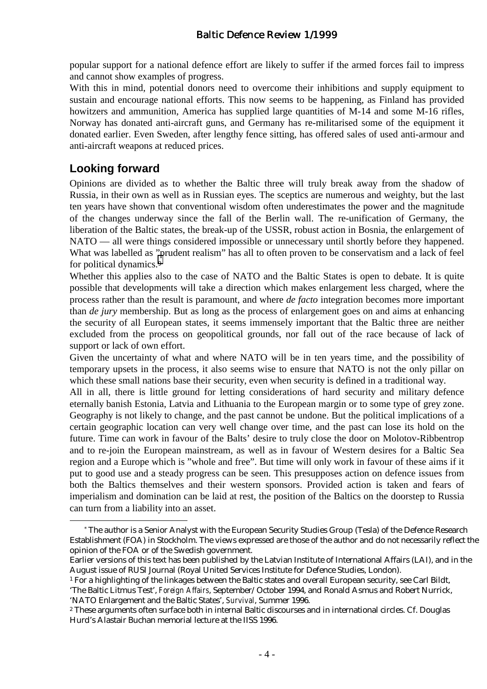popular support for a national defence effort are likely to suffer if the armed forces fail to impress and cannot show examples of progress.

With this in mind, potential donors need to overcome their inhibitions and supply equipment to sustain and encourage national efforts. This now seems to be happening, as Finland has provided howitzers and ammunition, America has supplied large quantities of M-14 and some M-16 rifles, Norway has donated anti-aircraft guns, and Germany has re-militarised some of the equipment it donated earlier. Even Sweden, after lengthy fence sitting, has offered sales of used anti-armour and anti-aircraft weapons at reduced prices.

## **Looking forward**

 $\overline{a}$ 

Opinions are divided as to whether the Baltic three will truly break away from the shadow of Russia, in their own as well as in Russian eyes. The sceptics are numerous and weighty, but the last ten years have shown that conventional wisdom often underestimates the power and the magnitude of the changes underway since the fall of the Berlin wall. The re-unification of Germany, the liberation of the Baltic states, the break-up of the USSR, robust action in Bosnia, the enlargement of NATO — all were things considered impossible or unnecessary until shortly before they happened. What was labelled as ["p](#page-9-0)rudent realism" has all to often proven to be conservatism and a lack of feel for political dynamics.<sup>9</sup>

Whether this applies also to the case of NATO and the Baltic States is open to debate. It is quite possible that developments will take a direction which makes enlargement less charged, where the process rather than the result is paramount, and where *de facto* integration becomes more important than *de jury* membership. But as long as the process of enlargement goes on and aims at enhancing the security of all European states, it seems immensely important that the Baltic three are neither excluded from the process on geopolitical grounds, nor fall out of the race because of lack of support or lack of own effort.

Given the uncertainty of what and where NATO will be in ten years time, and the possibility of temporary upsets in the process, it also seems wise to ensure that NATO is not the only pillar on which these small nations base their security, even when security is defined in a traditional way.

All in all, there is little ground for letting considerations of hard security and military defence eternally banish Estonia, Latvia and Lithuania to the European margin or to some type of grey zone. Geography is not likely to change, and the past cannot be undone. But the political implications of a certain geographic location can very well change over time, and the past can lose its hold on the future. Time can work in favour of the Balts' desire to truly close the door on Molotov-Ribbentrop and to re-join the European mainstream, as well as in favour of Western desires for a Baltic Sea region and a Europe which is "whole and free". But time will only work in favour of these aims if it put to good use and a steady progress can be seen. This presupposes action on defence issues from both the Baltics themselves and their western sponsors. Provided action is taken and fears of imperialism and domination can be laid at rest, the position of the Baltics on the doorstep to Russia can turn from a liability into an asset.

<sup>\*</sup> The author is a Senior Analyst with the European Security Studies Group (Tesla) of the Defence Research Establishment (FOA) in Stockholm. The views expressed are those of the author and do not necessarily reflect the opinion of the FOA or of the Swedish government.

Earlier versions of this text has been published by the Latvian Institute of International Affairs (LAI), and in the August issue of RUSI Journal (Royal United Services Institute for Defence Studies, London).

<sup>&</sup>lt;sup>1</sup> For a highlighting of the linkages between the Baltic states and overall European security, see Carl Bildt,

<sup>&#</sup>x27;The Baltic Litmus Test', *Foreign Affairs*, September/October 1994, and Ronald Asmus and Robert Nurrick, 'NATO Enlargement and the Baltic States', *Survival*, Summer 1996.

<sup>2</sup> These arguments often surface both in internal Baltic discourses and in international circles. Cf. Douglas Hurd's Alastair Buchan memorial lecture at the IISS 1996.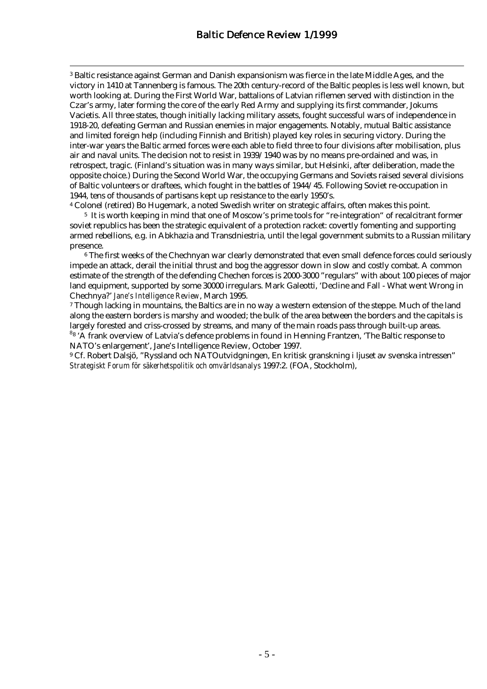<span id="page-9-0"></span> $\overline{a}$ 

3 Baltic resistance against German and Danish expansionism was fierce in the late Middle Ages, and the victory in 1410 at Tannenberg is famous. The 20th century-record of the Baltic peoples is less well known, but worth looking at. During the First World War, battalions of Latvian riflemen served with distinction in the Czar's army, later forming the core of the early Red Army and supplying its first commander, Jokums Vacietis. All three states, though initially lacking military assets, fought successful wars of independence in 1918-20, defeating German and Russian enemies in major engagements. Notably, mutual Baltic assistance and limited foreign help (including Finnish and British) played key roles in securing victory. During the inter-war years the Baltic armed forces were each able to field three to four divisions after mobilisation, plus air and naval units. The decision not to resist in 1939/1940 was by no means pre-ordained and was, in retrospect, tragic. (Finland's situation was in many ways similar, but Helsinki, after deliberation, made the opposite choice.) During the Second World War, the occupying Germans and Soviets raised several divisions of Baltic volunteers or draftees, which fought in the battles of 1944/45. Following Soviet re-occupation in 1944, tens of thousands of partisans kept up resistance to the early 1950's. 4 Colonel (retired) Bo Hugemark, a noted Swedish writer on strategic affairs, often makes this point.

5 It is worth keeping in mind that one of Moscow's prime tools for "re-integration" of recalcitrant former soviet republics has been the strategic equivalent of a protection racket: covertly fomenting and supporting armed rebellions, e.g. in Abkhazia and Transdniestria, until the legal government submits to a Russian military presence.

<sup>6</sup> The first weeks of the Chechnyan war clearly demonstrated that even small defence forces could seriously impede an attack, derail the initial thrust and bog the aggressor down in slow and costly combat. A common estimate of the strength of the defending Chechen forces is 2000-3000 "regulars" with about 100 pieces of major land equipment, supported by some 30000 irregulars. Mark Galeotti, 'Decline and Fall - What went Wrong in Chechnya?' *Jane's Intelligence Review*, March 1995.

7 Though lacking in mountains, the Baltics are in no way a western extension of the steppe. Much of the land along the eastern borders is marshy and wooded; the bulk of the area between the borders and the capitals is largely forested and criss-crossed by streams, and many of the main roads pass through built-up areas.  $88$  'A frank overview of Latvia's defence problems in found in Henning Frantzen, 'The Baltic response to NATO's enlargement', Jane's Intelligence Review, October 1997.

9 Cf. Robert Dalsjö, "Ryssland och NATOutvidgningen, En kritisk granskning i ljuset av svenska intressen" *Strategiskt Forum för säkerhetspolitik och omvärldsanalys* 1997:2. (FOA, Stockholm),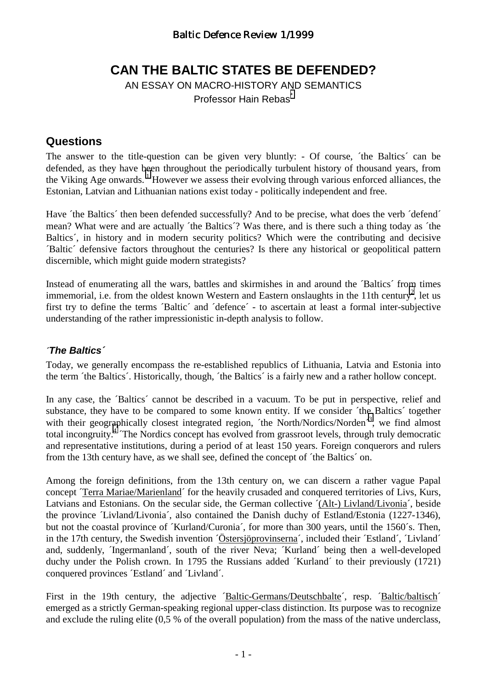# **CAN THE BALTIC STATES BE DEFENDED?**

AN ESSAY ON MACRO-HISTORY AND SEMANTICS Professor Hain Rebas<sup>[\\*](#page-18-0)</sup>

## **Questions**

The answer to the title-question can be given very bluntly: - Of course, ´the Baltics´ can be defended, as they have been throughout the periodically turbulent history of thousand years, from the Viking Age onwards. <sup>1</sup> However we assess their evolving through various enforced alliances, the Estonian, Latvian and Lithuanian nations exist today - politically independent and free.

Have 'the Baltics' then been defended successfully? And to be precise, what does the verb 'defend' mean? What were and are actually ´the Baltics´? Was there, and is there such a thing today as ´the Baltics´, in history and in modern security politics? Which were the contributing and decisive ´Baltic´ defensive factors throughout the centuries? Is there any historical or geopolitical pattern discernible, which might guide modern strategists?

Instead of enumerating all the wars, battles and skirmishes in and around the ´Baltics´ from times immemorial, i.e. from the oldest known Western and Eastern onslaughts in the 11th century<sup>2</sup>, let us first try to define the terms 'Baltic' and 'defence' - to ascertain at least a formal inter-subjective understanding of the rather impressionistic in-depth analysis to follow.

#### *´The Baltics´*

Today, we generally encompass the re-established republics of Lithuania, Latvia and Estonia into the term ´the Baltics´. Historically, though, ´the Baltics´ is a fairly new and a rather hollow concept.

In any case, the 'Baltics' cannot be described in a vacuum. To be put in perspective, relief and substance, they have to be compared to some known entity. If we consider ´the Baltics´ together with their geographically closest integrated region, 'the North/Nordics/Norden<sup>-3</sup>, we find almost total incongruity.<sup>4</sup> The Nordics concept has evolved from grassroot levels, through truly democratic and representative institutions, during a period of at least 150 years. Foreign conquerors and rulers from the 13th century have, as we shall see, defined the concept of ´the Baltics´ on.

Among the foreign definitions, from the 13th century on, we can discern a rather vague Papal concept ´Terra Mariae/Marienland´ for the heavily crusaded and conquered territories of Livs, Kurs, Latvians and Estonians. On the secular side, the German collective ´(Alt-) Livland/Livonia´, beside the province ´Livland/Livonia´, also contained the Danish duchy of Estland/Estonia (1227-1346), but not the coastal province of ´Kurland/Curonia´, for more than 300 years, until the 1560´s. Then, in the 17th century, the Swedish invention 'Östersjöprovinserna', included their 'Estland', 'Livland' and, suddenly, *Tngermanland*, south of the river Neva; 'Kurland' being then a well-developed duchy under the Polish crown. In 1795 the Russians added ´Kurland´ to their previously (1721) conquered provinces ´Estland´ and ´Livland´.

First in the 19th century, the adjective 'Baltic-Germans/Deutschbalte', resp. 'Baltic/baltisch' emerged as a strictly German-speaking regional upper-class distinction. Its purpose was to recognize and exclude the ruling elite (0,5 % of the overall population) from the mass of the native underclass,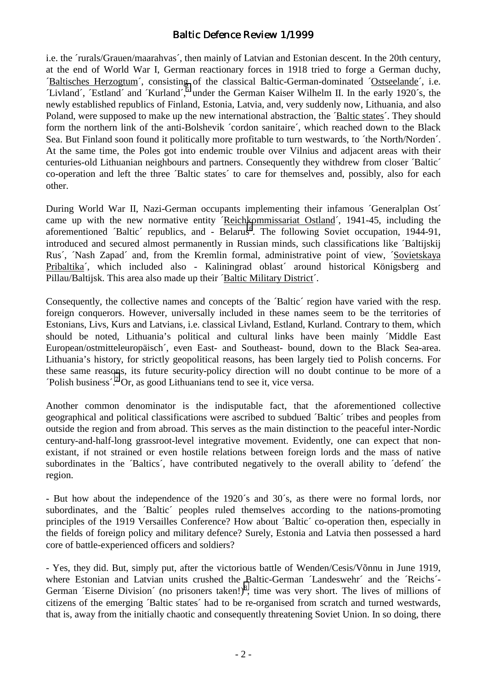i.e. the ´rurals/Grauen/maarahvas´, then mainly of Latvian and Estonian descent. In the 20th century, at the end of World War I, German reactionary forces in 1918 tried to forge a German duchy, ´Baltisches Herzogtum´, consisting of the classical Baltic-German-dominated ´Ostseelande´, i.e. Livland´, ´Estland´ and ´Kurland´, 5 under the German Kaiser Wilhelm II. In the early 1920´s, the newly established republics of Finland, Estonia, Latvia, and, very suddenly now, Lithuania, and also Poland, were supposed to make up the new international abstraction, the ´Baltic states´. They should form the northern link of the anti-Bolshevik ´cordon sanitaire´, which reached down to the Black Sea. But Finland soon found it politically more profitable to turn westwards, to ´the North/Norden´. At the same time, the Poles got into endemic trouble over Vilnius and adjacent areas with their centuries-old Lithuanian neighbours and partners. Consequently they withdrew from closer ´Baltic´ co-operation and left the three ´Baltic states´ to care for themselves and, possibly, also for each other.

During World War II, Nazi-German occupants implementing their infamous ´Generalplan Ost´ came up with the new normative entity ´Reichkommissariat Ostland´, 1941-45, including the aforementioned 'Baltic' republics, and - Belarus<sup>6</sup>. The following Soviet occupation, 1944-91, introduced and secured almost permanently in Russian minds, such classifications like ´Baltijskij Rus´, ´Nash Zapad´ and, from the Kremlin formal, administrative point of view, ´Sovietskaya Pribaltika´, which included also - Kaliningrad oblast´ around historical Königsberg and Pillau/Baltijsk. This area also made up their ´Baltic Military District´.

Consequently, the collective names and concepts of the ´Baltic´ region have varied with the resp. foreign conquerors. However, universally included in these names seem to be the territories of Estonians, Livs, Kurs and Latvians, i.e. classical Livland, Estland, Kurland. Contrary to them, which should be noted, Lithuania's political and cultural links have been mainly ´Middle East European/ostmitteleuropäisch´, even East- and Southeast- bound, down to the Black Sea-area. Lithuania's history, for strictly geopolitical reasons, has been largely tied to Polish concerns. For these same reasons, its future security-policy direction will no doubt continue to be more of a ´Polish business´[.7](#page-18-0) Or, as good Lithuanians tend to see it, vice versa.

Another common denominator is the indisputable fact, that the aforementioned collective geographical and political classifications were ascribed to subdued ´Baltic´ tribes and peoples from outside the region and from abroad. This serves as the main distinction to the peaceful inter-Nordic century-and-half-long grassroot-level integrative movement. Evidently, one can expect that nonexistant, if not strained or even hostile relations between foreign lords and the mass of native subordinates in the ´Baltics´, have contributed negatively to the overall ability to ´defend´ the region.

- But how about the independence of the 1920´s and 30´s, as there were no formal lords, nor subordinates, and the ´Baltic´ peoples ruled themselves according to the nations-promoting principles of the 1919 Versailles Conference? How about ´Baltic´ co-operation then, especially in the fields of foreign policy and military defence? Surely, Estonia and Latvia then possessed a hard core of battle-experienced officers and soldiers?

- Yes, they did. But, simply put, after the victorious battle of Wenden/Cesis/Võnnu in June 1919, where Estonian and Latvian units crushed the Baltic-German  $\Lambda$  and sweep and the  $\Lambda$ eichs<sup>'</sup>-German 'Eiserne Division' (no prisoners taken!)<sup>8</sup>, time was very short. The lives of millions of citizens of the emerging ´Baltic states´ had to be re-organised from scratch and turned westwards, that is, away from the initially chaotic and consequently threatening Soviet Union. In so doing, there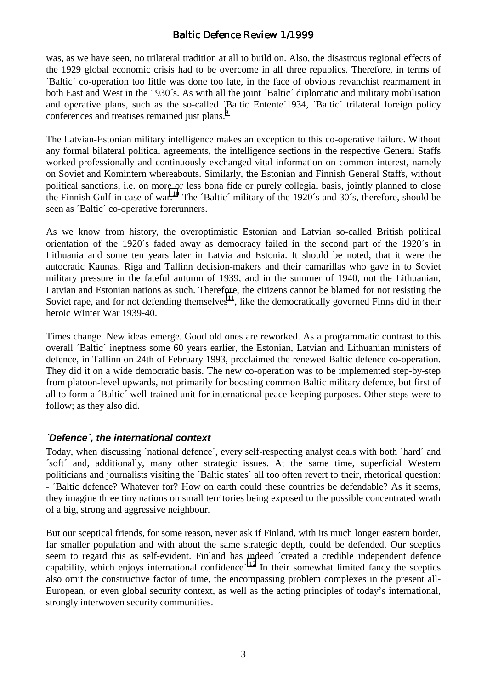was, as we have seen, no trilateral tradition at all to build on. Also, the disastrous regional effects of the 1929 global economic crisis had to be overcome in all three republics. Therefore, in terms of ´Baltic´ co-operation too little was done too late, in the face of obvious revanchist rearmament in both East and West in the 1930´s. As with all the joint ´Baltic´ diplomatic and military mobilisation and operative plans, such as the so-called 'Baltic Entente' 1934, 'Baltic' trilateral foreign policy conferences and treatises remained just plans.<sup>9</sup>

The Latvian-Estonian military intelligence makes an exception to this co-operative failure. Without any formal bilateral political agreements, the intelligence sections in the respective General Staffs worked professionally and continuously exchanged vital information on common interest, namely on Soviet and Komintern whereabouts. Similarly, the Estonian and Finnish General Staffs, without political sanctions, i.e. on more or less bona fide or purely collegial basis, jointly planned to close the Finnish Gulf in case of war.[10](#page-18-0) The ´Baltic´ military of the 1920´s and 30´s, therefore, should be seen as ´Baltic´ co-operative forerunners.

As we know from history, the overoptimistic Estonian and Latvian so-called British political orientation of the 1920´s faded away as democracy failed in the second part of the 1920´s in Lithuania and some ten years later in Latvia and Estonia. It should be noted, that it were the autocratic Kaunas, Riga and Tallinn decision-makers and their camarillas who gave in to Soviet military pressure in the fateful autumn of 1939, and in the summer of 1940, not the Lithuanian, Latvian and Estonian nations as such. Therefore, the citizens cannot be blamed for not resisting the Soviet rape, and for not defending themselves $11$ , like the democratically governed Finns did in their heroic Winter War 1939-40.

Times change. New ideas emerge. Good old ones are reworked. As a programmatic contrast to this overall ´Baltic´ ineptness some 60 years earlier, the Estonian, Latvian and Lithuanian ministers of defence, in Tallinn on 24th of February 1993, proclaimed the renewed Baltic defence co-operation. They did it on a wide democratic basis. The new co-operation was to be implemented step-by-step from platoon-level upwards, not primarily for boosting common Baltic military defence, but first of all to form a ´Baltic´ well-trained unit for international peace-keeping purposes. Other steps were to follow; as they also did.

#### *´Defence´, the international context*

Today, when discussing ´national defence´, every self-respecting analyst deals with both ´hard´ and ´soft´ and, additionally, many other strategic issues. At the same time, superficial Western politicians and journalists visiting the ´Baltic states´ all too often revert to their, rhetorical question: - ´Baltic defence? Whatever for? How on earth could these countries be defendable? As it seems, they imagine three tiny nations on small territories being exposed to the possible concentrated wrath of a big, strong and aggressive neighbour.

But our sceptical friends, for some reason, never ask if Finland, with its much longer eastern border, far smaller population and with about the same strategic depth, could be defended. Our sceptics seem to regard this as self-evident. Finland has indeed ´created a credible independent defence capability, which enjoys international confidence<sup> $\lambda$ 12</sup> In their somewhat limited fancy the sceptics also omit the constructive factor of time, the encompassing problem complexes in the present all-European, or even global security context, as well as the acting principles of today's international, strongly interwoven security communities.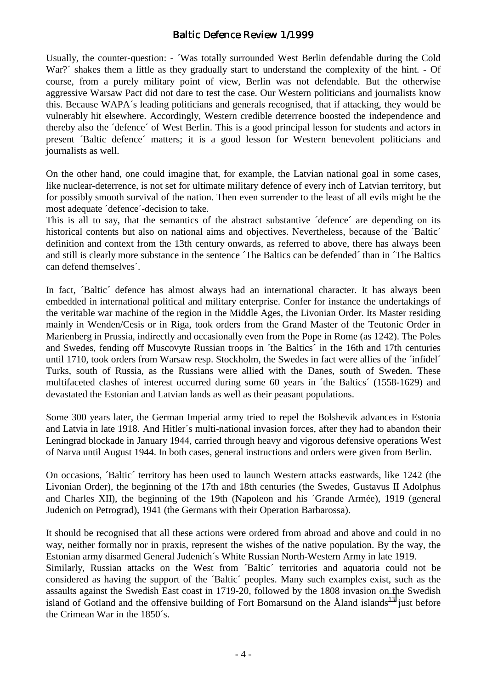Usually, the counter-question: - ´Was totally surrounded West Berlin defendable during the Cold War?´ shakes them a little as they gradually start to understand the complexity of the hint. - Of course, from a purely military point of view, Berlin was not defendable. But the otherwise aggressive Warsaw Pact did not dare to test the case. Our Western politicians and journalists know this. Because WAPA´s leading politicians and generals recognised, that if attacking, they would be vulnerably hit elsewhere. Accordingly, Western credible deterrence boosted the independence and thereby also the ´defence´ of West Berlin. This is a good principal lesson for students and actors in present ´Baltic defence´ matters; it is a good lesson for Western benevolent politicians and journalists as well.

On the other hand, one could imagine that, for example, the Latvian national goal in some cases, like nuclear-deterrence, is not set for ultimate military defence of every inch of Latvian territory, but for possibly smooth survival of the nation. Then even surrender to the least of all evils might be the most adequate ´defence´-decision to take.

This is all to say, that the semantics of the abstract substantive ´defence´ are depending on its historical contents but also on national aims and objectives. Nevertheless, because of the *'Baltic*' definition and context from the 13th century onwards, as referred to above, there has always been and still is clearly more substance in the sentence ´The Baltics can be defended´ than in ´The Baltics can defend themselves´.

In fact, 'Baltic' defence has almost always had an international character. It has always been embedded in international political and military enterprise. Confer for instance the undertakings of the veritable war machine of the region in the Middle Ages, the Livonian Order. Its Master residing mainly in Wenden/Cesis or in Riga, took orders from the Grand Master of the Teutonic Order in Marienberg in Prussia, indirectly and occasionally even from the Pope in Rome (as 1242). The Poles and Swedes, fending off Muscovyte Russian troops in ´the Baltics´ in the 16th and 17th centuries until 1710, took orders from Warsaw resp. Stockholm, the Swedes in fact were allies of the 'infidel' Turks, south of Russia, as the Russians were allied with the Danes, south of Sweden. These multifaceted clashes of interest occurred during some 60 years in ´the Baltics´ (1558-1629) and devastated the Estonian and Latvian lands as well as their peasant populations.

Some 300 years later, the German Imperial army tried to repel the Bolshevik advances in Estonia and Latvia in late 1918. And Hitler´s multi-national invasion forces, after they had to abandon their Leningrad blockade in January 1944, carried through heavy and vigorous defensive operations West of Narva until August 1944. In both cases, general instructions and orders were given from Berlin.

On occasions, ´Baltic´ territory has been used to launch Western attacks eastwards, like 1242 (the Livonian Order), the beginning of the 17th and 18th centuries (the Swedes, Gustavus II Adolphus and Charles XII), the beginning of the 19th (Napoleon and his ´Grande Armée), 1919 (general Judenich on Petrograd), 1941 (the Germans with their Operation Barbarossa).

It should be recognised that all these actions were ordered from abroad and above and could in no way, neither formally nor in praxis, represent the wishes of the native population. By the way, the Estonian army disarmed General Judenich´s White Russian North-Western Army in late 1919.

Similarly, Russian attacks on the West from ´Baltic´ territories and aquatoria could not be considered as having the support of the ´Baltic´ peoples. Many such examples exist, such as the assaults against the Swedish East coast in 1719-20, followed by the 1808 invasion on the Swedish island of Gotland and the offensive building of Fort Bomarsund on the  $\AA$ land islands<sup>13</sup> just before the Crimean War in the 1850´s.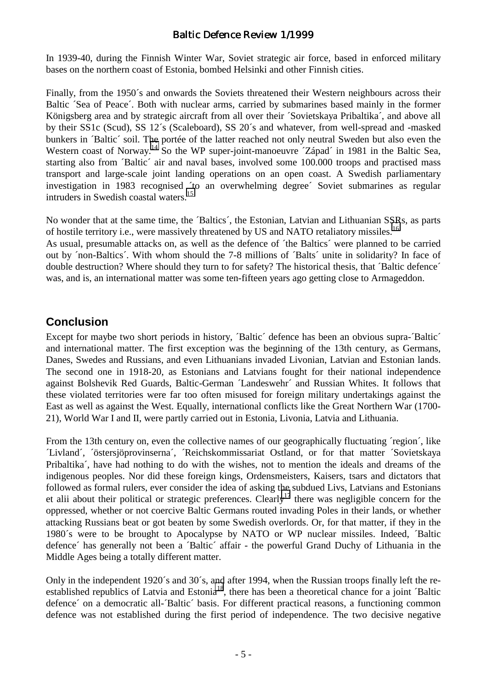In 1939-40, during the Finnish Winter War, Soviet strategic air force, based in enforced military bases on the northern coast of Estonia, bombed Helsinki and other Finnish cities.

Finally, from the 1950´s and onwards the Soviets threatened their Western neighbours across their Baltic 'Sea of Peace'. Both with nuclear arms, carried by submarines based mainly in the former Königsberg area and by strategic aircraft from all over their ´Sovietskaya Pribaltika´, and above all by their SS1c (Scud), SS 12´s (Scaleboard), SS 20´s and whatever, from well-spread and -masked bunkers in *`Baltic*<sup> $\prime$ </sup> soil. The portée of the latter reached not only neutral Sweden but also even the Western coast of Norway.<sup>14</sup> So the WP super-joint-manoeuvre *Západ'* in 1981 in the Baltic Sea, starting also from ´Baltic´ air and naval bases, involved some 100.000 troops and practised mass transport and large-scale joint landing operations on an open coast. A Swedish parliamentary investigation in 1983 recognised ´to an overwhelming degree´ Soviet submarines as regular intruders in Swedish coastal waters[.15](#page-18-0)

No wonder that at the same time, the ´Baltics´, the Estonian, Latvian and Lithuanian SSRs, as parts of hostile territory i.e., were massively threatened by US and NATO retaliatory missiles.<sup>[16](#page-18-0)</sup> As usual, presumable attacks on, as well as the defence of ´the Baltics´ were planned to be carried

out by ´non-Baltics´. With whom should the 7-8 millions of ´Balts´ unite in solidarity? In face of double destruction? Where should they turn to for safety? The historical thesis, that ´Baltic defence´ was, and is, an international matter was some ten-fifteen years ago getting close to Armageddon.

## **Conclusion**

Except for maybe two short periods in history, 'Baltic' defence has been an obvious supra-'Baltic' and international matter. The first exception was the beginning of the 13th century, as Germans, Danes, Swedes and Russians, and even Lithuanians invaded Livonian, Latvian and Estonian lands. The second one in 1918-20, as Estonians and Latvians fought for their national independence against Bolshevik Red Guards, Baltic-German ´Landeswehr´ and Russian Whites. It follows that these violated territories were far too often misused for foreign military undertakings against the East as well as against the West. Equally, international conflicts like the Great Northern War (1700- 21), World War I and II, were partly carried out in Estonia, Livonia, Latvia and Lithuania.

From the 13th century on, even the collective names of our geographically fluctuating 'region', like ´Livland´, ´östersjöprovinserna´, ´Reichskommissariat Ostland, or for that matter ´Sovietskaya Pribaltika´, have had nothing to do with the wishes, not to mention the ideals and dreams of the indigenous peoples. Nor did these foreign kings, Ordensmeisters, Kaisers, tsars and dictators that followed as formal rulers, ever consider the idea of asking the subdued Livs, Latvians and Estonians et alii about their political or strategic preferences. Clearly<sup>17</sup> there was negligible concern for the oppressed, whether or not coercive Baltic Germans routed invading Poles in their lands, or whether attacking Russians beat or got beaten by some Swedish overlords. Or, for that matter, if they in the 1980´s were to be brought to Apocalypse by NATO or WP nuclear missiles. Indeed, ´Baltic defence´ has generally not been a ´Baltic´ affair - the powerful Grand Duchy of Lithuania in the Middle Ages being a totally different matter.

Only in the independent 1920´s and 30´s, and after 1994, when the Russian troops finally left the reestablished republics of Latvia and Estonia<sup>18</sup>, there has been a theoretical chance for a joint <sup>Baltic</sup> defence' on a democratic all-'Baltic' basis. For different practical reasons, a functioning common defence was not established during the first period of independence. The two decisive negative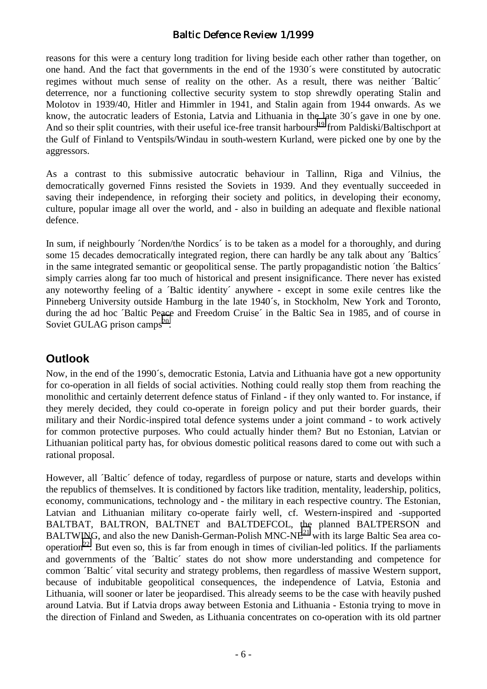reasons for this were a century long tradition for living beside each other rather than together, on one hand. And the fact that governments in the end of the 1930´s were constituted by autocratic regimes without much sense of reality on the other. As a result, there was neither ´Baltic´ deterrence, nor a functioning collective security system to stop shrewdly operating Stalin and Molotov in 1939/40, Hitler and Himmler in 1941, and Stalin again from 1944 onwards. As we know, the autocratic leaders of Estonia, Latvia and Lithuania in the late 30´s gave in one by one. And so their split countries, with their useful ice-free transit harbours<sup>19</sup> from Paldiski/Baltischport at the Gulf of Finland to Ventspils/Windau in south-western Kurland, were picked one by one by the aggressors.

As a contrast to this submissive autocratic behaviour in Tallinn, Riga and Vilnius, the democratically governed Finns resisted the Soviets in 1939. And they eventually succeeded in saving their independence, in reforging their society and politics, in developing their economy, culture, popular image all over the world, and - also in building an adequate and flexible national defence.

In sum, if neighbourly 'Norden/the Nordics' is to be taken as a model for a thoroughly, and during some 15 decades democratically integrated region, there can hardly be any talk about any 'Baltics' in the same integrated semantic or geopolitical sense. The partly propagandistic notion ´the Baltics´ simply carries along far too much of historical and present insignificance. There never has existed any noteworthy feeling of a ´Baltic identity´ anywhere - except in some exile centres like the Pinneberg University outside Hamburg in the late 1940´s, in Stockholm, New York and Toronto, during the ad hoc ´Baltic Peace and Freedom Cruise´ in the Baltic Sea in 1985, and of course in Soviet GULAG prison camps $^{20}$ .

### **Outlook**

Now, in the end of the 1990´s, democratic Estonia, Latvia and Lithuania have got a new opportunity for co-operation in all fields of social activities. Nothing could really stop them from reaching the monolithic and certainly deterrent defence status of Finland - if they only wanted to. For instance, if they merely decided, they could co-operate in foreign policy and put their border guards, their military and their Nordic-inspired total defence systems under a joint command - to work actively for common protective purposes. Who could actually hinder them? But no Estonian, Latvian or Lithuanian political party has, for obvious domestic political reasons dared to come out with such a rational proposal.

However, all 'Baltic' defence of today, regardless of purpose or nature, starts and develops within the republics of themselves. It is conditioned by factors like tradition, mentality, leadership, politics, economy, communications, technology and - the military in each respective country. The Estonian, Latvian and Lithuanian military co-operate fairly well, cf. Western-inspired and -supported BALTBAT, BALTRON, BALTNET and BALTDEFCOL, the planned BALTPERSON and BALTWING, and also the new Danish-German-Polish MNC-NE<sup>21</sup> with its large Baltic Sea area cooperation<sup>22</sup>. But even so, this is far from enough in times of civilian-led politics. If the parliaments and governments of the ´Baltic´ states do not show more understanding and competence for common ´Baltic´ vital security and strategy problems, then regardless of massive Western support, because of indubitable geopolitical consequences, the independence of Latvia, Estonia and Lithuania, will sooner or later be jeopardised. This already seems to be the case with heavily pushed around Latvia. But if Latvia drops away between Estonia and Lithuania - Estonia trying to move in the direction of Finland and Sweden, as Lithuania concentrates on co-operation with its old partner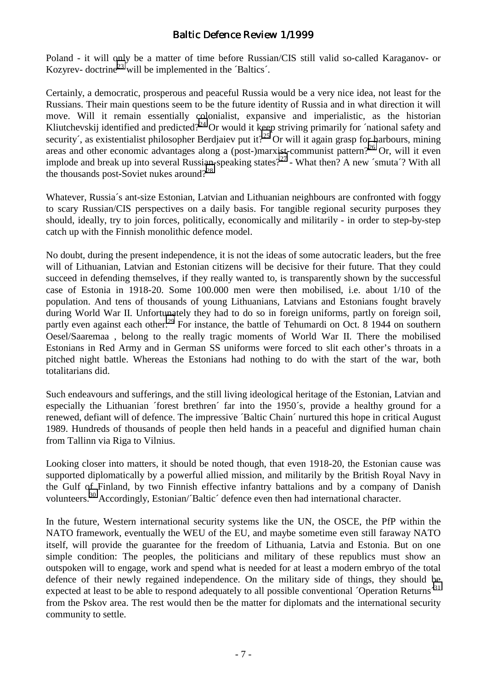Poland - it will only be a matter of time before Russian/CIS still valid so-called Karaganov- or Kozyrev- doctrine<sup>23</sup> will be implemented in the 'Baltics'.

Certainly, a democratic, prosperous and peaceful Russia would be a very nice idea, not least for the Russians. Their main questions seem to be the future identity of Russia and in what direction it will move. Will it remain essentially colonialist, expansive and imperialistic, as the historian Kliutchevskij identified and predicted?<sup>24</sup> Or would it keep striving primarily for  $\hat{}$  national safety and security´, as existentialist philosopher Berdjaiev put it?<sup>25</sup> Or will it again grasp for harbours, mining areas and other economic advantages along a (post-)marxist-communist pattern?<sup>26</sup> Or, will it even implode and break up into several Russian-speaking states?<sup>27</sup> - What then? A new 'smuta'? With all the thousands post-Soviet nukes around?<sup>[28](#page-18-0)</sup>

Whatever, Russia´s ant-size Estonian, Latvian and Lithuanian neighbours are confronted with foggy to scary Russian/CIS perspectives on a daily basis. For tangible regional security purposes they should, ideally, try to join forces, politically, economically and militarily - in order to step-by-step catch up with the Finnish monolithic defence model.

No doubt, during the present independence, it is not the ideas of some autocratic leaders, but the free will of Lithuanian, Latvian and Estonian citizens will be decisive for their future. That they could succeed in defending themselves, if they really wanted to, is transparently shown by the successful case of Estonia in 1918-20. Some 100.000 men were then mobilised, i.e. about 1/10 of the population. And tens of thousands of young Lithuanians, Latvians and Estonians fought bravely during World War II. Unfortunately they had to do so in foreign uniforms, partly on foreign soil, partly even against each other.<sup>29</sup> For instance, the battle of Tehumardi on Oct. 8 1944 on southern Oesel/Saaremaa , belong to the really tragic moments of World War II. There the mobilised Estonians in Red Army and in German SS uniforms were forced to slit each other's throats in a pitched night battle. Whereas the Estonians had nothing to do with the start of the war, both totalitarians did.

Such endeavours and sufferings, and the still living ideological heritage of the Estonian, Latvian and especially the Lithuanian ´forest brethren´ far into the 1950´s, provide a healthy ground for a renewed, defiant will of defence. The impressive ´Baltic Chain´ nurtured this hope in critical August 1989. Hundreds of thousands of people then held hands in a peaceful and dignified human chain from Tallinn via Riga to Vilnius.

Looking closer into matters, it should be noted though, that even 1918-20, the Estonian cause was supported diplomatically by a powerful allied mission, and militarily by the British Royal Navy in the Gulf of Finland, by two Finnish effective infantry battalions and by a company of Danish volunteers.<sup>30</sup> Accordingly, Estonian/´Baltic´ defence even then had international character.

In the future, Western international security systems like the UN, the OSCE, the PfP within the NATO framework, eventually the WEU of the EU, and maybe sometime even still faraway NATO itself, will provide the guarantee for the freedom of Lithuania, Latvia and Estonia. But on one simple condition: The peoples, the politicians and military of these republics must show an outspoken will to engage, work and spend what is needed for at least a modern embryo of the total defence of their newly regained independence. On the military side of things, they should be expected at least to be able to respond adequately to all possible conventional 'Operation Returns<sup>31</sup> from the Pskov area. The rest would then be the matter for diplomats and the international security community to settle.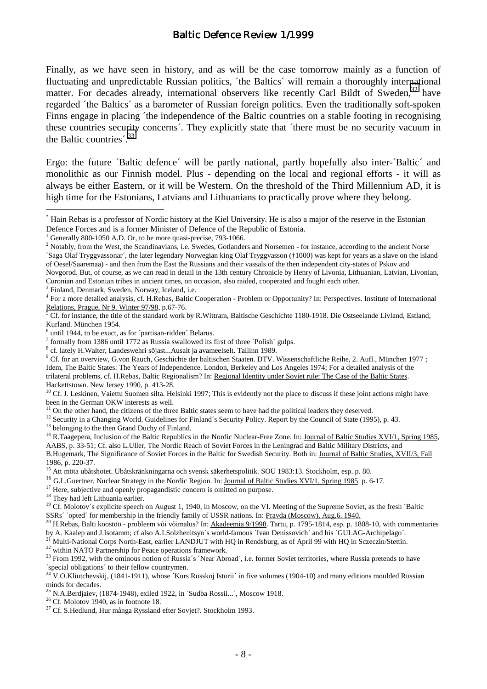Finally, as we have seen in history, and as will be the case tomorrow mainly as a function of fluctuating and unpredictable Russian politics, ´the Baltics´ will remain a thoroughly international matter. For decades already, international observers like recently Carl Bildt of Sweden,<sup>32</sup> have regarded ´the Baltics´ as a barometer of Russian foreign politics. Even the traditionally soft-spoken Finns engage in placing ´the independence of the Baltic countries on a stable footing in recognising these countries security concerns´. They explicitly state that ´there must be no security vacuum in the Baltic countries<sup> $\frac{33}{3}$  $\frac{33}{3}$  $\frac{33}{3}$ </sup>

Ergo: the future *Colatic defence* will be partly national, partly hopefully also inter-<sup>*Colatic* and</sup> monolithic as our Finnish model. Plus - depending on the local and regional efforts - it will as always be either Eastern, or it will be Western. On the threshold of the Third Millennium AD, it is high time for the Estonians, Latvians and Lithuanians to practically prove where they belong.

Finland, Denmark, Sweden, Norway, Iceland, i.e.

 $\overline{a}$ 

9 Cf. for an overview, G.von Rauch, Geschichte der baltischen Staaten. DTV. Wissenschaftliche Reihe, 2. Aufl., München 1977 ; Idem, The Baltic States: The Years of Independence. London, Berkeley and Los Angeles 1974; For a detailed analysis of the trilateral problems, cf. H.Rebas, Baltic Regionalism? In: Regional Identity under Soviet rule: The Case of the Baltic States.

Hackettstown. New Jersey 1990, p. 413-28.

<sup>10</sup> Cf. J. Leskinen, Vaiettu Suomen silta. Helsinki 1997; This is evidently not the place to discuss if these joint actions might have been in the German OKW interests as well.

11 On the other hand, the citizens of the three Baltic states seem to have had the political leaders they deserved.

<sup>12</sup> Security in a Changing World. Guidelines for Finland´s Security Policy. Report by the Council of State (1995), p. 43.

<sup>13</sup> belonging to the then Grand Duchy of Finland.

14 R.Taagepera, Inclusion of the Baltic Republics in the Nordic Nuclear-Free Zone. In: Journal of Baltic Studies XVI/1, Spring 1985, AABS, p. 33-51; Cf. also L.Uller, The Nordic Reach of Soviet Forces in the Leningrad and Baltic Military Districts, and

B.Hugemark, The Significance of Soviet Forces in the Baltic for Swedish Security. Both in: Journal of Baltic Studies, XVII/3, Fall 1986, p. 220-37.

- 15 Att möta ubåtshotet. Ubåtskränkningarna och svensk säkerhetspolitik. SOU 1983:13. Stockholm, esp. p. 80.
- <sup>16</sup> G.L.Guertner, Nuclear Strategy in the Nordic Region. In: *Journal of Baltic Studies XVI/1*, Spring 1985. p. 6-17.
- <sup>17</sup> Here, subjective and openly propagandistic concern is omitted on purpose.

<sup>18</sup> They had left Lithuania earlier.

<sup>19</sup> Cf. Molotov´s explicite speech on August 1, 1940, in Moscow, on the VI. Meeting of the Supreme Soviet, as the fresh *'Baltic* SSRs´ ´opted´ for membership in the friendly family of USSR nations. In: Pravda (Moscow), Aug.6. 1940.

<sup>21</sup> Multi-National Corps North-East, earlier LANDJUT with HQ in Rendsburg, as of April 99 with HQ in Sczeczin/Stettin.

<sup>22</sup> within NATO Partnership for Peace operations framework.

<sup>23</sup> From 1992, with the ominous notion of Russia´s ´Near Abroad´, i.e. former Soviet territories, where Russia pretends to have ´special obligations´ to their fellow countrymen.

<sup>24</sup> V.O.Kliutchevskij, (1841-1911), whose ´Kurs Russkoj Istorii´ in five volumes (1904-10) and many editions moulded Russian minds for decades.

<sup>25</sup> N.A.Berdjaiev, (1874-1948), exiled 1922, in  $\delta$  Sudba Rossii... $\delta$ , Moscow 1918.

 $26$  Cf. Molotov 1940, as in footnote 18.

<sup>\*</sup> Hain Rebas is a professor of Nordic history at the Kiel University. He is also a major of the reserve in the Estonian Defence Forces and is a former Minister of Defence of the Republic of Estonia.

<sup>&</sup>lt;sup>1</sup> Generally 800-1050 A.D. Or, to be more quasi-precise, 793-1066.

<sup>&</sup>lt;sup>2</sup> Notably, from the West, the Scandinavians, i.e. Swedes, Gotlanders and Norsemen - for instance, according to the ancient Norse ´Saga Olaf Tryggvassonar´, the later legendary Norwegian king Olaf Tryggvasson (†1000) was kept for years as a slave on the island of Oesel/Saaremaa) - and then from the East the Russians and their vassals of the then independent city-states of Pskov and Novgorod. But, of course, as we can read in detail in the 13th century Chronicle by Henry of Livonia, Lithuanian, Latvian, Livonian, Curonian and Estonian tribes in ancient times, on occasion, also raided, cooperated and fought each other. <sup>3</sup>

<sup>&</sup>lt;sup>4</sup> For a more detailed analysis, cf. H.Rebas, Baltic Cooperation - Problem or Opportunity? In: Perspectives. Institute of International Relations, Prague, Nr 9. Winter  $97/98$ , p.67-76.

Cf. for instance, the title of the standard work by R.Wittram, Baltische Geschichte 1180-1918. Die Ostseelande Livland, Estland, Kurland. München 1954.

 $6$  until 1944, to be exact, as for  $\hat{}$  partisan-ridden $\hat{}$  Belarus.

 $^7$  formally from 1386 until 1772 as Russia swallowed its first of three 'Polish' gulps.

<sup>8</sup> cf. lately H.Walter, Landeswehri sõjast...Ausalt ja avameelselt. Tallinn 1989.

 $^{20}$  H.Rebas, Balti koostöö - probleem või võimalus? In: Akadeemia 9/1998. Tartu, p. 1795-1814, esp. p. 1808-10, with commentaries by A. Kaalep and J.Isotamm; cf also A.I.Solzhenitsyn´s world-famous ´Ivan Denissovich´ and his ´GULAG-Archipelago´.

<sup>&</sup>lt;sup>27</sup> Cf. S.Hedlund, Hur många Ryssland efter Sovjet?. Stockholm 1993.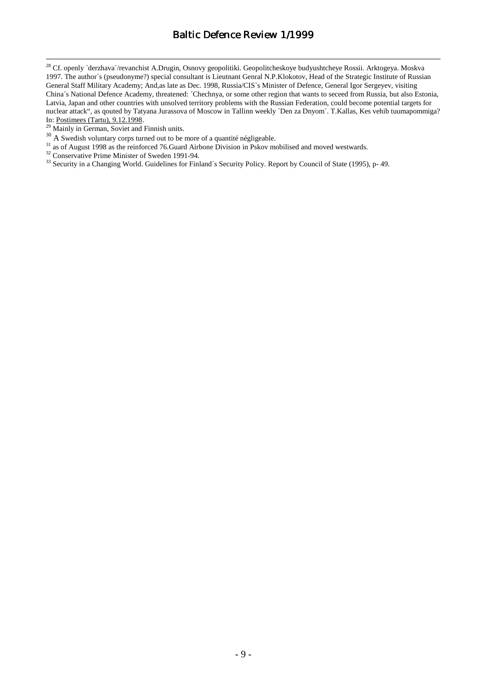<span id="page-18-0"></span><sup>28</sup> Cf. openly ´derzhava´/revanchist A.Drugin, Osnovy geopolitiki. Geopolitcheskoye budyushtcheye Rossii. Arktogeya. Moskva 1997. The author´s (pseudonyme?) special consultant is Lieutnant Genral N.P.Klokotov, Head of the Strategic Institute of Russian General Staff Military Academy; And,as late as Dec. 1998, Russia/CIS´s Minister of Defence, General Igor Sergeyev, visiting China´s National Defence Academy, threatened: ´Chechnya, or some other region that wants to seceed from Russia, but also Estonia, Latvia, Japan and other countries with unsolved territory problems with the Russian Federation, could become potential targets for nuclear attack", as qouted by Tatyana Jurassova of Moscow in Tallinn weekly ´Den za Dnyom´. T.Kallas, Kes vehib tuumapommiga? In: Postimees (Tartu), 9.12.1998.

<sup>29</sup> Mainly in German, Soviet and Finnish units.

 $30$  A Swedish voluntary corps turned out to be more of a quantité négligeable.<br> $31$  as of August 1998 as the reinforced 76.Guard Airbone Division in Pskov mobilised and moved westwards.

<sup>32</sup> Conservative Prime Minister of Sweden 1991-94.

<sup>33</sup> Security in a Changing World. Guidelines for Finland´s Security Policy. Report by Council of State (1995), p- 49.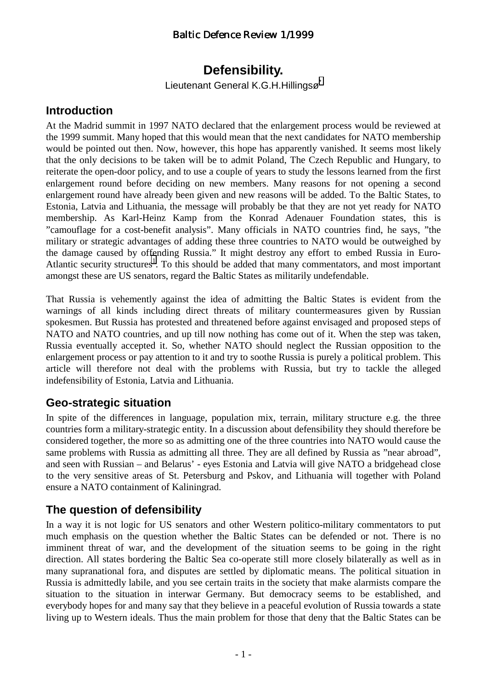# **Defensibility.**

Lieutenant General K.G.H.Hillingsø<sup>[\\*](#page-22-0)</sup>

## **Introduction**

At the Madrid summit in 1997 NATO declared that the enlargement process would be reviewed at the 1999 summit. Many hoped that this would mean that the next candidates for NATO membership would be pointed out then. Now, however, this hope has apparently vanished. It seems most likely that the only decisions to be taken will be to admit Poland, The Czech Republic and Hungary, to reiterate the open-door policy, and to use a couple of years to study the lessons learned from the first enlargement round before deciding on new members. Many reasons for not opening a second enlargement round have already been given and new reasons will be added. To the Baltic States, to Estonia, Latvia and Lithuania, the message will probably be that they are not yet ready for NATO membership. As Karl-Heinz Kamp from the Konrad Adenauer Foundation states, this is "camouflage for a cost-benefit analysis". Many officials in NATO countries find, he says, "the military or strategic advantages of adding these three countries to NATO would be outweighed by the damage caused by offending Russia." It might destroy any effort to embed Russia in Euro-Atlantic security structures<sup>1</sup>. To this should be added that many commentators, and most important amongst these are US senators, regard the Baltic States as militarily undefendable.

That Russia is vehemently against the idea of admitting the Baltic States is evident from the warnings of all kinds including direct threats of military countermeasures given by Russian spokesmen. But Russia has protested and threatened before against envisaged and proposed steps of NATO and NATO countries, and up till now nothing has come out of it. When the step was taken, Russia eventually accepted it. So, whether NATO should neglect the Russian opposition to the enlargement process or pay attention to it and try to soothe Russia is purely a political problem. This article will therefore not deal with the problems with Russia, but try to tackle the alleged indefensibility of Estonia, Latvia and Lithuania.

## **Geo-strategic situation**

In spite of the differences in language, population mix, terrain, military structure e.g. the three countries form a military-strategic entity. In a discussion about defensibility they should therefore be considered together, the more so as admitting one of the three countries into NATO would cause the same problems with Russia as admitting all three. They are all defined by Russia as "near abroad", and seen with Russian – and Belarus' - eyes Estonia and Latvia will give NATO a bridgehead close to the very sensitive areas of St. Petersburg and Pskov, and Lithuania will together with Poland ensure a NATO containment of Kaliningrad.

## **The question of defensibility**

In a way it is not logic for US senators and other Western politico-military commentators to put much emphasis on the question whether the Baltic States can be defended or not. There is no imminent threat of war, and the development of the situation seems to be going in the right direction. All states bordering the Baltic Sea co-operate still more closely bilaterally as well as in many supranational fora, and disputes are settled by diplomatic means. The political situation in Russia is admittedly labile, and you see certain traits in the society that make alarmists compare the situation to the situation in interwar Germany. But democracy seems to be established, and everybody hopes for and many say that they believe in a peaceful evolution of Russia towards a state living up to Western ideals. Thus the main problem for those that deny that the Baltic States can be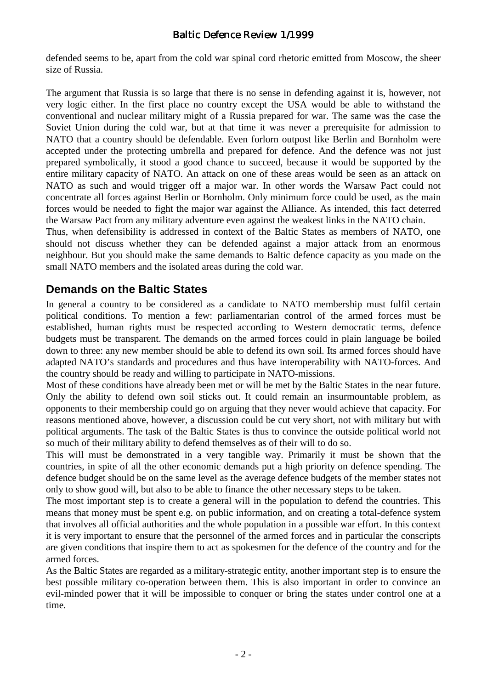defended seems to be, apart from the cold war spinal cord rhetoric emitted from Moscow, the sheer size of Russia.

The argument that Russia is so large that there is no sense in defending against it is, however, not very logic either. In the first place no country except the USA would be able to withstand the conventional and nuclear military might of a Russia prepared for war. The same was the case the Soviet Union during the cold war, but at that time it was never a prerequisite for admission to NATO that a country should be defendable. Even forlorn outpost like Berlin and Bornholm were accepted under the protecting umbrella and prepared for defence. And the defence was not just prepared symbolically, it stood a good chance to succeed, because it would be supported by the entire military capacity of NATO. An attack on one of these areas would be seen as an attack on NATO as such and would trigger off a major war. In other words the Warsaw Pact could not concentrate all forces against Berlin or Bornholm. Only minimum force could be used, as the main forces would be needed to fight the major war against the Alliance. As intended, this fact deterred the Warsaw Pact from any military adventure even against the weakest links in the NATO chain.

Thus, when defensibility is addressed in context of the Baltic States as members of NATO, one should not discuss whether they can be defended against a major attack from an enormous neighbour. But you should make the same demands to Baltic defence capacity as you made on the small NATO members and the isolated areas during the cold war.

## **Demands on the Baltic States**

In general a country to be considered as a candidate to NATO membership must fulfil certain political conditions. To mention a few: parliamentarian control of the armed forces must be established, human rights must be respected according to Western democratic terms, defence budgets must be transparent. The demands on the armed forces could in plain language be boiled down to three: any new member should be able to defend its own soil. Its armed forces should have adapted NATO's standards and procedures and thus have interoperability with NATO-forces. And the country should be ready and willing to participate in NATO-missions.

Most of these conditions have already been met or will be met by the Baltic States in the near future. Only the ability to defend own soil sticks out. It could remain an insurmountable problem, as opponents to their membership could go on arguing that they never would achieve that capacity. For reasons mentioned above, however, a discussion could be cut very short, not with military but with political arguments. The task of the Baltic States is thus to convince the outside political world not so much of their military ability to defend themselves as of their will to do so.

This will must be demonstrated in a very tangible way. Primarily it must be shown that the countries, in spite of all the other economic demands put a high priority on defence spending. The defence budget should be on the same level as the average defence budgets of the member states not only to show good will, but also to be able to finance the other necessary steps to be taken.

The most important step is to create a general will in the population to defend the countries. This means that money must be spent e.g. on public information, and on creating a total-defence system that involves all official authorities and the whole population in a possible war effort. In this context it is very important to ensure that the personnel of the armed forces and in particular the conscripts are given conditions that inspire them to act as spokesmen for the defence of the country and for the armed forces.

As the Baltic States are regarded as a military-strategic entity, another important step is to ensure the best possible military co-operation between them. This is also important in order to convince an evil-minded power that it will be impossible to conquer or bring the states under control one at a time.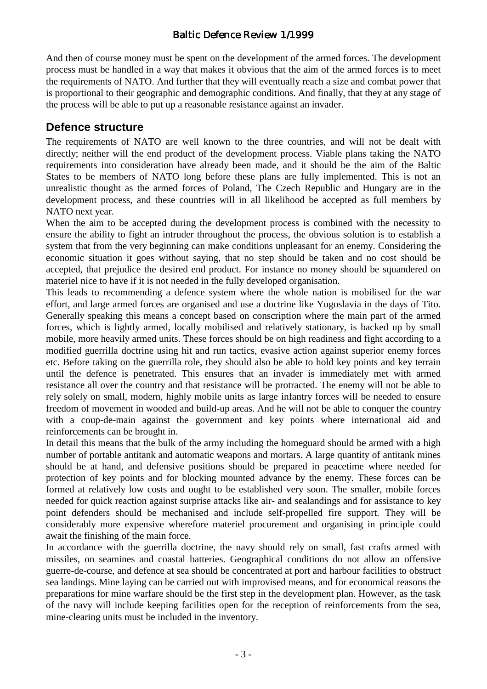And then of course money must be spent on the development of the armed forces. The development process must be handled in a way that makes it obvious that the aim of the armed forces is to meet the requirements of NATO. And further that they will eventually reach a size and combat power that is proportional to their geographic and demographic conditions. And finally, that they at any stage of the process will be able to put up a reasonable resistance against an invader.

#### **Defence structure**

The requirements of NATO are well known to the three countries, and will not be dealt with directly; neither will the end product of the development process. Viable plans taking the NATO requirements into consideration have already been made, and it should be the aim of the Baltic States to be members of NATO long before these plans are fully implemented. This is not an unrealistic thought as the armed forces of Poland, The Czech Republic and Hungary are in the development process, and these countries will in all likelihood be accepted as full members by NATO next year.

When the aim to be accepted during the development process is combined with the necessity to ensure the ability to fight an intruder throughout the process, the obvious solution is to establish a system that from the very beginning can make conditions unpleasant for an enemy. Considering the economic situation it goes without saying, that no step should be taken and no cost should be accepted, that prejudice the desired end product. For instance no money should be squandered on materiel nice to have if it is not needed in the fully developed organisation.

This leads to recommending a defence system where the whole nation is mobilised for the war effort, and large armed forces are organised and use a doctrine like Yugoslavia in the days of Tito. Generally speaking this means a concept based on conscription where the main part of the armed forces, which is lightly armed, locally mobilised and relatively stationary, is backed up by small mobile, more heavily armed units. These forces should be on high readiness and fight according to a modified guerrilla doctrine using hit and run tactics, evasive action against superior enemy forces etc. Before taking on the guerrilla role, they should also be able to hold key points and key terrain until the defence is penetrated. This ensures that an invader is immediately met with armed resistance all over the country and that resistance will be protracted. The enemy will not be able to rely solely on small, modern, highly mobile units as large infantry forces will be needed to ensure freedom of movement in wooded and build-up areas. And he will not be able to conquer the country with a coup-de-main against the government and key points where international aid and reinforcements can be brought in.

In detail this means that the bulk of the army including the homeguard should be armed with a high number of portable antitank and automatic weapons and mortars. A large quantity of antitank mines should be at hand, and defensive positions should be prepared in peacetime where needed for protection of key points and for blocking mounted advance by the enemy. These forces can be formed at relatively low costs and ought to be established very soon. The smaller, mobile forces needed for quick reaction against surprise attacks like air- and sealandings and for assistance to key point defenders should be mechanised and include self-propelled fire support. They will be considerably more expensive wherefore materiel procurement and organising in principle could await the finishing of the main force.

In accordance with the guerrilla doctrine, the navy should rely on small, fast crafts armed with missiles, on seamines and coastal batteries. Geographical conditions do not allow an offensive guerre-de-course, and defence at sea should be concentrated at port and harbour facilities to obstruct sea landings. Mine laying can be carried out with improvised means, and for economical reasons the preparations for mine warfare should be the first step in the development plan. However, as the task of the navy will include keeping facilities open for the reception of reinforcements from the sea, mine-clearing units must be included in the inventory.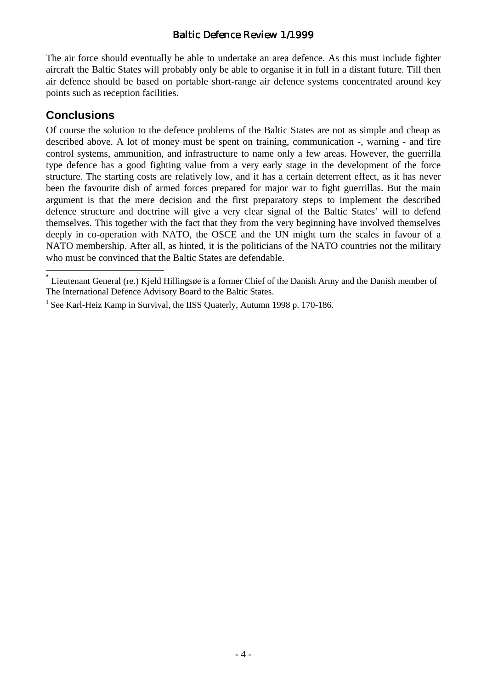<span id="page-22-0"></span>The air force should eventually be able to undertake an area defence. As this must include fighter aircraft the Baltic States will probably only be able to organise it in full in a distant future. Till then air defence should be based on portable short-range air defence systems concentrated around key points such as reception facilities.

## **Conclusions**

 $\overline{a}$ 

Of course the solution to the defence problems of the Baltic States are not as simple and cheap as described above. A lot of money must be spent on training, communication -, warning - and fire control systems, ammunition, and infrastructure to name only a few areas. However, the guerrilla type defence has a good fighting value from a very early stage in the development of the force structure. The starting costs are relatively low, and it has a certain deterrent effect, as it has never been the favourite dish of armed forces prepared for major war to fight guerrillas. But the main argument is that the mere decision and the first preparatory steps to implement the described defence structure and doctrine will give a very clear signal of the Baltic States' will to defend themselves. This together with the fact that they from the very beginning have involved themselves deeply in co-operation with NATO, the OSCE and the UN might turn the scales in favour of a NATO membership. After all, as hinted, it is the politicians of the NATO countries not the military who must be convinced that the Baltic States are defendable.

Lieutenant General (re.) Kjeld Hillingsøe is a former Chief of the Danish Army and the Danish member of The International Defence Advisory Board to the Baltic States.

<sup>&</sup>lt;sup>1</sup> See Karl-Heiz Kamp in Survival, the IISS Quaterly, Autumn 1998 p. 170-186.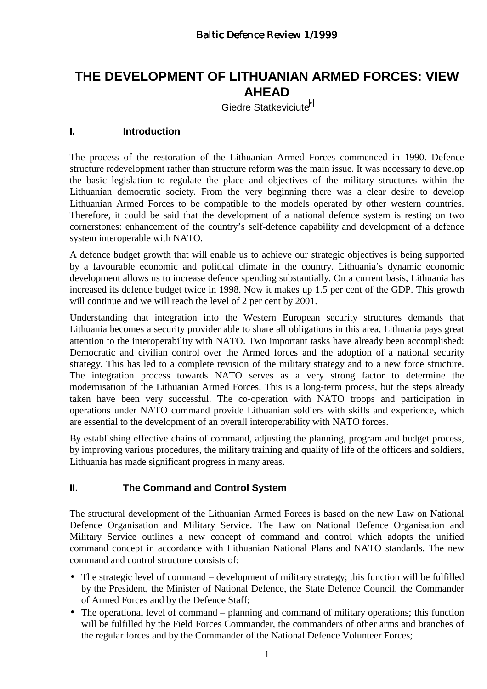# **THE DEVELOPMENT OF LITHUANIAN ARMED FORCES: VIEW AHEAD**

Giedre Statkeviciute<sup>[\\*](#page-35-0)</sup>

#### **I. Introduction**

The process of the restoration of the Lithuanian Armed Forces commenced in 1990. Defence structure redevelopment rather than structure reform was the main issue. It was necessary to develop the basic legislation to regulate the place and objectives of the military structures within the Lithuanian democratic society. From the very beginning there was a clear desire to develop Lithuanian Armed Forces to be compatible to the models operated by other western countries. Therefore, it could be said that the development of a national defence system is resting on two cornerstones: enhancement of the country's self-defence capability and development of a defence system interoperable with NATO.

A defence budget growth that will enable us to achieve our strategic objectives is being supported by a favourable economic and political climate in the country. Lithuania's dynamic economic development allows us to increase defence spending substantially. On a current basis, Lithuania has increased its defence budget twice in 1998. Now it makes up 1.5 per cent of the GDP. This growth will continue and we will reach the level of 2 per cent by 2001.

Understanding that integration into the Western European security structures demands that Lithuania becomes a security provider able to share all obligations in this area, Lithuania pays great attention to the interoperability with NATO. Two important tasks have already been accomplished: Democratic and civilian control over the Armed forces and the adoption of a national security strategy. This has led to a complete revision of the military strategy and to a new force structure. The integration process towards NATO serves as a very strong factor to determine the modernisation of the Lithuanian Armed Forces. This is a long-term process, but the steps already taken have been very successful. The co-operation with NATO troops and participation in operations under NATO command provide Lithuanian soldiers with skills and experience, which are essential to the development of an overall interoperability with NATO forces.

By establishing effective chains of command, adjusting the planning, program and budget process, by improving various procedures, the military training and quality of life of the officers and soldiers, Lithuania has made significant progress in many areas.

#### **II. The Command and Control System**

The structural development of the Lithuanian Armed Forces is based on the new Law on National Defence Organisation and Military Service. The Law on National Defence Organisation and Military Service outlines a new concept of command and control which adopts the unified command concept in accordance with Lithuanian National Plans and NATO standards. The new command and control structure consists of:

- The strategic level of command development of military strategy; this function will be fulfilled by the President, the Minister of National Defence, the State Defence Council, the Commander of Armed Forces and by the Defence Staff;
- The operational level of command planning and command of military operations; this function will be fulfilled by the Field Forces Commander, the commanders of other arms and branches of the regular forces and by the Commander of the National Defence Volunteer Forces;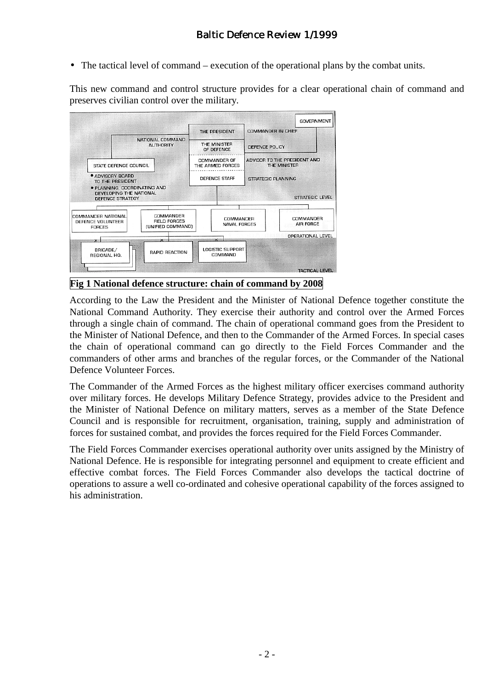The tactical level of command – execution of the operational plans by the combat units.

This new command and control structure provides for a clear operational chain of command and preserves civilian control over the military.



**Fig 1 National defence structure: chain of command by 2008**

According to the Law the President and the Minister of National Defence together constitute the National Command Authority. They exercise their authority and control over the Armed Forces through a single chain of command. The chain of operational command goes from the President to the Minister of National Defence, and then to the Commander of the Armed Forces. In special cases the chain of operational command can go directly to the Field Forces Commander and the commanders of other arms and branches of the regular forces, or the Commander of the National Defence Volunteer Forces.

The Commander of the Armed Forces as the highest military officer exercises command authority over military forces. He develops Military Defence Strategy, provides advice to the President and the Minister of National Defence on military matters, serves as a member of the State Defence Council and is responsible for recruitment, organisation, training, supply and administration of forces for sustained combat, and provides the forces required for the Field Forces Commander.

The Field Forces Commander exercises operational authority over units assigned by the Ministry of National Defence. He is responsible for integrating personnel and equipment to create efficient and effective combat forces. The Field Forces Commander also develops the tactical doctrine of operations to assure a well co-ordinated and cohesive operational capability of the forces assigned to his administration.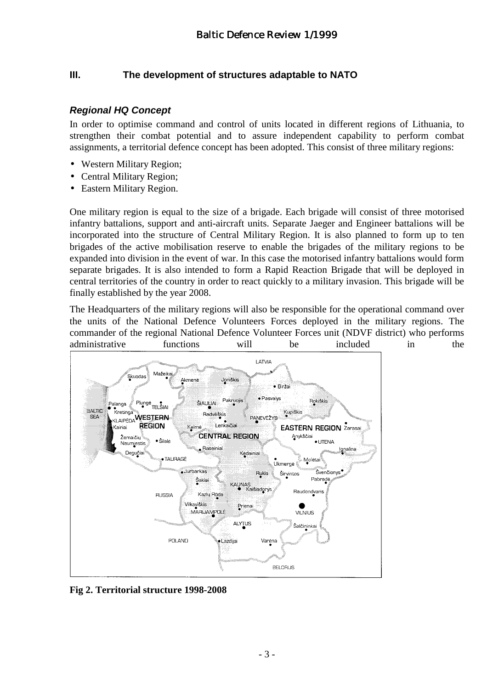#### **III. The development of structures adaptable to NATO**

#### *Regional HQ Concept*

In order to optimise command and control of units located in different regions of Lithuania, to strengthen their combat potential and to assure independent capability to perform combat assignments, a territorial defence concept has been adopted. This consist of three military regions:

- Western Military Region;
- Central Military Region;
- **Eastern Military Region.**

One military region is equal to the size of a brigade. Each brigade will consist of three motorised infantry battalions, support and anti-aircraft units. Separate Jaeger and Engineer battalions will be incorporated into the structure of Central Military Region. It is also planned to form up to ten brigades of the active mobilisation reserve to enable the brigades of the military regions to be expanded into division in the event of war. In this case the motorised infantry battalions would form separate brigades. It is also intended to form a Rapid Reaction Brigade that will be deployed in central territories of the country in order to react quickly to a military invasion. This brigade will be finally established by the year 2008.

The Headquarters of the military regions will also be responsible for the operational command over the units of the National Defence Volunteers Forces deployed in the military regions. The commander of the regional National Defence Volunteer Forces unit (NDVF district) who performs administrative functions will be included in the



**Fig 2. Territorial structure 1998-2008**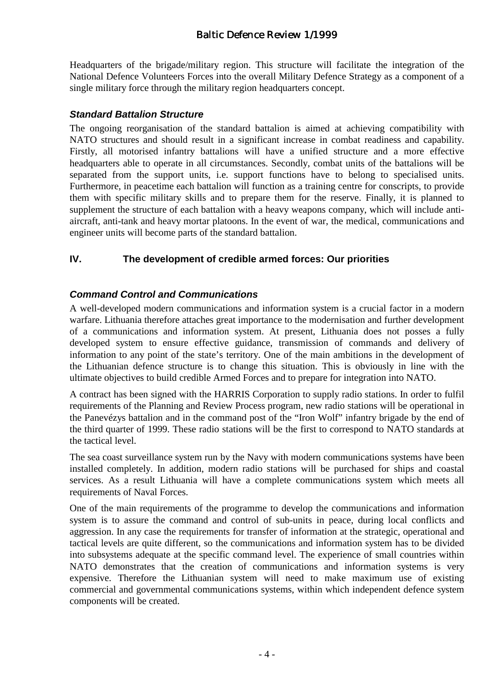Headquarters of the brigade/military region. This structure will facilitate the integration of the National Defence Volunteers Forces into the overall Military Defence Strategy as a component of a single military force through the military region headquarters concept.

#### *Standard Battalion Structure*

The ongoing reorganisation of the standard battalion is aimed at achieving compatibility with NATO structures and should result in a significant increase in combat readiness and capability. Firstly, all motorised infantry battalions will have a unified structure and a more effective headquarters able to operate in all circumstances. Secondly, combat units of the battalions will be separated from the support units, i.e. support functions have to belong to specialised units. Furthermore, in peacetime each battalion will function as a training centre for conscripts, to provide them with specific military skills and to prepare them for the reserve. Finally, it is planned to supplement the structure of each battalion with a heavy weapons company, which will include antiaircraft, anti-tank and heavy mortar platoons. In the event of war, the medical, communications and engineer units will become parts of the standard battalion.

#### **IV. The development of credible armed forces: Our priorities**

### *Command Control and Communications*

A well-developed modern communications and information system is a crucial factor in a modern warfare. Lithuania therefore attaches great importance to the modernisation and further development of a communications and information system. At present, Lithuania does not posses a fully developed system to ensure effective guidance, transmission of commands and delivery of information to any point of the state's territory. One of the main ambitions in the development of the Lithuanian defence structure is to change this situation. This is obviously in line with the ultimate objectives to build credible Armed Forces and to prepare for integration into NATO.

A contract has been signed with the HARRIS Corporation to supply radio stations. In order to fulfil requirements of the Planning and Review Process program, new radio stations will be operational in the Panevézys battalion and in the command post of the "Iron Wolf" infantry brigade by the end of the third quarter of 1999. These radio stations will be the first to correspond to NATO standards at the tactical level.

The sea coast surveillance system run by the Navy with modern communications systems have been installed completely. In addition, modern radio stations will be purchased for ships and coastal services. As a result Lithuania will have a complete communications system which meets all requirements of Naval Forces.

One of the main requirements of the programme to develop the communications and information system is to assure the command and control of sub-units in peace, during local conflicts and aggression. In any case the requirements for transfer of information at the strategic, operational and tactical levels are quite different, so the communications and information system has to be divided into subsystems adequate at the specific command level. The experience of small countries within NATO demonstrates that the creation of communications and information systems is very expensive. Therefore the Lithuanian system will need to make maximum use of existing commercial and governmental communications systems, within which independent defence system components will be created.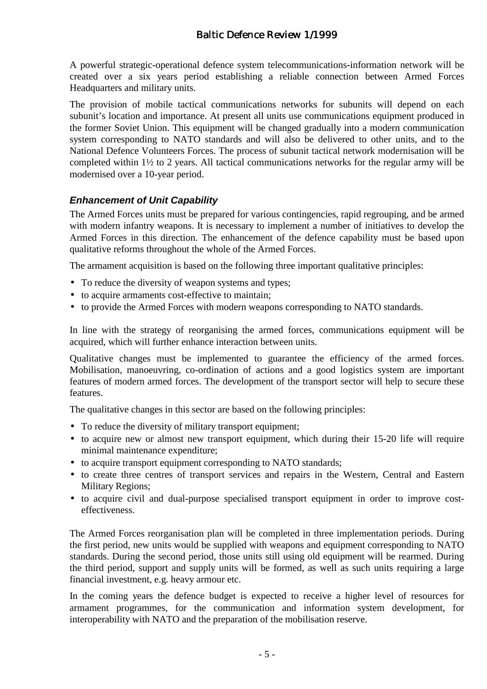A powerful strategic-operational defence system telecommunications-information network will be created over a six years period establishing a reliable connection between Armed Forces Headquarters and military units.

The provision of mobile tactical communications networks for subunits will depend on each subunit's location and importance. At present all units use communications equipment produced in the former Soviet Union. This equipment will be changed gradually into a modern communication system corresponding to NATO standards and will also be delivered to other units, and to the National Defence Volunteers Forces. The process of subunit tactical network modernisation will be completed within 1½ to 2 years. All tactical communications networks for the regular army will be modernised over a 10-year period.

### *Enhancement of Unit Capability*

The Armed Forces units must be prepared for various contingencies, rapid regrouping, and be armed with modern infantry weapons. It is necessary to implement a number of initiatives to develop the Armed Forces in this direction. The enhancement of the defence capability must be based upon qualitative reforms throughout the whole of the Armed Forces.

The armament acquisition is based on the following three important qualitative principles:

- To reduce the diversity of weapon systems and types;
- to acquire armaments cost-effective to maintain;
- to provide the Armed Forces with modern weapons corresponding to NATO standards.

In line with the strategy of reorganising the armed forces, communications equipment will be acquired, which will further enhance interaction between units.

Qualitative changes must be implemented to guarantee the efficiency of the armed forces. Mobilisation, manoeuvring, co-ordination of actions and a good logistics system are important features of modern armed forces. The development of the transport sector will help to secure these features.

The qualitative changes in this sector are based on the following principles:

- To reduce the diversity of military transport equipment;
- to acquire new or almost new transport equipment, which during their 15-20 life will require minimal maintenance expenditure;
- to acquire transport equipment corresponding to NATO standards;
- to create three centres of transport services and repairs in the Western, Central and Eastern Military Regions;
- to acquire civil and dual-purpose specialised transport equipment in order to improve costeffectiveness.

The Armed Forces reorganisation plan will be completed in three implementation periods. During the first period, new units would be supplied with weapons and equipment corresponding to NATO standards. During the second period, those units still using old equipment will be rearmed. During the third period, support and supply units will be formed, as well as such units requiring a large financial investment, e.g. heavy armour etc.

In the coming years the defence budget is expected to receive a higher level of resources for armament programmes, for the communication and information system development, for interoperability with NATO and the preparation of the mobilisation reserve.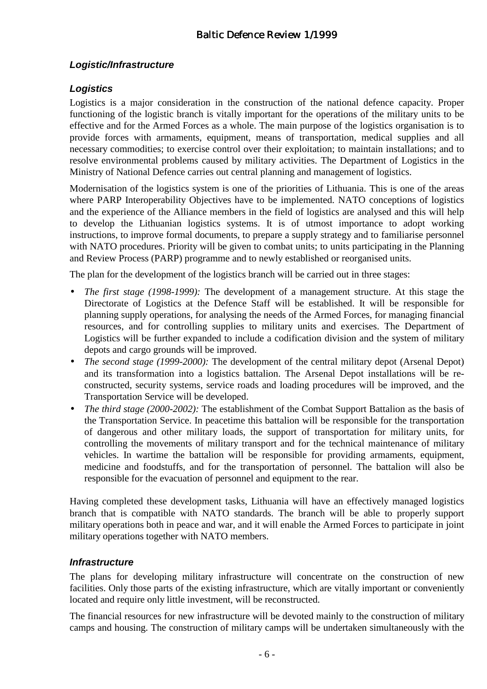### *Logistic/Infrastructure*

#### *Logistics*

Logistics is a major consideration in the construction of the national defence capacity. Proper functioning of the logistic branch is vitally important for the operations of the military units to be effective and for the Armed Forces as a whole. The main purpose of the logistics organisation is to provide forces with armaments, equipment, means of transportation, medical supplies and all necessary commodities; to exercise control over their exploitation; to maintain installations; and to resolve environmental problems caused by military activities. The Department of Logistics in the Ministry of National Defence carries out central planning and management of logistics.

Modernisation of the logistics system is one of the priorities of Lithuania. This is one of the areas where PARP Interoperability Objectives have to be implemented. NATO conceptions of logistics and the experience of the Alliance members in the field of logistics are analysed and this will help to develop the Lithuanian logistics systems. It is of utmost importance to adopt working instructions, to improve formal documents, to prepare a supply strategy and to familiarise personnel with NATO procedures. Priority will be given to combat units; to units participating in the Planning and Review Process (PARP) programme and to newly established or reorganised units.

The plan for the development of the logistics branch will be carried out in three stages:

- *The first stage (1998-1999):* The development of a management structure. At this stage the Directorate of Logistics at the Defence Staff will be established. It will be responsible for planning supply operations, for analysing the needs of the Armed Forces, for managing financial resources, and for controlling supplies to military units and exercises. The Department of Logistics will be further expanded to include a codification division and the system of military depots and cargo grounds will be improved.
- *The second stage (1999-2000):* The development of the central military depot (Arsenal Depot) and its transformation into a logistics battalion. The Arsenal Depot installations will be reconstructed, security systems, service roads and loading procedures will be improved, and the Transportation Service will be developed.
- *The third stage (2000-2002):* The establishment of the Combat Support Battalion as the basis of the Transportation Service. In peacetime this battalion will be responsible for the transportation of dangerous and other military loads, the support of transportation for military units, for controlling the movements of military transport and for the technical maintenance of military vehicles. In wartime the battalion will be responsible for providing armaments, equipment, medicine and foodstuffs, and for the transportation of personnel. The battalion will also be responsible for the evacuation of personnel and equipment to the rear.

Having completed these development tasks, Lithuania will have an effectively managed logistics branch that is compatible with NATO standards. The branch will be able to properly support military operations both in peace and war, and it will enable the Armed Forces to participate in joint military operations together with NATO members.

#### *Infrastructure*

The plans for developing military infrastructure will concentrate on the construction of new facilities. Only those parts of the existing infrastructure, which are vitally important or conveniently located and require only little investment, will be reconstructed.

The financial resources for new infrastructure will be devoted mainly to the construction of military camps and housing. The construction of military camps will be undertaken simultaneously with the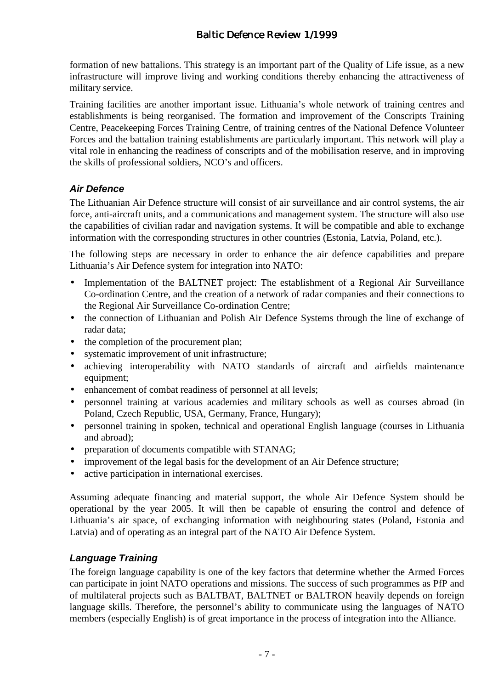formation of new battalions. This strategy is an important part of the Quality of Life issue, as a new infrastructure will improve living and working conditions thereby enhancing the attractiveness of military service.

Training facilities are another important issue. Lithuania's whole network of training centres and establishments is being reorganised. The formation and improvement of the Conscripts Training Centre, Peacekeeping Forces Training Centre, of training centres of the National Defence Volunteer Forces and the battalion training establishments are particularly important. This network will play a vital role in enhancing the readiness of conscripts and of the mobilisation reserve, and in improving the skills of professional soldiers, NCO's and officers.

### *Air Defence*

The Lithuanian Air Defence structure will consist of air surveillance and air control systems, the air force, anti-aircraft units, and a communications and management system. The structure will also use the capabilities of civilian radar and navigation systems. It will be compatible and able to exchange information with the corresponding structures in other countries (Estonia, Latvia, Poland, etc.).

The following steps are necessary in order to enhance the air defence capabilities and prepare Lithuania's Air Defence system for integration into NATO:

- Implementation of the BALTNET project: The establishment of a Regional Air Surveillance Co-ordination Centre, and the creation of a network of radar companies and their connections to the Regional Air Surveillance Co-ordination Centre;
- the connection of Lithuanian and Polish Air Defence Systems through the line of exchange of radar data;
- the completion of the procurement plan;
- systematic improvement of unit infrastructure;
- achieving interoperability with NATO standards of aircraft and airfields maintenance equipment;
- enhancement of combat readiness of personnel at all levels;
- personnel training at various academies and military schools as well as courses abroad (in Poland, Czech Republic, USA, Germany, France, Hungary);
- personnel training in spoken, technical and operational English language (courses in Lithuania) and abroad);
- preparation of documents compatible with STANAG;
- improvement of the legal basis for the development of an Air Defence structure;
- active participation in international exercises.

Assuming adequate financing and material support, the whole Air Defence System should be operational by the year 2005. It will then be capable of ensuring the control and defence of Lithuania's air space, of exchanging information with neighbouring states (Poland, Estonia and Latvia) and of operating as an integral part of the NATO Air Defence System.

### *Language Training*

The foreign language capability is one of the key factors that determine whether the Armed Forces can participate in joint NATO operations and missions. The success of such programmes as PfP and of multilateral projects such as BALTBAT, BALTNET or BALTRON heavily depends on foreign language skills. Therefore, the personnel's ability to communicate using the languages of NATO members (especially English) is of great importance in the process of integration into the Alliance.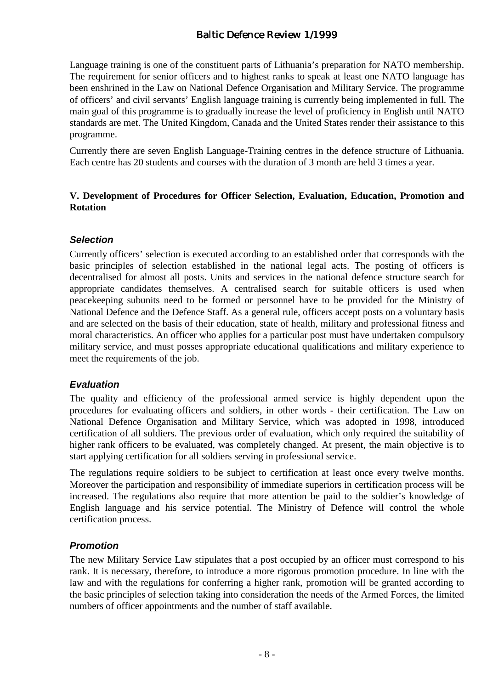Language training is one of the constituent parts of Lithuania's preparation for NATO membership. The requirement for senior officers and to highest ranks to speak at least one NATO language has been enshrined in the Law on National Defence Organisation and Military Service. The programme of officers' and civil servants' English language training is currently being implemented in full. The main goal of this programme is to gradually increase the level of proficiency in English until NATO standards are met. The United Kingdom, Canada and the United States render their assistance to this programme.

Currently there are seven English Language-Training centres in the defence structure of Lithuania. Each centre has 20 students and courses with the duration of 3 month are held 3 times a year.

#### **V. Development of Procedures for Officer Selection, Evaluation, Education, Promotion and Rotation**

#### *Selection*

Currently officers' selection is executed according to an established order that corresponds with the basic principles of selection established in the national legal acts. The posting of officers is decentralised for almost all posts. Units and services in the national defence structure search for appropriate candidates themselves. A centralised search for suitable officers is used when peacekeeping subunits need to be formed or personnel have to be provided for the Ministry of National Defence and the Defence Staff. As a general rule, officers accept posts on a voluntary basis and are selected on the basis of their education, state of health, military and professional fitness and moral characteristics. An officer who applies for a particular post must have undertaken compulsory military service, and must posses appropriate educational qualifications and military experience to meet the requirements of the job.

#### *Evaluation*

The quality and efficiency of the professional armed service is highly dependent upon the procedures for evaluating officers and soldiers, in other words - their certification. The Law on National Defence Organisation and Military Service, which was adopted in 1998, introduced certification of all soldiers. The previous order of evaluation, which only required the suitability of higher rank officers to be evaluated, was completely changed. At present, the main objective is to start applying certification for all soldiers serving in professional service.

The regulations require soldiers to be subject to certification at least once every twelve months. Moreover the participation and responsibility of immediate superiors in certification process will be increased. The regulations also require that more attention be paid to the soldier's knowledge of English language and his service potential. The Ministry of Defence will control the whole certification process.

#### *Promotion*

The new Military Service Law stipulates that a post occupied by an officer must correspond to his rank. It is necessary, therefore, to introduce a more rigorous promotion procedure. In line with the law and with the regulations for conferring a higher rank, promotion will be granted according to the basic principles of selection taking into consideration the needs of the Armed Forces, the limited numbers of officer appointments and the number of staff available.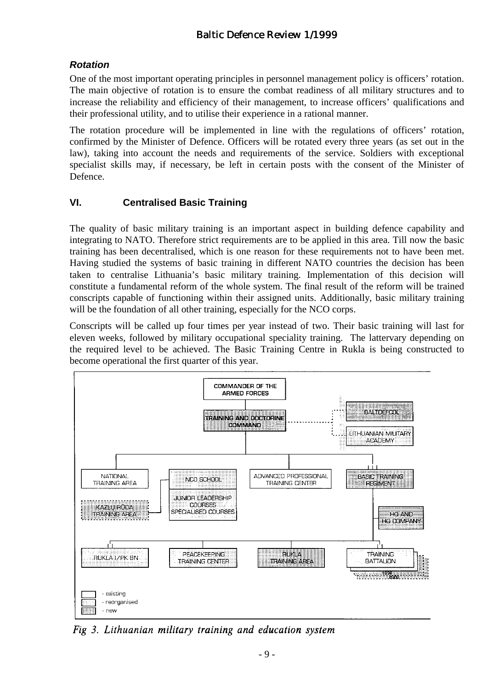## *Rotation*

One of the most important operating principles in personnel management policy is officers' rotation. The main objective of rotation is to ensure the combat readiness of all military structures and to increase the reliability and efficiency of their management, to increase officers' qualifications and their professional utility, and to utilise their experience in a rational manner.

The rotation procedure will be implemented in line with the regulations of officers' rotation, confirmed by the Minister of Defence. Officers will be rotated every three years (as set out in the law), taking into account the needs and requirements of the service. Soldiers with exceptional specialist skills may, if necessary, be left in certain posts with the consent of the Minister of Defence.

### **VI. Centralised Basic Training**

The quality of basic military training is an important aspect in building defence capability and integrating to NATO. Therefore strict requirements are to be applied in this area. Till now the basic training has been decentralised, which is one reason for these requirements not to have been met. Having studied the systems of basic training in different NATO countries the decision has been taken to centralise Lithuania's basic military training. Implementation of this decision will constitute a fundamental reform of the whole system. The final result of the reform will be trained conscripts capable of functioning within their assigned units. Additionally, basic military training will be the foundation of all other training, especially for the NCO corps.

Conscripts will be called up four times per year instead of two. Their basic training will last for eleven weeks, followed by military occupational speciality training. The lattervary depending on the required level to be achieved. The Basic Training Centre in Rukla is being constructed to become operational the first quarter of this year.



Fig 3. Lithuanian military training and education system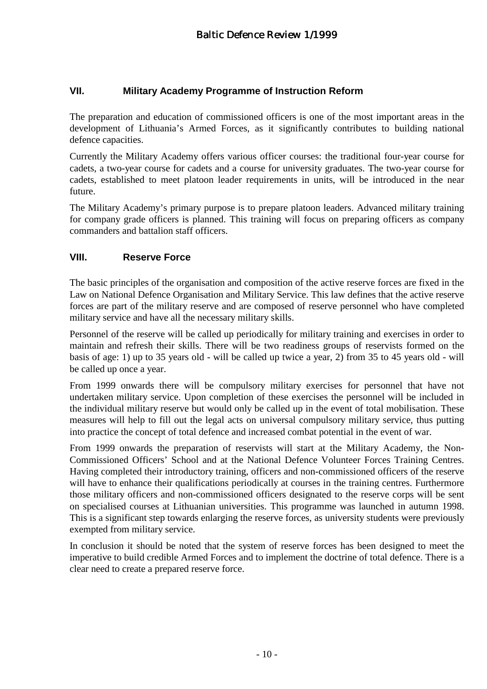#### **VII. Military Academy Programme of Instruction Reform**

The preparation and education of commissioned officers is one of the most important areas in the development of Lithuania's Armed Forces, as it significantly contributes to building national defence capacities.

Currently the Military Academy offers various officer courses: the traditional four-year course for cadets, a two-year course for cadets and a course for university graduates. The two-year course for cadets, established to meet platoon leader requirements in units, will be introduced in the near future.

The Military Academy's primary purpose is to prepare platoon leaders. Advanced military training for company grade officers is planned. This training will focus on preparing officers as company commanders and battalion staff officers.

#### **VIII. Reserve Force**

The basic principles of the organisation and composition of the active reserve forces are fixed in the Law on National Defence Organisation and Military Service. This law defines that the active reserve forces are part of the military reserve and are composed of reserve personnel who have completed military service and have all the necessary military skills.

Personnel of the reserve will be called up periodically for military training and exercises in order to maintain and refresh their skills. There will be two readiness groups of reservists formed on the basis of age: 1) up to 35 years old - will be called up twice a year, 2) from 35 to 45 years old - will be called up once a year.

From 1999 onwards there will be compulsory military exercises for personnel that have not undertaken military service. Upon completion of these exercises the personnel will be included in the individual military reserve but would only be called up in the event of total mobilisation. These measures will help to fill out the legal acts on universal compulsory military service, thus putting into practice the concept of total defence and increased combat potential in the event of war.

From 1999 onwards the preparation of reservists will start at the Military Academy, the Non-Commissioned Officers' School and at the National Defence Volunteer Forces Training Centres. Having completed their introductory training, officers and non-commissioned officers of the reserve will have to enhance their qualifications periodically at courses in the training centres. Furthermore those military officers and non-commissioned officers designated to the reserve corps will be sent on specialised courses at Lithuanian universities. This programme was launched in autumn 1998. This is a significant step towards enlarging the reserve forces, as university students were previously exempted from military service.

In conclusion it should be noted that the system of reserve forces has been designed to meet the imperative to build credible Armed Forces and to implement the doctrine of total defence. There is a clear need to create a prepared reserve force.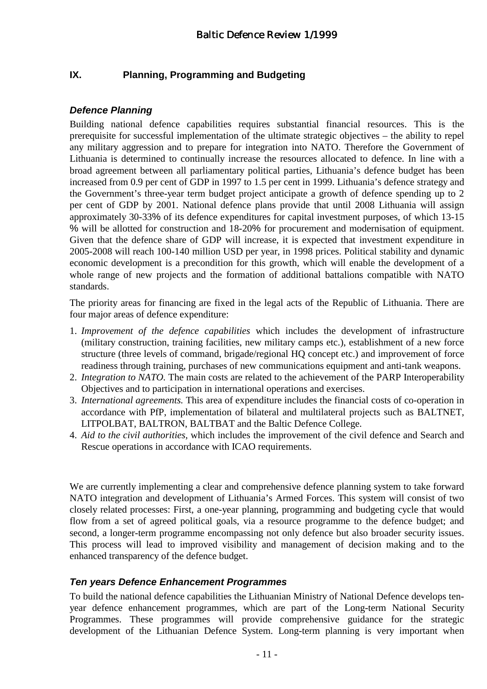#### **IX. Planning, Programming and Budgeting**

#### *Defence Planning*

Building national defence capabilities requires substantial financial resources. This is the prerequisite for successful implementation of the ultimate strategic objectives – the ability to repel any military aggression and to prepare for integration into NATO. Therefore the Government of Lithuania is determined to continually increase the resources allocated to defence. In line with a broad agreement between all parliamentary political parties, Lithuania's defence budget has been increased from 0.9 per cent of GDP in 1997 to 1.5 per cent in 1999. Lithuania's defence strategy and the Government's three-year term budget project anticipate a growth of defence spending up to 2 per cent of GDP by 2001. National defence plans provide that until 2008 Lithuania will assign approximately 30-33% of its defence expenditures for capital investment purposes, of which 13-15 % will be allotted for construction and 18-20% for procurement and modernisation of equipment. Given that the defence share of GDP will increase, it is expected that investment expenditure in 2005-2008 will reach 100-140 million USD per year, in 1998 prices. Political stability and dynamic economic development is a precondition for this growth, which will enable the development of a whole range of new projects and the formation of additional battalions compatible with NATO standards.

The priority areas for financing are fixed in the legal acts of the Republic of Lithuania. There are four major areas of defence expenditure:

- 1. *Improvement of the defence capabilities* which includes the development of infrastructure (military construction, training facilities, new military camps etc.), establishment of a new force structure (three levels of command, brigade/regional HQ concept etc.) and improvement of force readiness through training, purchases of new communications equipment and anti-tank weapons.
- 2. *Integration to NATO.* The main costs are related to the achievement of the PARP Interoperability Objectives and to participation in international operations and exercises.
- 3. *International agreements.* This area of expenditure includes the financial costs of co-operation in accordance with PfP, implementation of bilateral and multilateral projects such as BALTNET, LITPOLBAT, BALTRON, BALTBAT and the Baltic Defence College.
- 4. *Aid to the civil authorities,* which includes the improvement of the civil defence and Search and Rescue operations in accordance with ICAO requirements.

We are currently implementing a clear and comprehensive defence planning system to take forward NATO integration and development of Lithuania's Armed Forces. This system will consist of two closely related processes: First, a one-year planning, programming and budgeting cycle that would flow from a set of agreed political goals, via a resource programme to the defence budget; and second, a longer-term programme encompassing not only defence but also broader security issues. This process will lead to improved visibility and management of decision making and to the enhanced transparency of the defence budget.

#### *Ten years Defence Enhancement Programmes*

To build the national defence capabilities the Lithuanian Ministry of National Defence develops tenyear defence enhancement programmes, which are part of the Long-term National Security Programmes. These programmes will provide comprehensive guidance for the strategic development of the Lithuanian Defence System. Long-term planning is very important when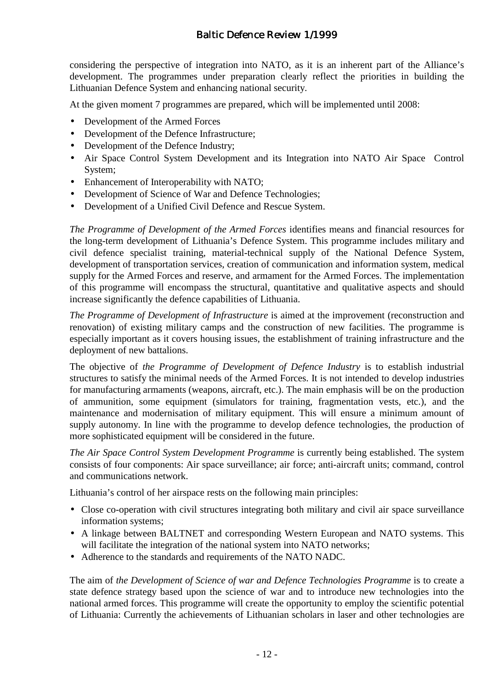considering the perspective of integration into NATO, as it is an inherent part of the Alliance's development. The programmes under preparation clearly reflect the priorities in building the Lithuanian Defence System and enhancing national security.

At the given moment 7 programmes are prepared, which will be implemented until 2008:

- Development of the Armed Forces
- Development of the Defence Infrastructure:
- Development of the Defence Industry;
- Air Space Control System Development and its Integration into NATO Air Space Control System;
- Enhancement of Interoperability with NATO;
- Development of Science of War and Defence Technologies;
- Development of a Unified Civil Defence and Rescue System.

*The Programme of Development of the Armed Forces* identifies means and financial resources for the long-term development of Lithuania's Defence System. This programme includes military and civil defence specialist training, material-technical supply of the National Defence System, development of transportation services, creation of communication and information system, medical supply for the Armed Forces and reserve, and armament for the Armed Forces. The implementation of this programme will encompass the structural, quantitative and qualitative aspects and should increase significantly the defence capabilities of Lithuania.

*The Programme of Development of Infrastructure* is aimed at the improvement (reconstruction and renovation) of existing military camps and the construction of new facilities. The programme is especially important as it covers housing issues, the establishment of training infrastructure and the deployment of new battalions.

The objective of *the Programme of Development of Defence Industry* is to establish industrial structures to satisfy the minimal needs of the Armed Forces. It is not intended to develop industries for manufacturing armaments (weapons, aircraft, etc.). The main emphasis will be on the production of ammunition, some equipment (simulators for training, fragmentation vests, etc.), and the maintenance and modernisation of military equipment. This will ensure a minimum amount of supply autonomy. In line with the programme to develop defence technologies, the production of more sophisticated equipment will be considered in the future.

*The Air Space Control System Development Programme* is currently being established. The system consists of four components: Air space surveillance; air force; anti-aircraft units; command, control and communications network.

Lithuania's control of her airspace rests on the following main principles:

- Close co-operation with civil structures integrating both military and civil air space surveillance information systems;
- A linkage between BALTNET and corresponding Western European and NATO systems. This will facilitate the integration of the national system into NATO networks;
- Adherence to the standards and requirements of the NATO NADC.

The aim of *the Development of Science of war and Defence Technologies Programme* is to create a state defence strategy based upon the science of war and to introduce new technologies into the national armed forces. This programme will create the opportunity to employ the scientific potential of Lithuania: Currently the achievements of Lithuanian scholars in laser and other technologies are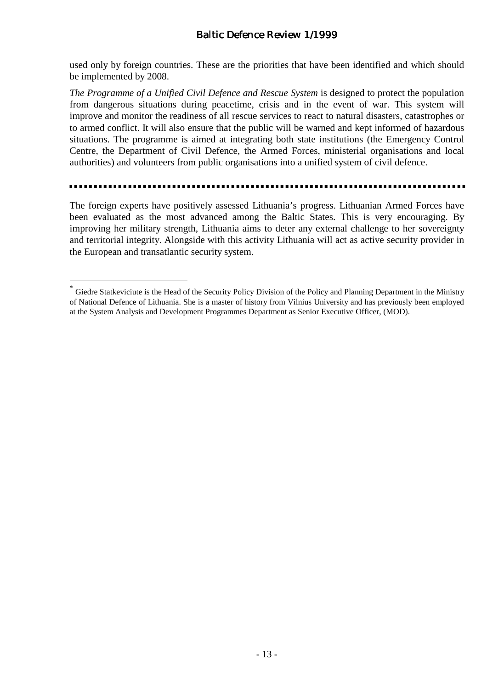<span id="page-35-0"></span>used only by foreign countries. These are the priorities that have been identified and which should be implemented by 2008.

*The Programme of a Unified Civil Defence and Rescue System* is designed to protect the population from dangerous situations during peacetime, crisis and in the event of war. This system will improve and monitor the readiness of all rescue services to react to natural disasters, catastrophes or to armed conflict. It will also ensure that the public will be warned and kept informed of hazardous situations. The programme is aimed at integrating both state institutions (the Emergency Control Centre, the Department of Civil Defence, the Armed Forces, ministerial organisations and local authorities) and volunteers from public organisations into a unified system of civil defence.

The foreign experts have positively assessed Lithuania's progress. Lithuanian Armed Forces have been evaluated as the most advanced among the Baltic States. This is very encouraging. By improving her military strength, Lithuania aims to deter any external challenge to her sovereignty and territorial integrity. Alongside with this activity Lithuania will act as active security provider in the European and transatlantic security system.

 $\overline{a}$ 

Giedre Statkeviciute is the Head of the Security Policy Division of the Policy and Planning Department in the Ministry of National Defence of Lithuania. She is a master of history from Vilnius University and has previously been employed at the System Analysis and Development Programmes Department as Senior Executive Officer, (MOD).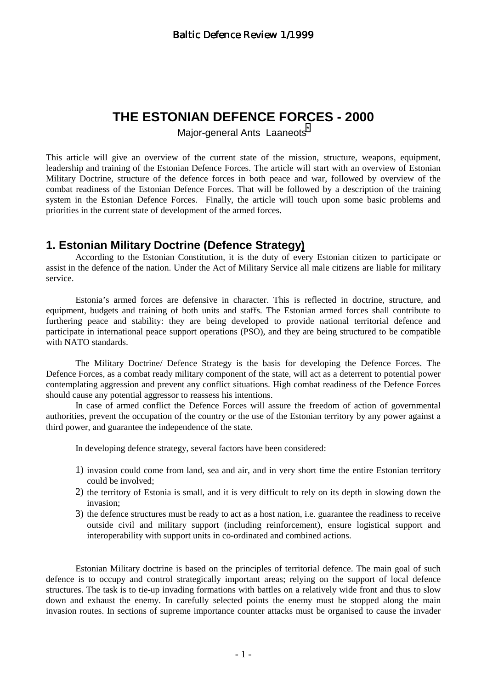# **THE ESTONIAN DEFENCE FORCES - 2000**

Major-general Ants Laaneots<sup>[\\*](#page-42-0)</sup>

This article will give an overview of the current state of the mission, structure, weapons, equipment, leadership and training of the Estonian Defence Forces. The article will start with an overview of Estonian Military Doctrine, structure of the defence forces in both peace and war, followed by overview of the combat readiness of the Estonian Defence Forces. That will be followed by a description of the training system in the Estonian Defence Forces. Finally, the article will touch upon some basic problems and priorities in the current state of development of the armed forces.

# **1. Estonian Military Doctrine (Defence Strategy)**

According to the Estonian Constitution, it is the duty of every Estonian citizen to participate or assist in the defence of the nation. Under the Act of Military Service all male citizens are liable for military service.

Estonia's armed forces are defensive in character. This is reflected in doctrine, structure, and equipment, budgets and training of both units and staffs. The Estonian armed forces shall contribute to furthering peace and stability: they are being developed to provide national territorial defence and participate in international peace support operations (PSO), and they are being structured to be compatible with NATO standards.

The Military Doctrine/ Defence Strategy is the basis for developing the Defence Forces. The Defence Forces, as a combat ready military component of the state, will act as a deterrent to potential power contemplating aggression and prevent any conflict situations. High combat readiness of the Defence Forces should cause any potential aggressor to reassess his intentions.

In case of armed conflict the Defence Forces will assure the freedom of action of governmental authorities, prevent the occupation of the country or the use of the Estonian territory by any power against a third power, and guarantee the independence of the state.

In developing defence strategy, several factors have been considered:

- 1) invasion could come from land, sea and air, and in very short time the entire Estonian territory could be involved;
- 2) the territory of Estonia is small, and it is very difficult to rely on its depth in slowing down the invasion;
- 3) the defence structures must be ready to act as a host nation, i.e. guarantee the readiness to receive outside civil and military support (including reinforcement), ensure logistical support and interoperability with support units in co-ordinated and combined actions.

Estonian Military doctrine is based on the principles of territorial defence. The main goal of such defence is to occupy and control strategically important areas; relying on the support of local defence structures. The task is to tie-up invading formations with battles on a relatively wide front and thus to slow down and exhaust the enemy. In carefully selected points the enemy must be stopped along the main invasion routes. In sections of supreme importance counter attacks must be organised to cause the invader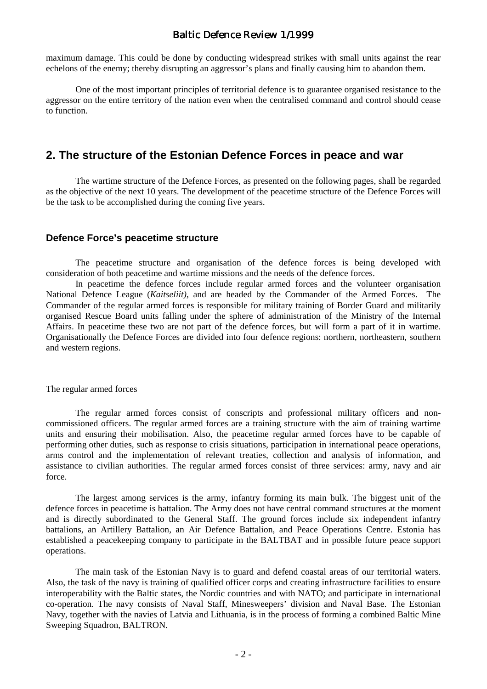maximum damage. This could be done by conducting widespread strikes with small units against the rear echelons of the enemy; thereby disrupting an aggressor's plans and finally causing him to abandon them.

One of the most important principles of territorial defence is to guarantee organised resistance to the aggressor on the entire territory of the nation even when the centralised command and control should cease to function.

# **2. The structure of the Estonian Defence Forces in peace and war**

The wartime structure of the Defence Forces, as presented on the following pages, shall be regarded as the objective of the next 10 years. The development of the peacetime structure of the Defence Forces will be the task to be accomplished during the coming five years.

#### **Defence Force's peacetime structure**

The peacetime structure and organisation of the defence forces is being developed with consideration of both peacetime and wartime missions and the needs of the defence forces.

In peacetime the defence forces include regular armed forces and the volunteer organisation National Defence League (*Kaitseliit),* and are headed by the Commander of the Armed Forces. The Commander of the regular armed forces is responsible for military training of Border Guard and militarily organised Rescue Board units falling under the sphere of administration of the Ministry of the Internal Affairs. In peacetime these two are not part of the defence forces, but will form a part of it in wartime. Organisationally the Defence Forces are divided into four defence regions: northern, northeastern, southern and western regions.

The regular armed forces

The regular armed forces consist of conscripts and professional military officers and noncommissioned officers. The regular armed forces are a training structure with the aim of training wartime units and ensuring their mobilisation. Also, the peacetime regular armed forces have to be capable of performing other duties, such as response to crisis situations, participation in international peace operations, arms control and the implementation of relevant treaties, collection and analysis of information, and assistance to civilian authorities. The regular armed forces consist of three services: army, navy and air force.

The largest among services is the army, infantry forming its main bulk. The biggest unit of the defence forces in peacetime is battalion. The Army does not have central command structures at the moment and is directly subordinated to the General Staff. The ground forces include six independent infantry battalions, an Artillery Battalion, an Air Defence Battalion, and Peace Operations Centre. Estonia has established a peacekeeping company to participate in the BALTBAT and in possible future peace support operations.

The main task of the Estonian Navy is to guard and defend coastal areas of our territorial waters. Also, the task of the navy is training of qualified officer corps and creating infrastructure facilities to ensure interoperability with the Baltic states, the Nordic countries and with NATO; and participate in international co-operation. The navy consists of Naval Staff, Minesweepers' division and Naval Base. The Estonian Navy, together with the navies of Latvia and Lithuania, is in the process of forming a combined Baltic Mine Sweeping Squadron, BALTRON.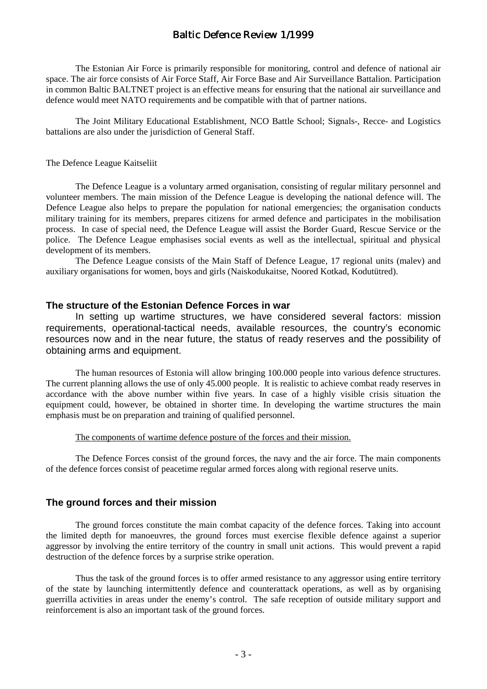The Estonian Air Force is primarily responsible for monitoring, control and defence of national air space. The air force consists of Air Force Staff, Air Force Base and Air Surveillance Battalion. Participation in common Baltic BALTNET project is an effective means for ensuring that the national air surveillance and defence would meet NATO requirements and be compatible with that of partner nations.

The Joint Military Educational Establishment, NCO Battle School; Signals-, Recce- and Logistics battalions are also under the jurisdiction of General Staff.

#### The Defence League Kaitseliit

The Defence League is a voluntary armed organisation, consisting of regular military personnel and volunteer members. The main mission of the Defence League is developing the national defence will. The Defence League also helps to prepare the population for national emergencies; the organisation conducts military training for its members, prepares citizens for armed defence and participates in the mobilisation process. In case of special need, the Defence League will assist the Border Guard, Rescue Service or the police. The Defence League emphasises social events as well as the intellectual, spiritual and physical development of its members.

The Defence League consists of the Main Staff of Defence League, 17 regional units (malev) and auxiliary organisations for women, boys and girls (Naiskodukaitse, Noored Kotkad, Kodutütred).

#### **The structure of the Estonian Defence Forces in war**

In setting up wartime structures, we have considered several factors: mission requirements, operational-tactical needs, available resources, the country's economic resources now and in the near future, the status of ready reserves and the possibility of obtaining arms and equipment.

The human resources of Estonia will allow bringing 100.000 people into various defence structures. The current planning allows the use of only 45.000 people. It is realistic to achieve combat ready reserves in accordance with the above number within five years. In case of a highly visible crisis situation the equipment could, however, be obtained in shorter time. In developing the wartime structures the main emphasis must be on preparation and training of qualified personnel.

#### The components of wartime defence posture of the forces and their mission.

The Defence Forces consist of the ground forces, the navy and the air force. The main components of the defence forces consist of peacetime regular armed forces along with regional reserve units.

#### **The ground forces and their mission**

The ground forces constitute the main combat capacity of the defence forces. Taking into account the limited depth for manoeuvres, the ground forces must exercise flexible defence against a superior aggressor by involving the entire territory of the country in small unit actions. This would prevent a rapid destruction of the defence forces by a surprise strike operation.

Thus the task of the ground forces is to offer armed resistance to any aggressor using entire territory of the state by launching intermittently defence and counterattack operations, as well as by organising guerrilla activities in areas under the enemy's control. The safe reception of outside military support and reinforcement is also an important task of the ground forces.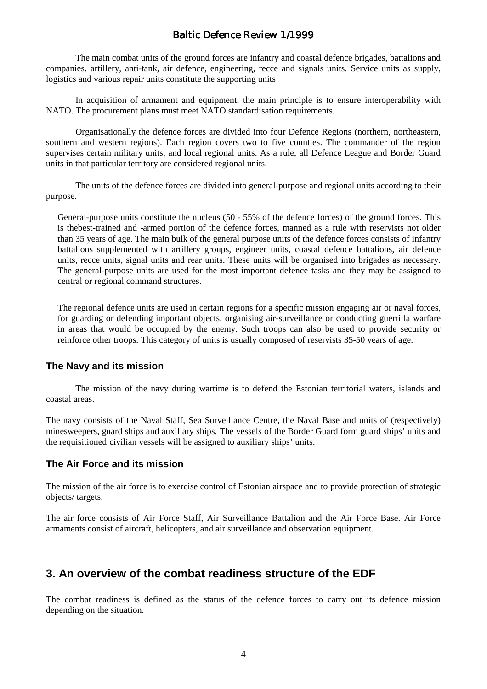The main combat units of the ground forces are infantry and coastal defence brigades, battalions and companies. artillery, anti-tank, air defence, engineering, recce and signals units. Service units as supply, logistics and various repair units constitute the supporting units

In acquisition of armament and equipment, the main principle is to ensure interoperability with NATO. The procurement plans must meet NATO standardisation requirements.

Organisationally the defence forces are divided into four Defence Regions (northern, northeastern, southern and western regions). Each region covers two to five counties. The commander of the region supervises certain military units, and local regional units. As a rule, all Defence League and Border Guard units in that particular territory are considered regional units.

The units of the defence forces are divided into general-purpose and regional units according to their purpose.

General-purpose units constitute the nucleus (50 - 55% of the defence forces) of the ground forces. This is thebest-trained and -armed portion of the defence forces, manned as a rule with reservists not older than 35 years of age. The main bulk of the general purpose units of the defence forces consists of infantry battalions supplemented with artillery groups, engineer units, coastal defence battalions, air defence units, recce units, signal units and rear units. These units will be organised into brigades as necessary. The general-purpose units are used for the most important defence tasks and they may be assigned to central or regional command structures.

The regional defence units are used in certain regions for a specific mission engaging air or naval forces, for guarding or defending important objects, organising air-surveillance or conducting guerrilla warfare in areas that would be occupied by the enemy. Such troops can also be used to provide security or reinforce other troops. This category of units is usually composed of reservists 35-50 years of age.

### **The Navy and its mission**

The mission of the navy during wartime is to defend the Estonian territorial waters, islands and coastal areas.

The navy consists of the Naval Staff, Sea Surveillance Centre, the Naval Base and units of (respectively) minesweepers, guard ships and auxiliary ships. The vessels of the Border Guard form guard ships' units and the requisitioned civilian vessels will be assigned to auxiliary ships' units.

#### **The Air Force and its mission**

The mission of the air force is to exercise control of Estonian airspace and to provide protection of strategic objects/ targets.

The air force consists of Air Force Staff, Air Surveillance Battalion and the Air Force Base. Air Force armaments consist of aircraft, helicopters, and air surveillance and observation equipment.

# **3. An overview of the combat readiness structure of the EDF**

The combat readiness is defined as the status of the defence forces to carry out its defence mission depending on the situation.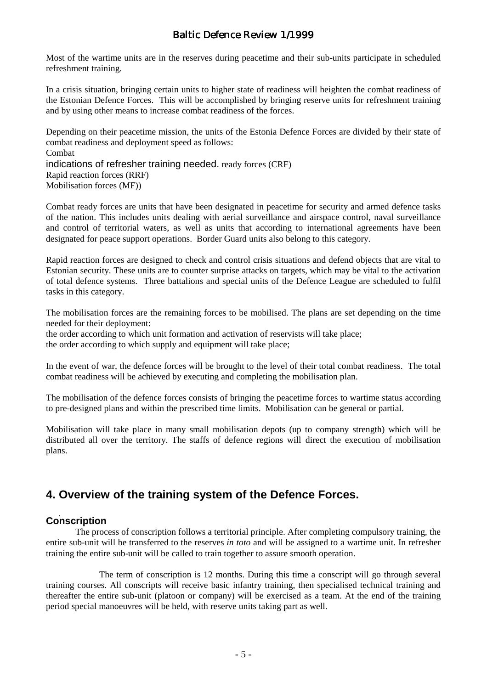Most of the wartime units are in the reserves during peacetime and their sub-units participate in scheduled refreshment training.

In a crisis situation, bringing certain units to higher state of readiness will heighten the combat readiness of the Estonian Defence Forces. This will be accomplished by bringing reserve units for refreshment training and by using other means to increase combat readiness of the forces.

Depending on their peacetime mission, the units of the Estonia Defence Forces are divided by their state of combat readiness and deployment speed as follows:

Combat indications of refresher training needed. ready forces (CRF) Rapid reaction forces (RRF) Mobilisation forces (MF))

Combat ready forces are units that have been designated in peacetime for security and armed defence tasks of the nation. This includes units dealing with aerial surveillance and airspace control, naval surveillance and control of territorial waters, as well as units that according to international agreements have been designated for peace support operations. Border Guard units also belong to this category.

Rapid reaction forces are designed to check and control crisis situations and defend objects that are vital to Estonian security. These units are to counter surprise attacks on targets, which may be vital to the activation of total defence systems. Three battalions and special units of the Defence League are scheduled to fulfil tasks in this category.

The mobilisation forces are the remaining forces to be mobilised. The plans are set depending on the time needed for their deployment:

the order according to which unit formation and activation of reservists will take place;

the order according to which supply and equipment will take place;

In the event of war, the defence forces will be brought to the level of their total combat readiness. The total combat readiness will be achieved by executing and completing the mobilisation plan.

The mobilisation of the defence forces consists of bringing the peacetime forces to wartime status according to pre-designed plans and within the prescribed time limits. Mobilisation can be general or partial.

Mobilisation will take place in many small mobilisation depots (up to company strength) which will be distributed all over the territory. The staffs of defence regions will direct the execution of mobilisation plans.

# **4. Overview of the training system of the Defence Forces.**

### **Conscription**

The process of conscription follows a territorial principle. After completing compulsory training, the entire sub-unit will be transferred to the reserves *in toto* and will be assigned to a wartime unit. In refresher training the entire sub-unit will be called to train together to assure smooth operation.

The term of conscription is 12 months. During this time a conscript will go through several training courses. All conscripts will receive basic infantry training, then specialised technical training and thereafter the entire sub-unit (platoon or company) will be exercised as a team. At the end of the training period special manoeuvres will be held, with reserve units taking part as well.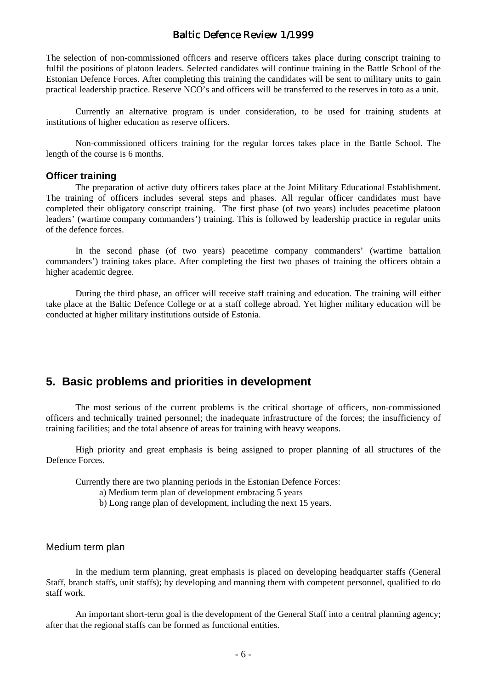The selection of non-commissioned officers and reserve officers takes place during conscript training to fulfil the positions of platoon leaders. Selected candidates will continue training in the Battle School of the Estonian Defence Forces. After completing this training the candidates will be sent to military units to gain practical leadership practice. Reserve NCO's and officers will be transferred to the reserves in toto as a unit.

Currently an alternative program is under consideration, to be used for training students at institutions of higher education as reserve officers.

Non-commissioned officers training for the regular forces takes place in the Battle School. The length of the course is 6 months.

#### **Officer training**

The preparation of active duty officers takes place at the Joint Military Educational Establishment. The training of officers includes several steps and phases. All regular officer candidates must have completed their obligatory conscript training. The first phase (of two years) includes peacetime platoon leaders' (wartime company commanders') training. This is followed by leadership practice in regular units of the defence forces.

In the second phase (of two years) peacetime company commanders' (wartime battalion commanders') training takes place. After completing the first two phases of training the officers obtain a higher academic degree.

During the third phase, an officer will receive staff training and education. The training will either take place at the Baltic Defence College or at a staff college abroad. Yet higher military education will be conducted at higher military institutions outside of Estonia.

# **5. Basic problems and priorities in development**

The most serious of the current problems is the critical shortage of officers, non-commissioned officers and technically trained personnel; the inadequate infrastructure of the forces; the insufficiency of training facilities; and the total absence of areas for training with heavy weapons.

High priority and great emphasis is being assigned to proper planning of all structures of the Defence Forces.

Currently there are two planning periods in the Estonian Defence Forces:

- a) Medium term plan of development embracing 5 years
- b) Long range plan of development, including the next 15 years.

#### Medium term plan

In the medium term planning, great emphasis is placed on developing headquarter staffs (General Staff, branch staffs, unit staffs); by developing and manning them with competent personnel, qualified to do staff work.

An important short-term goal is the development of the General Staff into a central planning agency; after that the regional staffs can be formed as functional entities.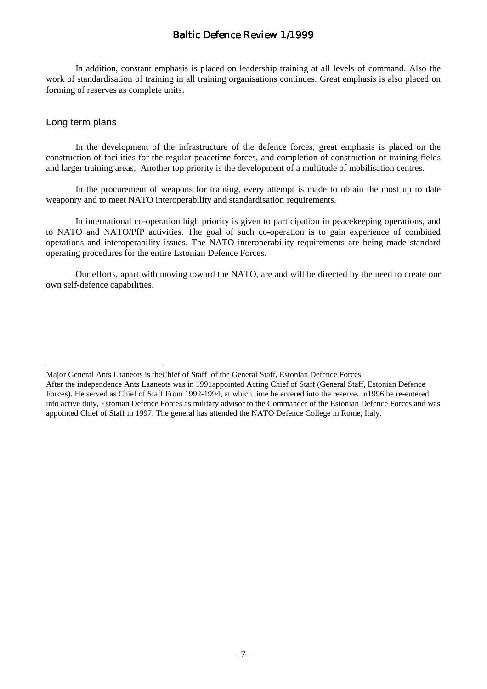<span id="page-42-0"></span>In addition, constant emphasis is placed on leadership training at all levels of command. Also the work of standardisation of training in all training organisations continues. Great emphasis is also placed on forming of reserves as complete units.

#### Long term plans

 $\overline{a}$ 

In the development of the infrastructure of the defence forces, great emphasis is placed on the construction of facilities for the regular peacetime forces, and completion of construction of training fields and larger training areas. Another top priority is the development of a multitude of mobilisation centres.

In the procurement of weapons for training, every attempt is made to obtain the most up to date weaponry and to meet NATO interoperability and standardisation requirements.

In international co-operation high priority is given to participation in peacekeeping operations, and to NATO and NATO/PfP activities. The goal of such co-operation is to gain experience of combined operations and interoperability issues. The NATO interoperability requirements are being made standard operating procedures for the entire Estonian Defence Forces.

Our efforts, apart with moving toward the NATO, are and will be directed by the need to create our own self-defence capabilities.

Major General Ants Laaneots is theChief of Staff of the General Staff, Estonian Defence Forces.

After the independence Ants Laaneots was in 1991appointed Acting Chief of Staff (General Staff, Estonian Defence Forces). He served as Chief of Staff From 1992-1994, at which time he entered into the reserve. In1996 he re-entered into active duty, Estonian Defence Forces as military advisor to the Commander of the Estonian Defence Forces and was appointed Chief of Staff in 1997. The general has attended the NATO Defence College in Rome, Italy.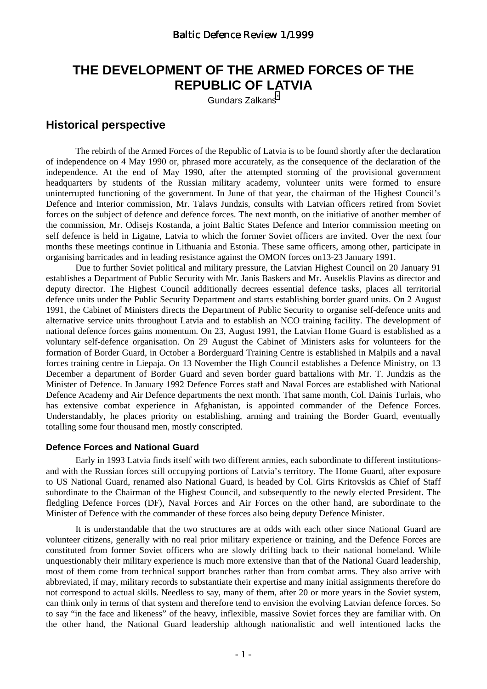# **THE DEVELOPMENT OF THE ARMED FORCES OF THE REPUBLIC OF LATVIA**

Gundars Zalkans<sup>[\\*](#page-50-0)</sup>

## **Historical perspective**

The rebirth of the Armed Forces of the Republic of Latvia is to be found shortly after the declaration of independence on 4 May 1990 or, phrased more accurately, as the consequence of the declaration of the independence. At the end of May 1990, after the attempted storming of the provisional government headquarters by students of the Russian military academy, volunteer units were formed to ensure uninterrupted functioning of the government. In June of that year, the chairman of the Highest Council's Defence and Interior commission, Mr. Talavs Jundzis, consults with Latvian officers retired from Soviet forces on the subject of defence and defence forces. The next month, on the initiative of another member of the commission, Mr. Odisejs Kostanda, a joint Baltic States Defence and Interior commission meeting on self defence is held in Ligatne, Latvia to which the former Soviet officers are invited. Over the next four months these meetings continue in Lithuania and Estonia. These same officers, among other, participate in organising barricades and in leading resistance against the OMON forces on13-23 January 1991.

Due to further Soviet political and military pressure, the Latvian Highest Council on 20 January 91 establishes a Department of Public Security with Mr. Janis Baskers and Mr. Auseklis Plavins as director and deputy director. The Highest Council additionally decrees essential defence tasks, places all territorial defence units under the Public Security Department and starts establishing border guard units. On 2 August 1991, the Cabinet of Ministers directs the Department of Public Security to organise self-defence units and alternative service units throughout Latvia and to establish an NCO training facility. The development of national defence forces gains momentum. On 23, August 1991, the Latvian Home Guard is established as a voluntary self-defence organisation. On 29 August the Cabinet of Ministers asks for volunteers for the formation of Border Guard, in October a Borderguard Training Centre is established in Malpils and a naval forces training centre in Liepaja. On 13 November the High Council establishes a Defence Ministry, on 13 December a department of Border Guard and seven border guard battalions with Mr. T. Jundzis as the Minister of Defence. In January 1992 Defence Forces staff and Naval Forces are established with National Defence Academy and Air Defence departments the next month. That same month, Col. Dainis Turlais, who has extensive combat experience in Afghanistan, is appointed commander of the Defence Forces. Understandably, he places priority on establishing, arming and training the Border Guard, eventually totalling some four thousand men, mostly conscripted.

#### **Defence Forces and National Guard**

Early in 1993 Latvia finds itself with two different armies, each subordinate to different institutionsand with the Russian forces still occupying portions of Latvia's territory. The Home Guard, after exposure to US National Guard, renamed also National Guard, is headed by Col. Girts Kritovskis as Chief of Staff subordinate to the Chairman of the Highest Council, and subsequently to the newly elected President. The fledgling Defence Forces (DF), Naval Forces and Air Forces on the other hand, are subordinate to the Minister of Defence with the commander of these forces also being deputy Defence Minister.

It is understandable that the two structures are at odds with each other since National Guard are volunteer citizens, generally with no real prior military experience or training, and the Defence Forces are constituted from former Soviet officers who are slowly drifting back to their national homeland. While unquestionably their military experience is much more extensive than that of the National Guard leadership, most of them come from technical support branches rather than from combat arms. They also arrive with abbreviated, if may, military records to substantiate their expertise and many initial assignments therefore do not correspond to actual skills. Needless to say, many of them, after 20 or more years in the Soviet system, can think only in terms of that system and therefore tend to envision the evolving Latvian defence forces. So to say "in the face and likeness" of the heavy, inflexible, massive Soviet forces they are familiar with. On the other hand, the National Guard leadership although nationalistic and well intentioned lacks the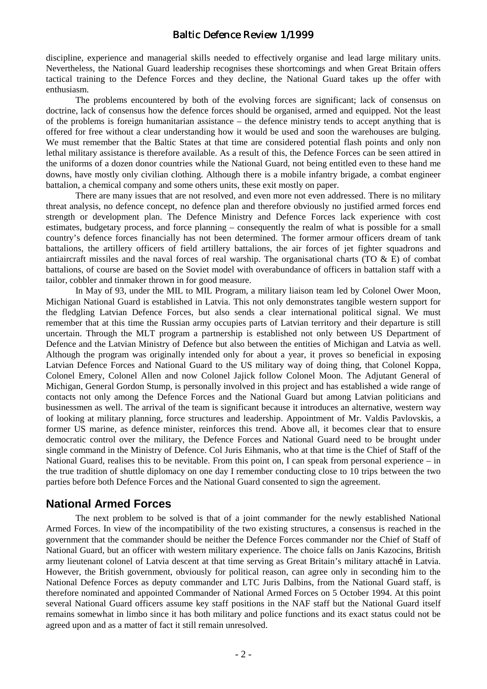discipline, experience and managerial skills needed to effectively organise and lead large military units. Nevertheless, the National Guard leadership recognises these shortcomings and when Great Britain offers tactical training to the Defence Forces and they decline, the National Guard takes up the offer with enthusiasm.

The problems encountered by both of the evolving forces are significant; lack of consensus on doctrine, lack of consensus how the defence forces should be organised, armed and equipped. Not the least of the problems is foreign humanitarian assistance – the defence ministry tends to accept anything that is offered for free without a clear understanding how it would be used and soon the warehouses are bulging. We must remember that the Baltic States at that time are considered potential flash points and only non lethal military assistance is therefore available. As a result of this, the Defence Forces can be seen attired in the uniforms of a dozen donor countries while the National Guard, not being entitled even to these hand me downs, have mostly only civilian clothing. Although there is a mobile infantry brigade, a combat engineer battalion, a chemical company and some others units, these exit mostly on paper.

There are many issues that are not resolved, and even more not even addressed. There is no military threat analysis, no defence concept, no defence plan and therefore obviously no justified armed forces end strength or development plan. The Defence Ministry and Defence Forces lack experience with cost estimates, budgetary process, and force planning – consequently the realm of what is possible for a small country's defence forces financially has not been determined. The former armour officers dream of tank battalions, the artillery officers of field artillery battalions, the air forces of jet fighter squadrons and antiaircraft missiles and the naval forces of real warship. The organisational charts (TO  $\&$  E) of combat battalions, of course are based on the Soviet model with overabundance of officers in battalion staff with a tailor, cobbler and tinmaker thrown in for good measure.

In May of 93, under the MIL to MIL Program, a military liaison team led by Colonel Ower Moon, Michigan National Guard is established in Latvia. This not only demonstrates tangible western support for the fledgling Latvian Defence Forces, but also sends a clear international political signal. We must remember that at this time the Russian army occupies parts of Latvian territory and their departure is still uncertain. Through the MLT program a partnership is established not only between US Department of Defence and the Latvian Ministry of Defence but also between the entities of Michigan and Latvia as well. Although the program was originally intended only for about a year, it proves so beneficial in exposing Latvian Defence Forces and National Guard to the US military way of doing thing, that Colonel Koppa, Colonel Emery, Colonel Allen and now Colonel Jajick follow Colonel Moon. The Adjutant General of Michigan, General Gordon Stump, is personally involved in this project and has established a wide range of contacts not only among the Defence Forces and the National Guard but among Latvian politicians and businessmen as well. The arrival of the team is significant because it introduces an alternative, western way of looking at military planning, force structures and leadership. Appointment of Mr. Valdis Pavlovskis, a former US marine, as defence minister, reinforces this trend. Above all, it becomes clear that to ensure democratic control over the military, the Defence Forces and National Guard need to be brought under single command in the Ministry of Defence. Col Juris Eihmanis, who at that time is the Chief of Staff of the National Guard, realises this to be nevitable. From this point on, I can speak from personal experience – in the true tradition of shuttle diplomacy on one day I remember conducting close to 10 trips between the two parties before both Defence Forces and the National Guard consented to sign the agreement.

## **National Armed Forces**

The next problem to be solved is that of a joint commander for the newly established National Armed Forces. In view of the incompatibility of the two existing structures, a consensus is reached in the government that the commander should be neither the Defence Forces commander nor the Chief of Staff of National Guard, but an officer with western military experience. The choice falls on Janis Kazocins, British army lieutenant colonel of Latvia descent at that time serving as Great Britain's military attaché in Latvia. However, the British government, obviously for political reason, can agree only in seconding him to the National Defence Forces as deputy commander and LTC Juris Dalbins, from the National Guard staff, is therefore nominated and appointed Commander of National Armed Forces on 5 October 1994. At this point several National Guard officers assume key staff positions in the NAF staff but the National Guard itself remains somewhat in limbo since it has both military and police functions and its exact status could not be agreed upon and as a matter of fact it still remain unresolved.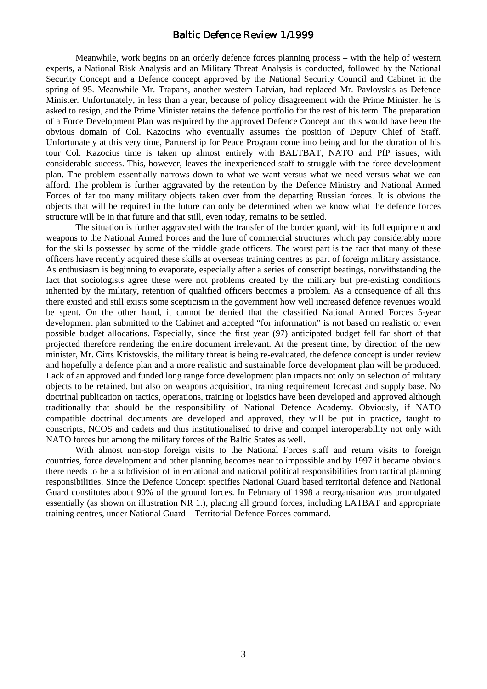Meanwhile, work begins on an orderly defence forces planning process – with the help of western experts, a National Risk Analysis and an Military Threat Analysis is conducted, followed by the National Security Concept and a Defence concept approved by the National Security Council and Cabinet in the spring of 95. Meanwhile Mr. Trapans, another western Latvian, had replaced Mr. Pavlovskis as Defence Minister. Unfortunately, in less than a year, because of policy disagreement with the Prime Minister, he is asked to resign, and the Prime Minister retains the defence portfolio for the rest of his term. The preparation of a Force Development Plan was required by the approved Defence Concept and this would have been the obvious domain of Col. Kazocins who eventually assumes the position of Deputy Chief of Staff. Unfortunately at this very time, Partnership for Peace Program come into being and for the duration of his tour Col. Kazocius time is taken up almost entirely with BALTBAT, NATO and PfP issues, with considerable success. This, however, leaves the inexperienced staff to struggle with the force development plan. The problem essentially narrows down to what we want versus what we need versus what we can afford. The problem is further aggravated by the retention by the Defence Ministry and National Armed Forces of far too many military objects taken over from the departing Russian forces. It is obvious the objects that will be required in the future can only be determined when we know what the defence forces structure will be in that future and that still, even today, remains to be settled.

The situation is further aggravated with the transfer of the border guard, with its full equipment and weapons to the National Armed Forces and the lure of commercial structures which pay considerably more for the skills possessed by some of the middle grade officers. The worst part is the fact that many of these officers have recently acquired these skills at overseas training centres as part of foreign military assistance. As enthusiasm is beginning to evaporate, especially after a series of conscript beatings, notwithstanding the fact that sociologists agree these were not problems created by the military but pre-existing conditions inherited by the military, retention of qualified officers becomes a problem. As a consequence of all this there existed and still exists some scepticism in the government how well increased defence revenues would be spent. On the other hand, it cannot be denied that the classified National Armed Forces 5-year development plan submitted to the Cabinet and accepted "for information" is not based on realistic or even possible budget allocations. Especially, since the first year (97) anticipated budget fell far short of that projected therefore rendering the entire document irrelevant. At the present time, by direction of the new minister, Mr. Girts Kristovskis, the military threat is being re-evaluated, the defence concept is under review and hopefully a defence plan and a more realistic and sustainable force development plan will be produced. Lack of an approved and funded long range force development plan impacts not only on selection of military objects to be retained, but also on weapons acquisition, training requirement forecast and supply base. No doctrinal publication on tactics, operations, training or logistics have been developed and approved although traditionally that should be the responsibility of National Defence Academy. Obviously, if NATO compatible doctrinal documents are developed and approved, they will be put in practice, taught to conscripts, NCOS and cadets and thus institutionalised to drive and compel interoperability not only with NATO forces but among the military forces of the Baltic States as well.

With almost non-stop foreign visits to the National Forces staff and return visits to foreign countries, force development and other planning becomes near to impossible and by 1997 it became obvious there needs to be a subdivision of international and national political responsibilities from tactical planning responsibilities. Since the Defence Concept specifies National Guard based territorial defence and National Guard constitutes about 90% of the ground forces. In February of 1998 a reorganisation was promulgated essentially (as shown on illustration NR 1.), placing all ground forces, including LATBAT and appropriate training centres, under National Guard – Territorial Defence Forces command.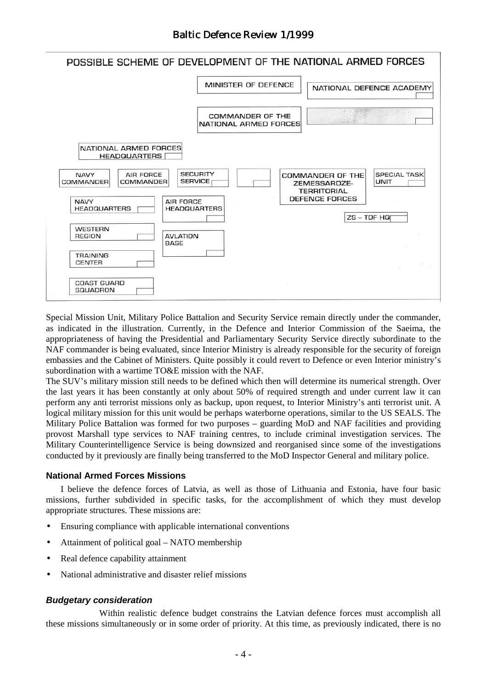

Special Mission Unit, Military Police Battalion and Security Service remain directly under the commander, as indicated in the illustration. Currently, in the Defence and Interior Commission of the Saeima, the appropriateness of having the Presidential and Parliamentary Security Service directly subordinate to the NAF commander is being evaluated, since Interior Ministry is already responsible for the security of foreign embassies and the Cabinet of Ministers. Quite possibly it could revert to Defence or even Interior ministry's subordination with a wartime TO&E mission with the NAF.

The SUV's military mission still needs to be defined which then will determine its numerical strength. Over the last years it has been constantly at only about 50% of required strength and under current law it can perform any anti terrorist missions only as backup, upon request, to Interior Ministry's anti terrorist unit. A logical military mission for this unit would be perhaps waterborne operations, similar to the US SEALS. The Military Police Battalion was formed for two purposes – guarding MoD and NAF facilities and providing provost Marshall type services to NAF training centres, to include criminal investigation services. The Military Counterintelligence Service is being downsized and reorganised since some of the investigations conducted by it previously are finally being transferred to the MoD Inspector General and military police.

#### **National Armed Forces Missions**

I believe the defence forces of Latvia, as well as those of Lithuania and Estonia, have four basic missions, further subdivided in specific tasks, for the accomplishment of which they must develop appropriate structures. These missions are:

- Ensuring compliance with applicable international conventions
- Attainment of political goal NATO membership
- Real defence capability attainment
- National administrative and disaster relief missions

#### *Budgetary consideration*

Within realistic defence budget constrains the Latvian defence forces must accomplish all these missions simultaneously or in some order of priority. At this time, as previously indicated, there is no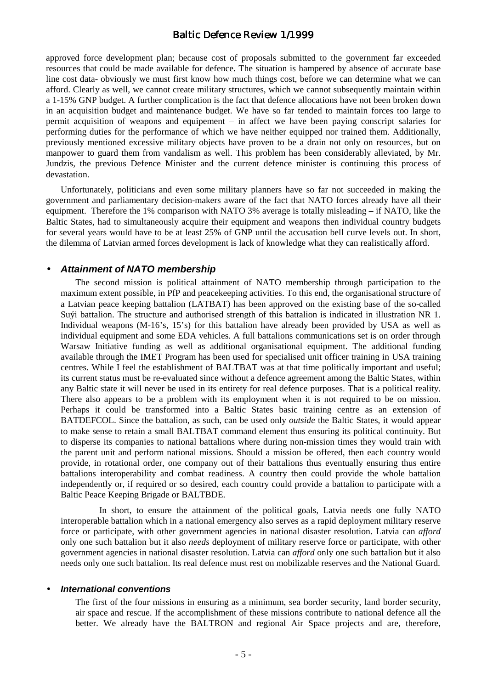approved force development plan; because cost of proposals submitted to the government far exceeded resources that could be made available for defence. The situation is hampered by absence of accurate base line cost data- obviously we must first know how much things cost, before we can determine what we can afford. Clearly as well, we cannot create military structures, which we cannot subsequently maintain within a 1-15% GNP budget. A further complication is the fact that defence allocations have not been broken down in an acquisition budget and maintenance budget. We have so far tended to maintain forces too large to permit acquisition of weapons and equipement – in affect we have been paying conscript salaries for performing duties for the performance of which we have neither equipped nor trained them. Additionally, previously mentioned excessive military objects have proven to be a drain not only on resources, but on manpower to guard them from vandalism as well. This problem has been considerably alleviated, by Mr. Jundzis, the previous Defence Minister and the current defence minister is continuing this process of devastation.

Unfortunately, politicians and even some military planners have so far not succeeded in making the government and parliamentary decision-makers aware of the fact that NATO forces already have all their equipment. Therefore the 1% comparison with NATO 3% average is totally misleading – if NATO, like the Baltic States, had to simultaneously acquire their equipment and weapons then individual country budgets for several years would have to be at least 25% of GNP until the accusation bell curve levels out. In short, the dilemma of Latvian armed forces development is lack of knowledge what they can realistically afford.

#### • *Attainment of NATO membership*

The second mission is political attainment of NATO membership through participation to the maximum extent possible, in PfP and peacekeeping activities. To this end, the organisational structure of a Latvian peace keeping battalion (LATBAT) has been approved on the existing base of the so-called Suýi battalion. The structure and authorised strength of this battalion is indicated in illustration NR 1. Individual weapons (M-16's, 15's) for this battalion have already been provided by USA as well as individual equipment and some EDA vehicles. A full battalions communications set is on order through Warsaw Initiative funding as well as additional organisational equipment. The additional funding available through the IMET Program has been used for specialised unit officer training in USA training centres. While I feel the establishment of BALTBAT was at that time politically important and useful; its current status must be re-evaluated since without a defence agreement among the Baltic States, within any Baltic state it will never be used in its entirety for real defence purposes. That is a political reality. There also appears to be a problem with its employment when it is not required to be on mission. Perhaps it could be transformed into a Baltic States basic training centre as an extension of BATDEFCOL. Since the battalion, as such, can be used only *outside* the Baltic States, it would appear to make sense to retain a small BALTBAT command element thus ensuring its political continuity. But to disperse its companies to national battalions where during non-mission times they would train with the parent unit and perform national missions. Should a mission be offered, then each country would provide, in rotational order, one company out of their battalions thus eventually ensuring thus entire battalions interoperability and combat readiness. A country then could provide the whole battalion independently or, if required or so desired, each country could provide a battalion to participate with a Baltic Peace Keeping Brigade or BALTBDE.

In short, to ensure the attainment of the political goals, Latvia needs one fully NATO interoperable battalion which in a national emergency also serves as a rapid deployment military reserve force or participate, with other government agencies in national disaster resolution. Latvia can *afford* only one such battalion but it also *needs* deployment of military reserve force or participate, with other government agencies in national disaster resolution. Latvia can *afford* only one such battalion but it also needs only one such battalion. Its real defence must rest on mobilizable reserves and the National Guard.

#### • *International conventions*

The first of the four missions in ensuring as a minimum, sea border security, land border security, air space and rescue. If the accomplishment of these missions contribute to national defence all the better. We already have the BALTRON and regional Air Space projects and are, therefore,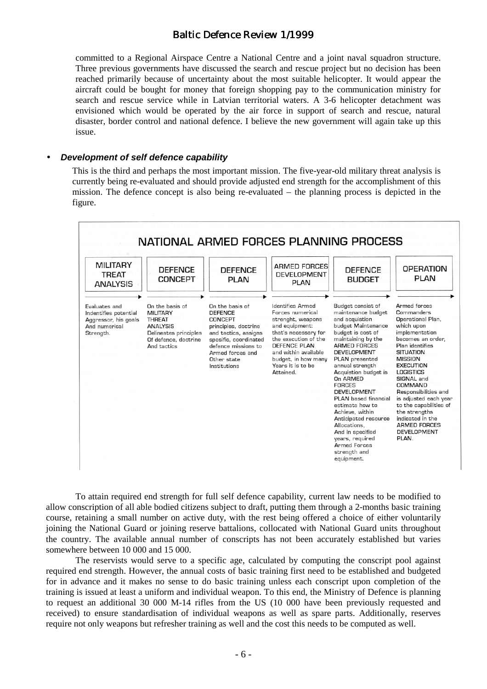committed to a Regional Airspace Centre a National Centre and a joint naval squadron structure. Three previous governments have discussed the search and rescue project but no decision has been reached primarily because of uncertainty about the most suitable helicopter. It would appear the aircraft could be bought for money that foreign shopping pay to the communication ministry for search and rescue service while in Latvian territorial waters. A 3-6 helicopter detachment was envisioned which would be operated by the air force in support of search and rescue, natural disaster, border control and national defence. I believe the new government will again take up this issue.

#### • *Development of self defence capability*

This is the third and perhaps the most important mission. The five-year-old military threat analysis is currently being re-evaluated and should provide adjusted end strength for the accomplishment of this mission. The defence concept is also being re-evaluated – the planning process is depicted in the figure.



To attain required end strength for full self defence capability, current law needs to be modified to allow conscription of all able bodied citizens subject to draft, putting them through a 2-months basic training course, retaining a small number on active duty, with the rest being offered a choice of either voluntarily joining the National Guard or joining reserve battalions, collocated with National Guard units throughout the country. The available annual number of conscripts has not been accurately established but varies somewhere between 10 000 and 15 000.

The reservists would serve to a specific age, calculated by computing the conscript pool against required end strength. However, the annual costs of basic training first need to be established and budgeted for in advance and it makes no sense to do basic training unless each conscript upon completion of the training is issued at least a uniform and individual weapon. To this end, the Ministry of Defence is planning to request an additional 30 000 M-14 rifles from the US (10 000 have been previously requested and received) to ensure standardisation of individual weapons as well as spare parts. Additionally, reserves require not only weapons but refresher training as well and the cost this needs to be computed as well.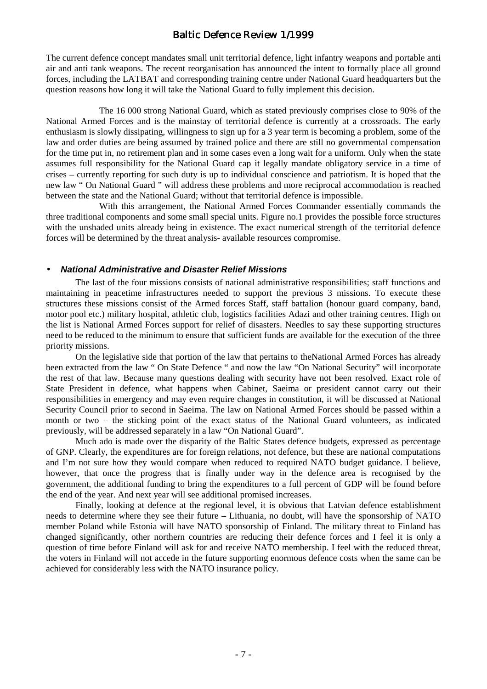The current defence concept mandates small unit territorial defence, light infantry weapons and portable anti air and anti tank weapons. The recent reorganisation has announced the intent to formally place all ground forces, including the LATBAT and corresponding training centre under National Guard headquarters but the question reasons how long it will take the National Guard to fully implement this decision.

The 16 000 strong National Guard, which as stated previously comprises close to 90% of the National Armed Forces and is the mainstay of territorial defence is currently at a crossroads. The early enthusiasm is slowly dissipating, willingness to sign up for a 3 year term is becoming a problem, some of the law and order duties are being assumed by trained police and there are still no governmental compensation for the time put in, no retirement plan and in some cases even a long wait for a uniform. Only when the state assumes full responsibility for the National Guard cap it legally mandate obligatory service in a time of crises – currently reporting for such duty is up to individual conscience and patriotism. It is hoped that the new law " On National Guard " will address these problems and more reciprocal accommodation is reached between the state and the National Guard; without that territorial defence is impossible.

With this arrangement, the National Armed Forces Commander essentially commands the three traditional components and some small special units. Figure no.1 provides the possible force structures with the unshaded units already being in existence. The exact numerical strength of the territorial defence forces will be determined by the threat analysis- available resources compromise.

#### • *National Administrative and Disaster Relief Missions*

The last of the four missions consists of national administrative responsibilities; staff functions and maintaining in peacetime infrastructures needed to support the previous 3 missions. To execute these structures these missions consist of the Armed forces Staff, staff battalion (honour guard company, band, motor pool etc.) military hospital, athletic club, logistics facilities Adazi and other training centres. High on the list is National Armed Forces support for relief of disasters. Needles to say these supporting structures need to be reduced to the minimum to ensure that sufficient funds are available for the execution of the three priority missions.

On the legislative side that portion of the law that pertains to theNational Armed Forces has already been extracted from the law " On State Defence " and now the law "On National Security" will incorporate the rest of that law. Because many questions dealing with security have not been resolved. Exact role of State President in defence, what happens when Cabinet, Saeima or president cannot carry out their responsibilities in emergency and may even require changes in constitution, it will be discussed at National Security Council prior to second in Saeima. The law on National Armed Forces should be passed within a month or two – the sticking point of the exact status of the National Guard volunteers, as indicated previously, will be addressed separately in a law "On National Guard".

Much ado is made over the disparity of the Baltic States defence budgets, expressed as percentage of GNP. Clearly, the expenditures are for foreign relations, not defence, but these are national computations and I'm not sure how they would compare when reduced to required NATO budget guidance. I believe, however, that once the progress that is finally under way in the defence area is recognised by the government, the additional funding to bring the expenditures to a full percent of GDP will be found before the end of the year. And next year will see additional promised increases.

Finally, looking at defence at the regional level, it is obvious that Latvian defence establishment needs to determine where they see their future – Lithuania, no doubt, will have the sponsorship of NATO member Poland while Estonia will have NATO sponsorship of Finland. The military threat to Finland has changed significantly, other northern countries are reducing their defence forces and I feel it is only a question of time before Finland will ask for and receive NATO membership. I feel with the reduced threat, the voters in Finland will not accede in the future supporting enormous defence costs when the same can be achieved for considerably less with the NATO insurance policy.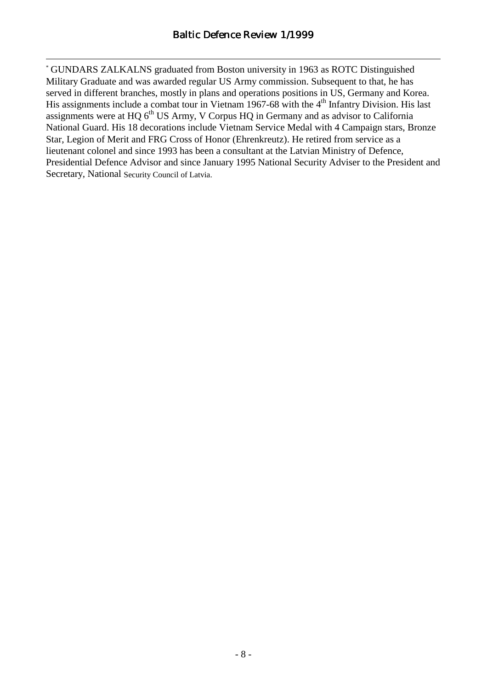<span id="page-50-0"></span> \* GUNDARS ZALKALNS graduated from Boston university in 1963 as ROTC Distinguished Military Graduate and was awarded regular US Army commission. Subsequent to that, he has served in different branches, mostly in plans and operations positions in US, Germany and Korea. His assignments include a combat tour in Vietnam 1967-68 with the 4<sup>th</sup> Infantry Division. His last assignments were at HQ  $6<sup>th</sup>$  US Army, V Corpus HQ in Germany and as advisor to California National Guard. His 18 decorations include Vietnam Service Medal with 4 Campaign stars, Bronze Star, Legion of Merit and FRG Cross of Honor (Ehrenkreutz). He retired from service as a lieutenant colonel and since 1993 has been a consultant at the Latvian Ministry of Defence, Presidential Defence Advisor and since January 1995 National Security Adviser to the President and Secretary, National Security Council of Latvia.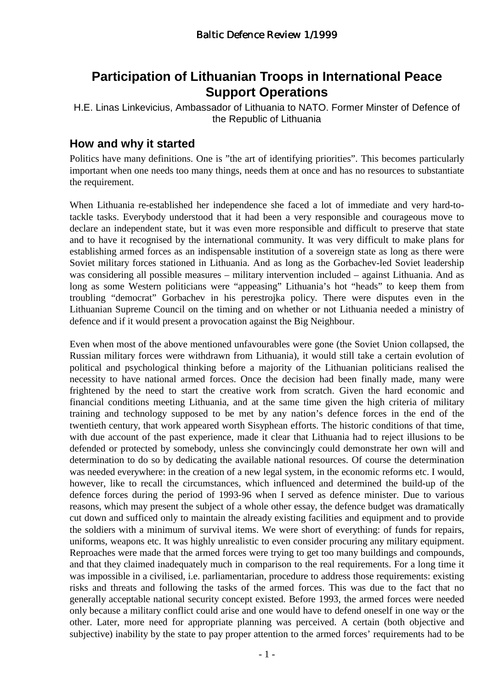# **Participation of Lithuanian Troops in International Peace Support Operations**

H.E. Linas Linkevicius, Ambassador of Lithuania to NATO. Former Minster of Defence of the Republic of Lithuania

# **How and why it started**

Politics have many definitions. One is "the art of identifying priorities". This becomes particularly important when one needs too many things, needs them at once and has no resources to substantiate the requirement.

When Lithuania re-established her independence she faced a lot of immediate and very hard-totackle tasks. Everybody understood that it had been a very responsible and courageous move to declare an independent state, but it was even more responsible and difficult to preserve that state and to have it recognised by the international community. It was very difficult to make plans for establishing armed forces as an indispensable institution of a sovereign state as long as there were Soviet military forces stationed in Lithuania. And as long as the Gorbachev-led Soviet leadership was considering all possible measures – military intervention included – against Lithuania. And as long as some Western politicians were "appeasing" Lithuania's hot "heads" to keep them from troubling "democrat" Gorbachev in his perestrojka policy. There were disputes even in the Lithuanian Supreme Council on the timing and on whether or not Lithuania needed a ministry of defence and if it would present a provocation against the Big Neighbour.

Even when most of the above mentioned unfavourables were gone (the Soviet Union collapsed, the Russian military forces were withdrawn from Lithuania), it would still take a certain evolution of political and psychological thinking before a majority of the Lithuanian politicians realised the necessity to have national armed forces. Once the decision had been finally made, many were frightened by the need to start the creative work from scratch. Given the hard economic and financial conditions meeting Lithuania, and at the same time given the high criteria of military training and technology supposed to be met by any nation's defence forces in the end of the twentieth century, that work appeared worth Sisyphean efforts. The historic conditions of that time, with due account of the past experience, made it clear that Lithuania had to reject illusions to be defended or protected by somebody, unless she convincingly could demonstrate her own will and determination to do so by dedicating the available national resources. Of course the determination was needed everywhere: in the creation of a new legal system, in the economic reforms etc. I would, however, like to recall the circumstances, which influenced and determined the build-up of the defence forces during the period of 1993-96 when I served as defence minister. Due to various reasons, which may present the subject of a whole other essay, the defence budget was dramatically cut down and sufficed only to maintain the already existing facilities and equipment and to provide the soldiers with a minimum of survival items. We were short of everything: of funds for repairs, uniforms, weapons etc. It was highly unrealistic to even consider procuring any military equipment. Reproaches were made that the armed forces were trying to get too many buildings and compounds, and that they claimed inadequately much in comparison to the real requirements. For a long time it was impossible in a civilised, i.e. parliamentarian, procedure to address those requirements: existing risks and threats and following the tasks of the armed forces. This was due to the fact that no generally acceptable national security concept existed. Before 1993, the armed forces were needed only because a military conflict could arise and one would have to defend oneself in one way or the other. Later, more need for appropriate planning was perceived. A certain (both objective and subjective) inability by the state to pay proper attention to the armed forces' requirements had to be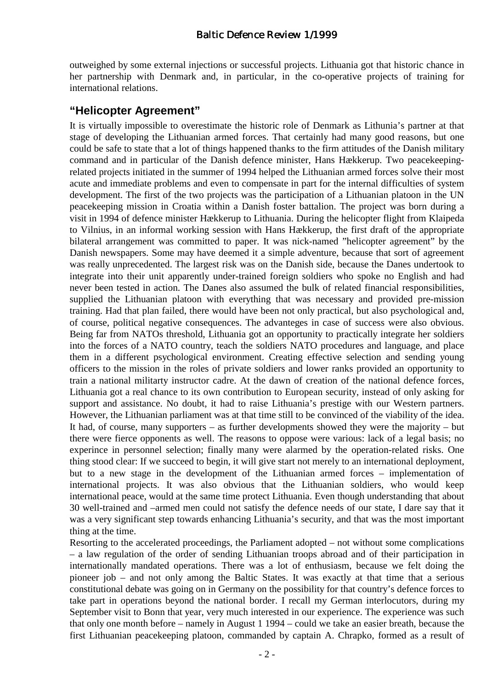outweighed by some external injections or successful projects. Lithuania got that historic chance in her partnership with Denmark and, in particular, in the co-operative projects of training for international relations.

# **"Helicopter Agreement"**

It is virtually impossible to overestimate the historic role of Denmark as Lithunia's partner at that stage of developing the Lithuanian armed forces. That certainly had many good reasons, but one could be safe to state that a lot of things happened thanks to the firm attitudes of the Danish military command and in particular of the Danish defence minister, Hans Hækkerup. Two peacekeepingrelated projects initiated in the summer of 1994 helped the Lithuanian armed forces solve their most acute and immediate problems and even to compensate in part for the internal difficulties of system development. The first of the two projects was the participation of a Lithuanian platoon in the UN peacekeeping mission in Croatia within a Danish foster battalion. The project was born during a visit in 1994 of defence minister Hækkerup to Lithuania. During the helicopter flight from Klaipeda to Vilnius, in an informal working session with Hans Hækkerup, the first draft of the appropriate bilateral arrangement was committed to paper. It was nick-named "helicopter agreement" by the Danish newspapers. Some may have deemed it a simple adventure, because that sort of agreement was really unprecedented. The largest risk was on the Danish side, because the Danes undertook to integrate into their unit apparently under-trained foreign soldiers who spoke no English and had never been tested in action. The Danes also assumed the bulk of related financial responsibilities, supplied the Lithuanian platoon with everything that was necessary and provided pre-mission training. Had that plan failed, there would have been not only practical, but also psychological and, of course, political negative consequences. The advanteges in case of success were also obvious. Being far from NATOs threshold, Lithuania got an opportunity to practically integrate her soldiers into the forces of a NATO country, teach the soldiers NATO procedures and language, and place them in a different psychological environment. Creating effective selection and sending young officers to the mission in the roles of private soldiers and lower ranks provided an opportunity to train a national militarty instructor cadre. At the dawn of creation of the national defence forces, Lithuania got a real chance to its own contribution to European security, instead of only asking for support and assistance. No doubt, it had to raise Lithuania's prestige with our Western partners. However, the Lithuanian parliament was at that time still to be convinced of the viability of the idea. It had, of course, many supporters – as further developments showed they were the majority – but there were fierce opponents as well. The reasons to oppose were various: lack of a legal basis; no experince in personnel selection; finally many were alarmed by the operation-related risks. One thing stood clear: If we succeed to begin, it will give start not merely to an international deployment, but to a new stage in the development of the Lithuanian armed forces – implementation of international projects. It was also obvious that the Lithuanian soldiers, who would keep international peace, would at the same time protect Lithuania. Even though understanding that about 30 well-trained and –armed men could not satisfy the defence needs of our state, I dare say that it was a very significant step towards enhancing Lithuania's security, and that was the most important thing at the time.

Resorting to the accelerated proceedings, the Parliament adopted – not without some complications – a law regulation of the order of sending Lithuanian troops abroad and of their participation in internationally mandated operations. There was a lot of enthusiasm, because we felt doing the pioneer job – and not only among the Baltic States. It was exactly at that time that a serious constitutional debate was going on in Germany on the possibility for that country's defence forces to take part in operations beyond the national border. I recall my German interlocutors, during my September visit to Bonn that year, very much interested in our experience. The experience was such that only one month before – namely in August 1 1994 – could we take an easier breath, because the first Lithuanian peacekeeping platoon, commanded by captain A. Chrapko, formed as a result of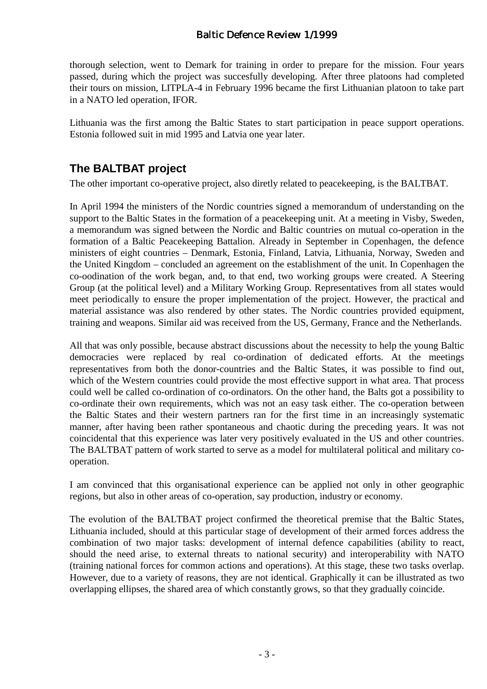thorough selection, went to Demark for training in order to prepare for the mission. Four years passed, during which the project was succesfully developing. After three platoons had completed their tours on mission, LITPLA-4 in February 1996 became the first Lithuanian platoon to take part in a NATO led operation, IFOR.

Lithuania was the first among the Baltic States to start participation in peace support operations. Estonia followed suit in mid 1995 and Latvia one year later.

# **The BALTBAT project**

The other important co-operative project, also diretly related to peacekeeping, is the BALTBAT.

In April 1994 the ministers of the Nordic countries signed a memorandum of understanding on the support to the Baltic States in the formation of a peacekeeping unit. At a meeting in Visby, Sweden, a memorandum was signed between the Nordic and Baltic countries on mutual co-operation in the formation of a Baltic Peacekeeping Battalion. Already in September in Copenhagen, the defence ministers of eight countries – Denmark, Estonia, Finland, Latvia, Lithuania, Norway, Sweden and the United Kingdom – concluded an agreement on the establishment of the unit. In Copenhagen the co-oodination of the work began, and, to that end, two working groups were created. A Steering Group (at the political level) and a Military Working Group. Representatives from all states would meet periodically to ensure the proper implementation of the project. However, the practical and material assistance was also rendered by other states. The Nordic countries provided equipment, training and weapons. Similar aid was received from the US, Germany, France and the Netherlands.

All that was only possible, because abstract discussions about the necessity to help the young Baltic democracies were replaced by real co-ordination of dedicated efforts. At the meetings representatives from both the donor-countries and the Baltic States, it was possible to find out, which of the Western countries could provide the most effective support in what area. That process could well be called co-ordination of co-ordinators. On the other hand, the Balts got a possibility to co-ordinate their own requirements, which was not an easy task either. The co-operation between the Baltic States and their western partners ran for the first time in an increasingly systematic manner, after having been rather spontaneous and chaotic during the preceding years. It was not coincidental that this experience was later very positively evaluated in the US and other countries. The BALTBAT pattern of work started to serve as a model for multilateral political and military cooperation.

I am convinced that this organisational experience can be applied not only in other geographic regions, but also in other areas of co-operation, say production, industry or economy.

The evolution of the BALTBAT project confirmed the theoretical premise that the Baltic States, Lithuania included, should at this particular stage of development of their armed forces address the combination of two major tasks: development of internal defence capabilities (ability to react, should the need arise, to external threats to national security) and interoperability with NATO (training national forces for common actions and operations). At this stage, these two tasks overlap. However, due to a variety of reasons, they are not identical. Graphically it can be illustrated as two overlapping ellipses, the shared area of which constantly grows, so that they gradually coincide.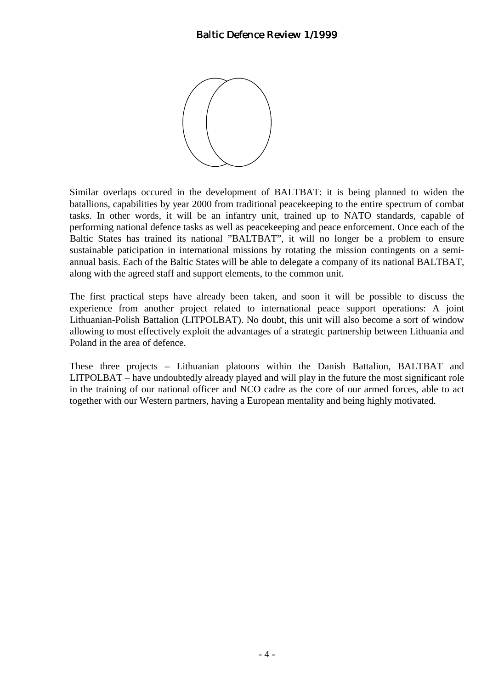

Similar overlaps occured in the development of BALTBAT: it is being planned to widen the batallions, capabilities by year 2000 from traditional peacekeeping to the entire spectrum of combat tasks. In other words, it will be an infantry unit, trained up to NATO standards, capable of performing national defence tasks as well as peacekeeping and peace enforcement. Once each of the Baltic States has trained its national "BALTBAT", it will no longer be a problem to ensure sustainable paticipation in international missions by rotating the mission contingents on a semiannual basis. Each of the Baltic States will be able to delegate a company of its national BALTBAT, along with the agreed staff and support elements, to the common unit.

The first practical steps have already been taken, and soon it will be possible to discuss the experience from another project related to international peace support operations: A joint Lithuanian-Polish Battalion (LITPOLBAT). No doubt, this unit will also become a sort of window allowing to most effectively exploit the advantages of a strategic partnership between Lithuania and Poland in the area of defence.

These three projects – Lithuanian platoons within the Danish Battalion, BALTBAT and LITPOLBAT – have undoubtedly already played and will play in the future the most significant role in the training of our national officer and NCO cadre as the core of our armed forces, able to act together with our Western partners, having a European mentality and being highly motivated.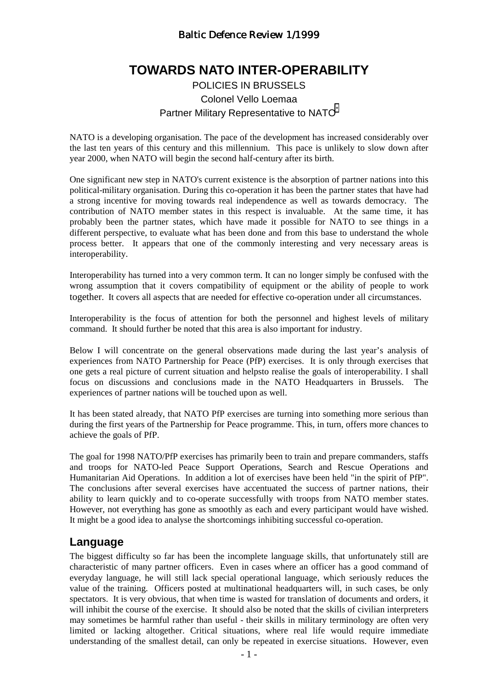# **TOWARDS NATO INTER-OPERABILITY**

# POLICIES IN BRUSSELS Colonel Vello Loemaa Partner Military Representative to NATO<sup>\*</sup>

NATO is a developing organisation. The pace of the development has increased considerably over the last ten years of this century and this millennium. This pace is unlikely to slow down after year 2000, when NATO will begin the second half-century after its birth.

One significant new step in NATO's current existence is the absorption of partner nations into this political-military organisation. During this co-operation it has been the partner states that have had a strong incentive for moving towards real independence as well as towards democracy. The contribution of NATO member states in this respect is invaluable. At the same time, it has probably been the partner states, which have made it possible for NATO to see things in a different perspective, to evaluate what has been done and from this base to understand the whole process better. It appears that one of the commonly interesting and very necessary areas is interoperability.

Interoperability has turned into a very common term. It can no longer simply be confused with the wrong assumption that it covers compatibility of equipment or the ability of people to work together. It covers all aspects that are needed for effective co-operation under all circumstances.

Interoperability is the focus of attention for both the personnel and highest levels of military command. It should further be noted that this area is also important for industry.

Below I will concentrate on the general observations made during the last year's analysis of experiences from NATO Partnership for Peace (PfP) exercises. It is only through exercises that one gets a real picture of current situation and helpsto realise the goals of interoperability. I shall focus on discussions and conclusions made in the NATO Headquarters in Brussels. The experiences of partner nations will be touched upon as well.

It has been stated already, that NATO PfP exercises are turning into something more serious than during the first years of the Partnership for Peace programme. This, in turn, offers more chances to achieve the goals of PfP.

The goal for 1998 NATO/PfP exercises has primarily been to train and prepare commanders, staffs and troops for NATO-led Peace Support Operations, Search and Rescue Operations and Humanitarian Aid Operations. In addition a lot of exercises have been held "in the spirit of PfP". The conclusions after several exercises have accentuated the success of partner nations, their ability to learn quickly and to co-operate successfully with troops from NATO member states. However, not everything has gone as smoothly as each and every participant would have wished. It might be a good idea to analyse the shortcomings inhibiting successful co-operation.

# **Language**

The biggest difficulty so far has been the incomplete language skills, that unfortunately still are characteristic of many partner officers. Even in cases where an officer has a good command of everyday language, he will still lack special operational language, which seriously reduces the value of the training. Officers posted at multinational headquarters will, in such cases, be only spectators. It is very obvious, that when time is wasted for translation of documents and orders, it will inhibit the course of the exercise. It should also be noted that the skills of civilian interpreters may sometimes be harmful rather than useful - their skills in military terminology are often very limited or lacking altogether. Critical situations, where real life would require immediate understanding of the smallest detail, can only be repeated in exercise situations. However, even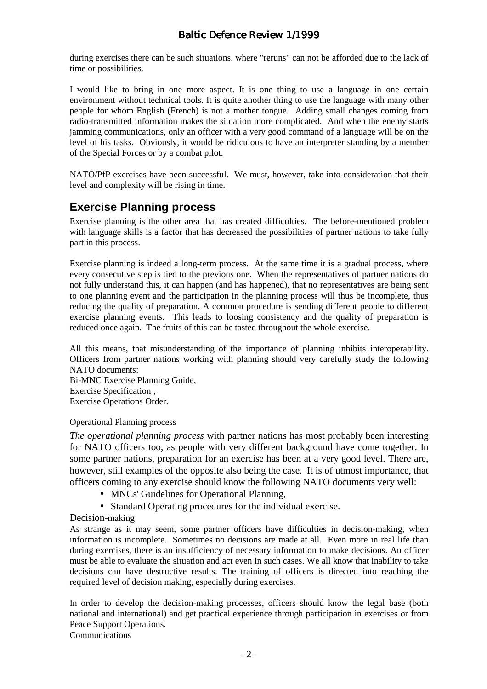during exercises there can be such situations, where "reruns" can not be afforded due to the lack of time or possibilities.

I would like to bring in one more aspect. It is one thing to use a language in one certain environment without technical tools. It is quite another thing to use the language with many other people for whom English (French) is not a mother tongue. Adding small changes coming from radio-transmitted information makes the situation more complicated. And when the enemy starts jamming communications, only an officer with a very good command of a language will be on the level of his tasks. Obviously, it would be ridiculous to have an interpreter standing by a member of the Special Forces or by a combat pilot.

NATO/PfP exercises have been successful. We must, however, take into consideration that their level and complexity will be rising in time.

# **Exercise Planning process**

Exercise planning is the other area that has created difficulties. The before-mentioned problem with language skills is a factor that has decreased the possibilities of partner nations to take fully part in this process.

Exercise planning is indeed a long-term process. At the same time it is a gradual process, where every consecutive step is tied to the previous one. When the representatives of partner nations do not fully understand this, it can happen (and has happened), that no representatives are being sent to one planning event and the participation in the planning process will thus be incomplete, thus reducing the quality of preparation. A common procedure is sending different people to different exercise planning events. This leads to loosing consistency and the quality of preparation is reduced once again. The fruits of this can be tasted throughout the whole exercise.

All this means, that misunderstanding of the importance of planning inhibits interoperability. Officers from partner nations working with planning should very carefully study the following NATO documents:

Bi-MNC Exercise Planning Guide, Exercise Specification , Exercise Operations Order.

#### Operational Planning process

*The operational planning process* with partner nations has most probably been interesting for NATO officers too, as people with very different background have come together. In some partner nations, preparation for an exercise has been at a very good level. There are, however, still examples of the opposite also being the case. It is of utmost importance, that officers coming to any exercise should know the following NATO documents very well:

- MNCs' Guidelines for Operational Planning,
- Standard Operating procedures for the individual exercise.

### Decision-making

As strange as it may seem, some partner officers have difficulties in decision-making, when information is incomplete. Sometimes no decisions are made at all. Even more in real life than during exercises, there is an insufficiency of necessary information to make decisions. An officer must be able to evaluate the situation and act even in such cases. We all know that inability to take decisions can have destructive results. The training of officers is directed into reaching the required level of decision making, especially during exercises.

In order to develop the decision-making processes, officers should know the legal base (both national and international) and get practical experience through participation in exercises or from Peace Support Operations.

Communications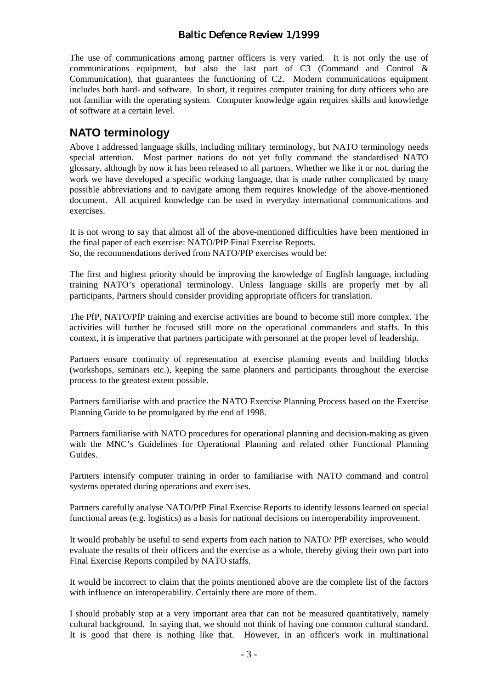The use of communications among partner officers is very varied. It is not only the use of communications equipment, but also the last part of C3 (Command and Control & Communication), that guarantees the functioning of C2. Modern communications equipment includes both hard- and software. In short, it requires computer training for duty officers who are not familiar with the operating system. Computer knowledge again requires skills and knowledge of software at a certain level.

# **NATO terminology**

Above I addressed language skills, including military terminology, but NATO terminology needs special attention. Most partner nations do not yet fully command the standardised NATO glossary, although by now it has been released to all partners. Whether we like it or not, during the work we have developed a specific working language, that is made rather complicated by many possible abbreviations and to navigate among them requires knowledge of the above-mentioned document. All acquired knowledge can be used in everyday international communications and exercises.

It is not wrong to say that almost all of the above-mentioned difficulties have been mentioned in the final paper of each exercise: NATO/PfP Final Exercise Reports.

So, the recommendations derived from NATO/PfP exercises would be:

The first and highest priority should be improving the knowledge of English language, including training NATO's operational terminology. Unless language skills are properly met by all participants, Partners should consider providing appropriate officers for translation.

The PfP, NATO/PfP training and exercise activities are bound to become still more complex. The activities will further be focused still more on the operational commanders and staffs. In this context, it is imperative that partners participate with personnel at the proper level of leadership.

Partners ensure continuity of representation at exercise planning events and building blocks (workshops, seminars etc.), keeping the same planners and participants throughout the exercise process to the greatest extent possible.

Partners familiarise with and practice the NATO Exercise Planning Process based on the Exercise Planning Guide to be promulgated by the end of 1998.

Partners familiarise with NATO procedures for operational planning and decision-making as given with the MNC's Guidelines for Operational Planning and related other Functional Planning Guides.

Partners intensify computer training in order to familiarise with NATO command and control systems operated during operations and exercises.

Partners carefully analyse NATO/PfP Final Exercise Reports to identify lessons learned on special functional areas (e.g. logistics) as a basis for national decisions on interoperability improvement.

It would probably be useful to send experts from each nation to NATO/ PfP exercises, who would evaluate the results of their officers and the exercise as a whole, thereby giving their own part into Final Exercise Reports compiled by NATO staffs.

It would be incorrect to claim that the points mentioned above are the complete list of the factors with influence on interoperability. Certainly there are more of them.

I should probably stop at a very important area that can not be measured quantitatively, namely cultural background. In saying that, we should not think of having one common cultural standard. It is good that there is nothing like that. However, in an officer's work in multinational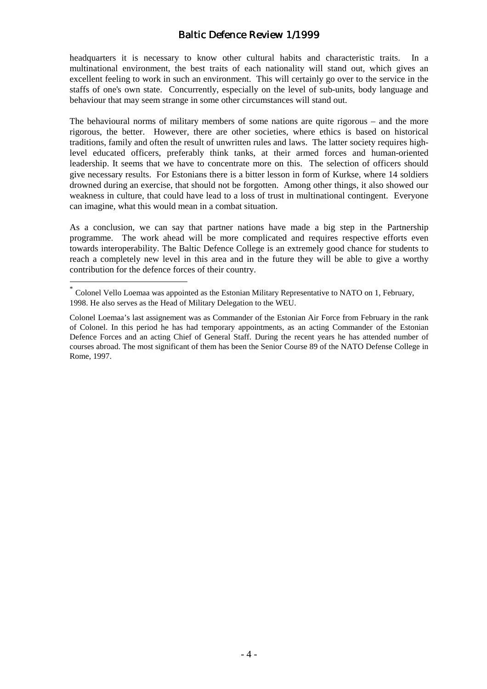<span id="page-58-0"></span>headquarters it is necessary to know other cultural habits and characteristic traits. In a multinational environment, the best traits of each nationality will stand out, which gives an excellent feeling to work in such an environment. This will certainly go over to the service in the staffs of one's own state. Concurrently, especially on the level of sub-units, body language and behaviour that may seem strange in some other circumstances will stand out.

The behavioural norms of military members of some nations are quite rigorous – and the more rigorous, the better. However, there are other societies, where ethics is based on historical traditions, family and often the result of unwritten rules and laws. The latter society requires highlevel educated officers, preferably think tanks, at their armed forces and human-oriented leadership. It seems that we have to concentrate more on this. The selection of officers should give necessary results. For Estonians there is a bitter lesson in form of Kurkse, where 14 soldiers drowned during an exercise, that should not be forgotten. Among other things, it also showed our weakness in culture, that could have lead to a loss of trust in multinational contingent. Everyone can imagine, what this would mean in a combat situation.

As a conclusion, we can say that partner nations have made a big step in the Partnership programme. The work ahead will be more complicated and requires respective efforts even towards interoperability. The Baltic Defence College is an extremely good chance for students to reach a completely new level in this area and in the future they will be able to give a worthy contribution for the defence forces of their country.

 $\overline{a}$ 

<sup>\*</sup> Colonel Vello Loemaa was appointed as the Estonian Military Representative to NATO on 1, February, 1998. He also serves as the Head of Military Delegation to the WEU.

Colonel Loemaa's last assignement was as Commander of the Estonian Air Force from February in the rank of Colonel. In this period he has had temporary appointments, as an acting Commander of the Estonian Defence Forces and an acting Chief of General Staff. During the recent years he has attended number of courses abroad. The most significant of them has been the Senior Course 89 of the NATO Defense College in Rome, 1997.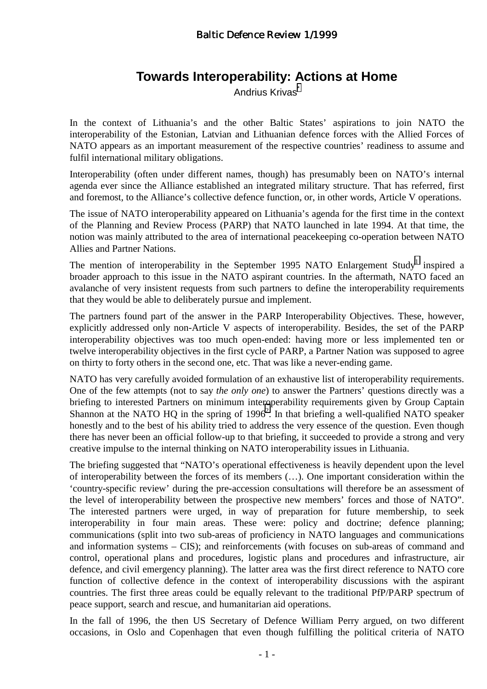# **Towards Interoperability: Actions at Home**

Andrius Krivas<sup>[\\*](#page-65-0)</sup>

In the context of Lithuania's and the other Baltic States' aspirations to join NATO the interoperability of the Estonian, Latvian and Lithuanian defence forces with the Allied Forces of NATO appears as an important measurement of the respective countries' readiness to assume and fulfil international military obligations.

Interoperability (often under different names, though) has presumably been on NATO's internal agenda ever since the Alliance established an integrated military structure. That has referred, first and foremost, to the Alliance's collective defence function, or, in other words, Article V operations.

The issue of NATO interoperability appeared on Lithuania's agenda for the first time in the context of the Planning and Review Process (PARP) that NATO launched in late 1994. At that time, the notion was mainly attributed to the area of international peacekeeping co-operation between NATO Allies and Partner Nations.

The mention of interoperability in the September 1995 NATO Enlargement Study<sup>1</sup> inspired a broader approach to this issue in the NATO aspirant countries. In the aftermath, NATO faced an avalanche of very insistent requests from such partners to define the interoperability requirements that they would be able to deliberately pursue and implement.

The partners found part of the answer in the PARP Interoperability Objectives. These, however, explicitly addressed only non-Article V aspects of interoperability. Besides, the set of the PARP interoperability objectives was too much open-ended: having more or less implemented ten or twelve interoperability objectives in the first cycle of PARP, a Partner Nation was supposed to agree on thirty to forty others in the second one, etc. That was like a never-ending game.

NATO has very carefully avoided formulation of an exhaustive list of interoperability requirements. One of the few attempts (not to say *the only one*) to answer the Partners' questions directly was a briefing to interested Partners on minimum interoperability requirements given by Group Captain Shannon at the NATO HQ in the spring of  $1996^2$  $1996^2$ . In that briefing a well-qualified NATO speaker honestly and to the best of his ability tried to address the very essence of the question. Even though there has never been an official follow-up to that briefing, it succeeded to provide a strong and very creative impulse to the internal thinking on NATO interoperability issues in Lithuania.

The briefing suggested that "NATO's operational effectiveness is heavily dependent upon the level of interoperability between the forces of its members (…). One important consideration within the 'country-specific review' during the pre-accession consultations will therefore be an assessment of the level of interoperability between the prospective new members' forces and those of NATO". The interested partners were urged, in way of preparation for future membership, to seek interoperability in four main areas. These were: policy and doctrine; defence planning; communications (split into two sub-areas of proficiency in NATO languages and communications and information systems – CIS); and reinforcements (with focuses on sub-areas of command and control, operational plans and procedures, logistic plans and procedures and infrastructure, air defence, and civil emergency planning). The latter area was the first direct reference to NATO core function of collective defence in the context of interoperability discussions with the aspirant countries. The first three areas could be equally relevant to the traditional PfP/PARP spectrum of peace support, search and rescue, and humanitarian aid operations.

In the fall of 1996, the then US Secretary of Defence William Perry argued, on two different occasions, in Oslo and Copenhagen that even though fulfilling the political criteria of NATO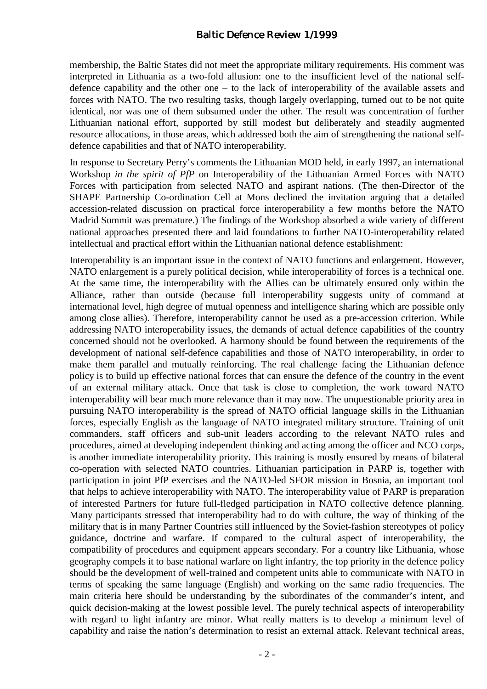membership, the Baltic States did not meet the appropriate military requirements. His comment was interpreted in Lithuania as a two-fold allusion: one to the insufficient level of the national selfdefence capability and the other one – to the lack of interoperability of the available assets and forces with NATO. The two resulting tasks, though largely overlapping, turned out to be not quite identical, nor was one of them subsumed under the other. The result was concentration of further Lithuanian national effort, supported by still modest but deliberately and steadily augmented resource allocations, in those areas, which addressed both the aim of strengthening the national selfdefence capabilities and that of NATO interoperability.

In response to Secretary Perry's comments the Lithuanian MOD held, in early 1997, an international Workshop *in the spirit of PfP* on Interoperability of the Lithuanian Armed Forces with NATO Forces with participation from selected NATO and aspirant nations. (The then-Director of the SHAPE Partnership Co-ordination Cell at Mons declined the invitation arguing that a detailed accession-related discussion on practical force interoperability a few months before the NATO Madrid Summit was premature.) The findings of the Workshop absorbed a wide variety of different national approaches presented there and laid foundations to further NATO-interoperability related intellectual and practical effort within the Lithuanian national defence establishment:

Interoperability is an important issue in the context of NATO functions and enlargement. However, NATO enlargement is a purely political decision, while interoperability of forces is a technical one. At the same time, the interoperability with the Allies can be ultimately ensured only within the Alliance, rather than outside (because full interoperability suggests unity of command at international level, high degree of mutual openness and intelligence sharing which are possible only among close allies). Therefore, interoperability cannot be used as a pre-accession criterion. While addressing NATO interoperability issues, the demands of actual defence capabilities of the country concerned should not be overlooked. A harmony should be found between the requirements of the development of national self-defence capabilities and those of NATO interoperability, in order to make them parallel and mutually reinforcing. The real challenge facing the Lithuanian defence policy is to build up effective national forces that can ensure the defence of the country in the event of an external military attack. Once that task is close to completion, the work toward NATO interoperability will bear much more relevance than it may now. The unquestionable priority area in pursuing NATO interoperability is the spread of NATO official language skills in the Lithuanian forces, especially English as the language of NATO integrated military structure. Training of unit commanders, staff officers and sub-unit leaders according to the relevant NATO rules and procedures, aimed at developing independent thinking and acting among the officer and NCO corps, is another immediate interoperability priority. This training is mostly ensured by means of bilateral co-operation with selected NATO countries. Lithuanian participation in PARP is, together with participation in joint PfP exercises and the NATO-led SFOR mission in Bosnia, an important tool that helps to achieve interoperability with NATO. The interoperability value of PARP is preparation of interested Partners for future full-fledged participation in NATO collective defence planning. Many participants stressed that interoperability had to do with culture, the way of thinking of the military that is in many Partner Countries still influenced by the Soviet-fashion stereotypes of policy guidance, doctrine and warfare. If compared to the cultural aspect of interoperability, the compatibility of procedures and equipment appears secondary. For a country like Lithuania, whose geography compels it to base national warfare on light infantry, the top priority in the defence policy should be the development of well-trained and competent units able to communicate with NATO in terms of speaking the same language (English) and working on the same radio frequencies. The main criteria here should be understanding by the subordinates of the commander's intent, and quick decision-making at the lowest possible level. The purely technical aspects of interoperability with regard to light infantry are minor. What really matters is to develop a minimum level of capability and raise the nation's determination to resist an external attack. Relevant technical areas,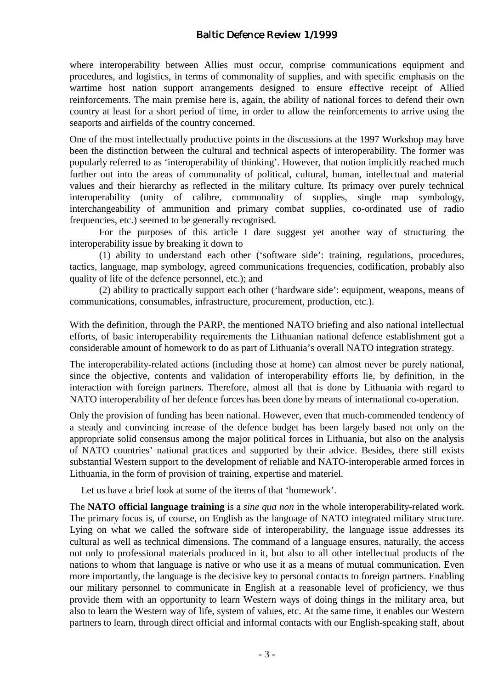where interoperability between Allies must occur, comprise communications equipment and procedures, and logistics, in terms of commonality of supplies, and with specific emphasis on the wartime host nation support arrangements designed to ensure effective receipt of Allied reinforcements. The main premise here is, again, the ability of national forces to defend their own country at least for a short period of time, in order to allow the reinforcements to arrive using the seaports and airfields of the country concerned.

One of the most intellectually productive points in the discussions at the 1997 Workshop may have been the distinction between the cultural and technical aspects of interoperability. The former was popularly referred to as 'interoperability of thinking'. However, that notion implicitly reached much further out into the areas of commonality of political, cultural, human, intellectual and material values and their hierarchy as reflected in the military culture. Its primacy over purely technical interoperability (unity of calibre, commonality of supplies, single map symbology, interchangeability of ammunition and primary combat supplies, co-ordinated use of radio frequencies, etc.) seemed to be generally recognised.

For the purposes of this article I dare suggest yet another way of structuring the interoperability issue by breaking it down to

(1) ability to understand each other ('software side': training, regulations, procedures, tactics, language, map symbology, agreed communications frequencies, codification, probably also quality of life of the defence personnel, etc.); and

(2) ability to practically support each other ('hardware side': equipment, weapons, means of communications, consumables, infrastructure, procurement, production, etc.).

With the definition, through the PARP, the mentioned NATO briefing and also national intellectual efforts, of basic interoperability requirements the Lithuanian national defence establishment got a considerable amount of homework to do as part of Lithuania's overall NATO integration strategy.

The interoperability-related actions (including those at home) can almost never be purely national, since the objective, contents and validation of interoperability efforts lie, by definition, in the interaction with foreign partners. Therefore, almost all that is done by Lithuania with regard to NATO interoperability of her defence forces has been done by means of international co-operation.

Only the provision of funding has been national. However, even that much-commended tendency of a steady and convincing increase of the defence budget has been largely based not only on the appropriate solid consensus among the major political forces in Lithuania, but also on the analysis of NATO countries' national practices and supported by their advice. Besides, there still exists substantial Western support to the development of reliable and NATO-interoperable armed forces in Lithuania, in the form of provision of training, expertise and materiel.

Let us have a brief look at some of the items of that 'homework'.

The **NATO official language training** is a *sine qua non* in the whole interoperability-related work. The primary focus is, of course, on English as the language of NATO integrated military structure. Lying on what we called the software side of interoperability, the language issue addresses its cultural as well as technical dimensions. The command of a language ensures, naturally, the access not only to professional materials produced in it, but also to all other intellectual products of the nations to whom that language is native or who use it as a means of mutual communication. Even more importantly, the language is the decisive key to personal contacts to foreign partners. Enabling our military personnel to communicate in English at a reasonable level of proficiency, we thus provide them with an opportunity to learn Western ways of doing things in the military area, but also to learn the Western way of life, system of values, etc. At the same time, it enables our Western partners to learn, through direct official and informal contacts with our English-speaking staff, about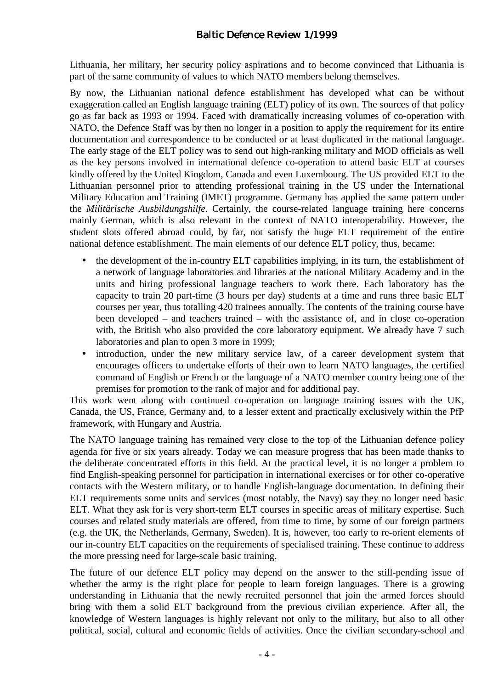Lithuania, her military, her security policy aspirations and to become convinced that Lithuania is part of the same community of values to which NATO members belong themselves.

By now, the Lithuanian national defence establishment has developed what can be without exaggeration called an English language training (ELT) policy of its own. The sources of that policy go as far back as 1993 or 1994. Faced with dramatically increasing volumes of co-operation with NATO, the Defence Staff was by then no longer in a position to apply the requirement for its entire documentation and correspondence to be conducted or at least duplicated in the national language. The early stage of the ELT policy was to send out high-ranking military and MOD officials as well as the key persons involved in international defence co-operation to attend basic ELT at courses kindly offered by the United Kingdom, Canada and even Luxembourg. The US provided ELT to the Lithuanian personnel prior to attending professional training in the US under the International Military Education and Training (IMET) programme. Germany has applied the same pattern under the *Militärische Ausbildungshilfe*. Certainly, the course-related language training here concerns mainly German, which is also relevant in the context of NATO interoperability. However, the student slots offered abroad could, by far, not satisfy the huge ELT requirement of the entire national defence establishment. The main elements of our defence ELT policy, thus, became:

- the development of the in-country ELT capabilities implying, in its turn, the establishment of a network of language laboratories and libraries at the national Military Academy and in the units and hiring professional language teachers to work there. Each laboratory has the capacity to train 20 part-time (3 hours per day) students at a time and runs three basic ELT courses per year, thus totalling 420 trainees annually. The contents of the training course have been developed – and teachers trained – with the assistance of, and in close co-operation with, the British who also provided the core laboratory equipment. We already have 7 such laboratories and plan to open 3 more in 1999;
- introduction, under the new military service law, of a career development system that encourages officers to undertake efforts of their own to learn NATO languages, the certified command of English or French or the language of a NATO member country being one of the premises for promotion to the rank of major and for additional pay.

This work went along with continued co-operation on language training issues with the UK, Canada, the US, France, Germany and, to a lesser extent and practically exclusively within the PfP framework, with Hungary and Austria.

The NATO language training has remained very close to the top of the Lithuanian defence policy agenda for five or six years already. Today we can measure progress that has been made thanks to the deliberate concentrated efforts in this field. At the practical level, it is no longer a problem to find English-speaking personnel for participation in international exercises or for other co-operative contacts with the Western military, or to handle English-language documentation. In defining their ELT requirements some units and services (most notably, the Navy) say they no longer need basic ELT. What they ask for is very short-term ELT courses in specific areas of military expertise. Such courses and related study materials are offered, from time to time, by some of our foreign partners (e.g. the UK, the Netherlands, Germany, Sweden). It is, however, too early to re-orient elements of our in-country ELT capacities on the requirements of specialised training. These continue to address the more pressing need for large-scale basic training.

The future of our defence ELT policy may depend on the answer to the still-pending issue of whether the army is the right place for people to learn foreign languages. There is a growing understanding in Lithuania that the newly recruited personnel that join the armed forces should bring with them a solid ELT background from the previous civilian experience. After all, the knowledge of Western languages is highly relevant not only to the military, but also to all other political, social, cultural and economic fields of activities. Once the civilian secondary-school and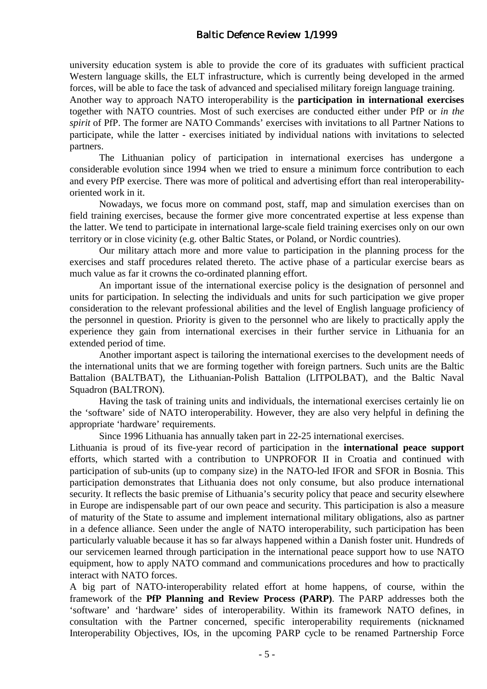university education system is able to provide the core of its graduates with sufficient practical Western language skills, the ELT infrastructure, which is currently being developed in the armed forces, will be able to face the task of advanced and specialised military foreign language training.

Another way to approach NATO interoperability is the **participation in international exercises** together with NATO countries. Most of such exercises are conducted either under PfP or *in the spirit* of PfP. The former are NATO Commands' exercises with invitations to all Partner Nations to participate, while the latter - exercises initiated by individual nations with invitations to selected partners.

The Lithuanian policy of participation in international exercises has undergone a considerable evolution since 1994 when we tried to ensure a minimum force contribution to each and every PfP exercise. There was more of political and advertising effort than real interoperabilityoriented work in it.

Nowadays, we focus more on command post, staff, map and simulation exercises than on field training exercises, because the former give more concentrated expertise at less expense than the latter. We tend to participate in international large-scale field training exercises only on our own territory or in close vicinity (e.g. other Baltic States, or Poland, or Nordic countries).

Our military attach more and more value to participation in the planning process for the exercises and staff procedures related thereto. The active phase of a particular exercise bears as much value as far it crowns the co-ordinated planning effort.

An important issue of the international exercise policy is the designation of personnel and units for participation. In selecting the individuals and units for such participation we give proper consideration to the relevant professional abilities and the level of English language proficiency of the personnel in question. Priority is given to the personnel who are likely to practically apply the experience they gain from international exercises in their further service in Lithuania for an extended period of time.

Another important aspect is tailoring the international exercises to the development needs of the international units that we are forming together with foreign partners. Such units are the Baltic Battalion (BALTBAT), the Lithuanian-Polish Battalion (LITPOLBAT), and the Baltic Naval Squadron (BALTRON).

Having the task of training units and individuals, the international exercises certainly lie on the 'software' side of NATO interoperability. However, they are also very helpful in defining the appropriate 'hardware' requirements.

Since 1996 Lithuania has annually taken part in 22-25 international exercises.

Lithuania is proud of its five-year record of participation in the **international peace support** efforts, which started with a contribution to UNPROFOR II in Croatia and continued with participation of sub-units (up to company size) in the NATO-led IFOR and SFOR in Bosnia. This participation demonstrates that Lithuania does not only consume, but also produce international security. It reflects the basic premise of Lithuania's security policy that peace and security elsewhere in Europe are indispensable part of our own peace and security. This participation is also a measure of maturity of the State to assume and implement international military obligations, also as partner in a defence alliance. Seen under the angle of NATO interoperability, such participation has been particularly valuable because it has so far always happened within a Danish foster unit. Hundreds of our servicemen learned through participation in the international peace support how to use NATO equipment, how to apply NATO command and communications procedures and how to practically interact with NATO forces.

A big part of NATO-interoperability related effort at home happens, of course, within the framework of the **PfP Planning and Review Process (PARP)**. The PARP addresses both the 'software' and 'hardware' sides of interoperability. Within its framework NATO defines, in consultation with the Partner concerned, specific interoperability requirements (nicknamed Interoperability Objectives, IOs, in the upcoming PARP cycle to be renamed Partnership Force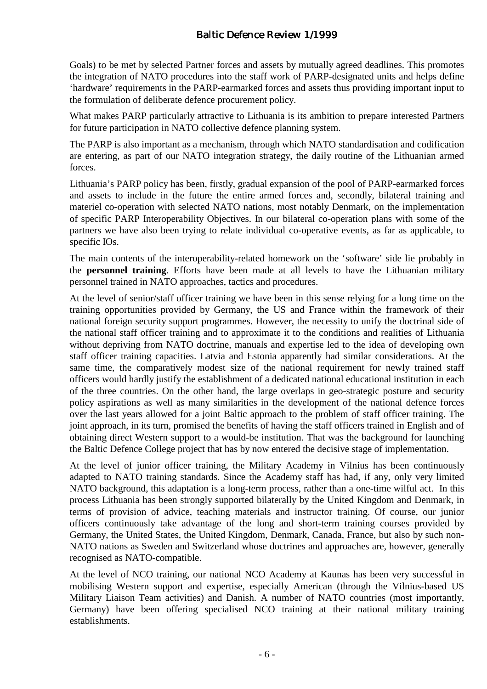Goals) to be met by selected Partner forces and assets by mutually agreed deadlines. This promotes the integration of NATO procedures into the staff work of PARP-designated units and helps define 'hardware' requirements in the PARP-earmarked forces and assets thus providing important input to the formulation of deliberate defence procurement policy.

What makes PARP particularly attractive to Lithuania is its ambition to prepare interested Partners for future participation in NATO collective defence planning system.

The PARP is also important as a mechanism, through which NATO standardisation and codification are entering, as part of our NATO integration strategy, the daily routine of the Lithuanian armed forces.

Lithuania's PARP policy has been, firstly, gradual expansion of the pool of PARP-earmarked forces and assets to include in the future the entire armed forces and, secondly, bilateral training and materiel co-operation with selected NATO nations, most notably Denmark, on the implementation of specific PARP Interoperability Objectives. In our bilateral co-operation plans with some of the partners we have also been trying to relate individual co-operative events, as far as applicable, to specific IOs.

The main contents of the interoperability-related homework on the 'software' side lie probably in the **personnel training**. Efforts have been made at all levels to have the Lithuanian military personnel trained in NATO approaches, tactics and procedures.

At the level of senior/staff officer training we have been in this sense relying for a long time on the training opportunities provided by Germany, the US and France within the framework of their national foreign security support programmes. However, the necessity to unify the doctrinal side of the national staff officer training and to approximate it to the conditions and realities of Lithuania without depriving from NATO doctrine, manuals and expertise led to the idea of developing own staff officer training capacities. Latvia and Estonia apparently had similar considerations. At the same time, the comparatively modest size of the national requirement for newly trained staff officers would hardly justify the establishment of a dedicated national educational institution in each of the three countries. On the other hand, the large overlaps in geo-strategic posture and security policy aspirations as well as many similarities in the development of the national defence forces over the last years allowed for a joint Baltic approach to the problem of staff officer training. The joint approach, in its turn, promised the benefits of having the staff officers trained in English and of obtaining direct Western support to a would-be institution. That was the background for launching the Baltic Defence College project that has by now entered the decisive stage of implementation.

At the level of junior officer training, the Military Academy in Vilnius has been continuously adapted to NATO training standards. Since the Academy staff has had, if any, only very limited NATO background, this adaptation is a long-term process, rather than a one-time wilful act. In this process Lithuania has been strongly supported bilaterally by the United Kingdom and Denmark, in terms of provision of advice, teaching materials and instructor training. Of course, our junior officers continuously take advantage of the long and short-term training courses provided by Germany, the United States, the United Kingdom, Denmark, Canada, France, but also by such non-NATO nations as Sweden and Switzerland whose doctrines and approaches are, however, generally recognised as NATO-compatible.

At the level of NCO training, our national NCO Academy at Kaunas has been very successful in mobilising Western support and expertise, especially American (through the Vilnius-based US Military Liaison Team activities) and Danish. A number of NATO countries (most importantly, Germany) have been offering specialised NCO training at their national military training establishments.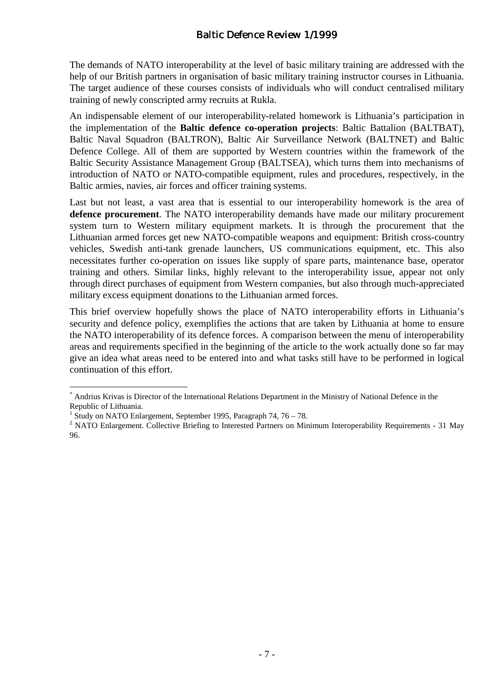<span id="page-65-0"></span>The demands of NATO interoperability at the level of basic military training are addressed with the help of our British partners in organisation of basic military training instructor courses in Lithuania. The target audience of these courses consists of individuals who will conduct centralised military training of newly conscripted army recruits at Rukla.

An indispensable element of our interoperability-related homework is Lithuania's participation in the implementation of the **Baltic defence co-operation projects**: Baltic Battalion (BALTBAT), Baltic Naval Squadron (BALTRON), Baltic Air Surveillance Network (BALTNET) and Baltic Defence College. All of them are supported by Western countries within the framework of the Baltic Security Assistance Management Group (BALTSEA), which turns them into mechanisms of introduction of NATO or NATO-compatible equipment, rules and procedures, respectively, in the Baltic armies, navies, air forces and officer training systems.

Last but not least, a vast area that is essential to our interoperability homework is the area of **defence procurement**. The NATO interoperability demands have made our military procurement system turn to Western military equipment markets. It is through the procurement that the Lithuanian armed forces get new NATO-compatible weapons and equipment: British cross-country vehicles, Swedish anti-tank grenade launchers, US communications equipment, etc. This also necessitates further co-operation on issues like supply of spare parts, maintenance base, operator training and others. Similar links, highly relevant to the interoperability issue, appear not only through direct purchases of equipment from Western companies, but also through much-appreciated military excess equipment donations to the Lithuanian armed forces.

This brief overview hopefully shows the place of NATO interoperability efforts in Lithuania's security and defence policy, exemplifies the actions that are taken by Lithuania at home to ensure the NATO interoperability of its defence forces. A comparison between the menu of interoperability areas and requirements specified in the beginning of the article to the work actually done so far may give an idea what areas need to be entered into and what tasks still have to be performed in logical continuation of this effort.

 $\overline{a}$ 

<sup>\*</sup> Andrius Krivas is Director of the International Relations Department in the Ministry of National Defence in the Republic of Lithuania.

<sup>&</sup>lt;sup>1</sup> Study on NATO Enlargement, September 1995, Paragraph 74, 76 – 78.

 $2$  NATO Enlargement. Collective Briefing to Interested Partners on Minimum Interoperability Requirements - 31 May 96.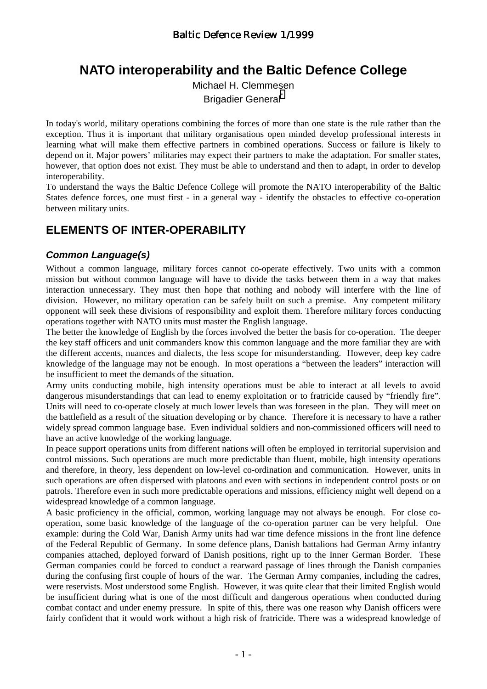# **NATO interoperability and the Baltic Defence College**

Michael H. Clemmesen Brigadier General<sup>[\\*](#page-72-0)</sup>

In today's world, military operations combining the forces of more than one state is the rule rather than the exception. Thus it is important that military organisations open minded develop professional interests in learning what will make them effective partners in combined operations. Success or failure is likely to depend on it. Major powers' militaries may expect their partners to make the adaptation. For smaller states, however, that option does not exist. They must be able to understand and then to adapt, in order to develop interoperability.

To understand the ways the Baltic Defence College will promote the NATO interoperability of the Baltic States defence forces, one must first - in a general way - identify the obstacles to effective co-operation between military units.

# **ELEMENTS OF INTER-OPERABILITY**

# *Common Language(s)*

Without a common language, military forces cannot co-operate effectively. Two units with a common mission but without common language will have to divide the tasks between them in a way that makes interaction unnecessary. They must then hope that nothing and nobody will interfere with the line of division. However, no military operation can be safely built on such a premise. Any competent military opponent will seek these divisions of responsibility and exploit them. Therefore military forces conducting operations together with NATO units must master the English language.

The better the knowledge of English by the forces involved the better the basis for co-operation. The deeper the key staff officers and unit commanders know this common language and the more familiar they are with the different accents, nuances and dialects, the less scope for misunderstanding. However, deep key cadre knowledge of the language may not be enough. In most operations a "between the leaders" interaction will be insufficient to meet the demands of the situation.

Army units conducting mobile, high intensity operations must be able to interact at all levels to avoid dangerous misunderstandings that can lead to enemy exploitation or to fratricide caused by "friendly fire". Units will need to co-operate closely at much lower levels than was foreseen in the plan. They will meet on the battlefield as a result of the situation developing or by chance. Therefore it is necessary to have a rather widely spread common language base. Even individual soldiers and non-commissioned officers will need to have an active knowledge of the working language.

In peace support operations units from different nations will often be employed in territorial supervision and control missions. Such operations are much more predictable than fluent, mobile, high intensity operations and therefore, in theory, less dependent on low-level co-ordination and communication. However, units in such operations are often dispersed with platoons and even with sections in independent control posts or on patrols. Therefore even in such more predictable operations and missions, efficiency might well depend on a widespread knowledge of a common language.

A basic proficiency in the official, common, working language may not always be enough. For close cooperation, some basic knowledge of the language of the co-operation partner can be very helpful. One example: during the Cold War, Danish Army units had war time defence missions in the front line defence of the Federal Republic of Germany. In some defence plans, Danish battalions had German Army infantry companies attached, deployed forward of Danish positions, right up to the Inner German Border. These German companies could be forced to conduct a rearward passage of lines through the Danish companies during the confusing first couple of hours of the war. The German Army companies, including the cadres, were reservists. Most understood some English. However, it was quite clear that their limited English would be insufficient during what is one of the most difficult and dangerous operations when conducted during combat contact and under enemy pressure. In spite of this, there was one reason why Danish officers were fairly confident that it would work without a high risk of fratricide. There was a widespread knowledge of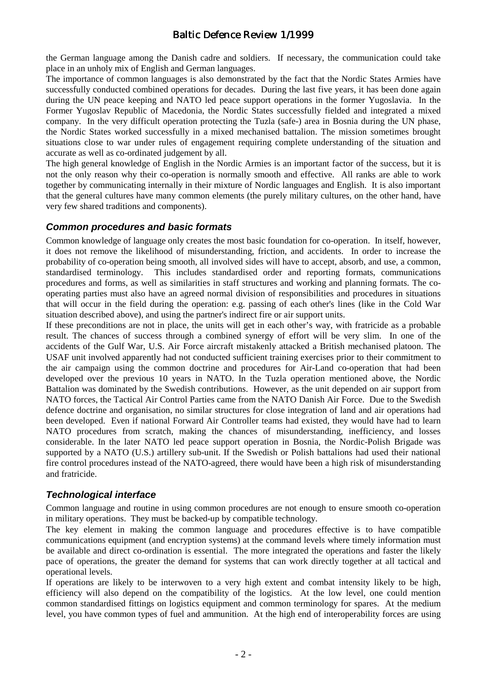the German language among the Danish cadre and soldiers. If necessary, the communication could take place in an unholy mix of English and German languages.

The importance of common languages is also demonstrated by the fact that the Nordic States Armies have successfully conducted combined operations for decades. During the last five years, it has been done again during the UN peace keeping and NATO led peace support operations in the former Yugoslavia. In the Former Yugoslav Republic of Macedonia, the Nordic States successfully fielded and integrated a mixed company. In the very difficult operation protecting the Tuzla (safe-) area in Bosnia during the UN phase, the Nordic States worked successfully in a mixed mechanised battalion. The mission sometimes brought situations close to war under rules of engagement requiring complete understanding of the situation and accurate as well as co-ordinated judgement by all.

The high general knowledge of English in the Nordic Armies is an important factor of the success, but it is not the only reason why their co-operation is normally smooth and effective. All ranks are able to work together by communicating internally in their mixture of Nordic languages and English. It is also important that the general cultures have many common elements (the purely military cultures, on the other hand, have very few shared traditions and components).

#### *Common procedures and basic formats*

Common knowledge of language only creates the most basic foundation for co-operation. In itself, however, it does not remove the likelihood of misunderstanding, friction, and accidents. In order to increase the probability of co-operation being smooth, all involved sides will have to accept, absorb, and use, a common, standardised terminology. This includes standardised order and reporting formats, communications procedures and forms, as well as similarities in staff structures and working and planning formats. The cooperating parties must also have an agreed normal division of responsibilities and procedures in situations that will occur in the field during the operation: e.g. passing of each other's lines (like in the Cold War situation described above), and using the partner's indirect fire or air support units.

If these preconditions are not in place, the units will get in each other's way, with fratricide as a probable result. The chances of success through a combined synergy of effort will be very slim. In one of the accidents of the Gulf War, U.S. Air Force aircraft mistakenly attacked a British mechanised platoon. The USAF unit involved apparently had not conducted sufficient training exercises prior to their commitment to the air campaign using the common doctrine and procedures for Air-Land co-operation that had been developed over the previous 10 years in NATO. In the Tuzla operation mentioned above, the Nordic Battalion was dominated by the Swedish contributions. However, as the unit depended on air support from NATO forces, the Tactical Air Control Parties came from the NATO Danish Air Force. Due to the Swedish defence doctrine and organisation, no similar structures for close integration of land and air operations had been developed. Even if national Forward Air Controller teams had existed, they would have had to learn NATO procedures from scratch, making the chances of misunderstanding, inefficiency, and losses considerable. In the later NATO led peace support operation in Bosnia, the Nordic-Polish Brigade was supported by a NATO (U.S.) artillery sub-unit. If the Swedish or Polish battalions had used their national fire control procedures instead of the NATO-agreed, there would have been a high risk of misunderstanding and fratricide.

### *Technological interface*

Common language and routine in using common procedures are not enough to ensure smooth co-operation in military operations. They must be backed-up by compatible technology.

The key element in making the common language and procedures effective is to have compatible communications equipment (and encryption systems) at the command levels where timely information must be available and direct co-ordination is essential. The more integrated the operations and faster the likely pace of operations, the greater the demand for systems that can work directly together at all tactical and operational levels.

If operations are likely to be interwoven to a very high extent and combat intensity likely to be high, efficiency will also depend on the compatibility of the logistics. At the low level, one could mention common standardised fittings on logistics equipment and common terminology for spares. At the medium level, you have common types of fuel and ammunition. At the high end of interoperability forces are using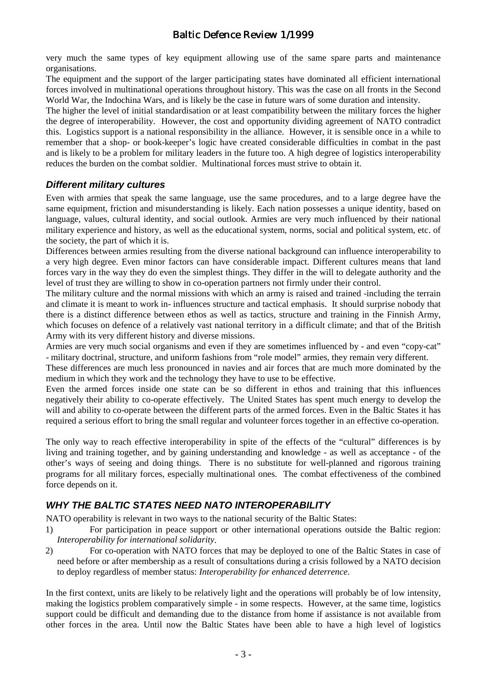very much the same types of key equipment allowing use of the same spare parts and maintenance organisations.

The equipment and the support of the larger participating states have dominated all efficient international forces involved in multinational operations throughout history. This was the case on all fronts in the Second World War, the Indochina Wars, and is likely be the case in future wars of some duration and intensity.

The higher the level of initial standardisation or at least compatibility between the military forces the higher the degree of interoperability. However, the cost and opportunity dividing agreement of NATO contradict this. Logistics support is a national responsibility in the alliance. However, it is sensible once in a while to remember that a shop- or book-keeper's logic have created considerable difficulties in combat in the past and is likely to be a problem for military leaders in the future too. A high degree of logistics interoperability reduces the burden on the combat soldier. Multinational forces must strive to obtain it.

### *Different military cultures*

Even with armies that speak the same language, use the same procedures, and to a large degree have the same equipment, friction and misunderstanding is likely. Each nation possesses a unique identity, based on language, values, cultural identity, and social outlook. Armies are very much influenced by their national military experience and history, as well as the educational system, norms, social and political system, etc. of the society, the part of which it is.

Differences between armies resulting from the diverse national background can influence interoperability to a very high degree. Even minor factors can have considerable impact. Different cultures means that land forces vary in the way they do even the simplest things. They differ in the will to delegate authority and the level of trust they are willing to show in co-operation partners not firmly under their control.

The military culture and the normal missions with which an army is raised and trained -including the terrain and climate it is meant to work in- influences structure and tactical emphasis. It should surprise nobody that there is a distinct difference between ethos as well as tactics, structure and training in the Finnish Army, which focuses on defence of a relatively vast national territory in a difficult climate; and that of the British Army with its very different history and diverse missions.

Armies are very much social organisms and even if they are sometimes influenced by - and even "copy-cat" - military doctrinal, structure, and uniform fashions from "role model" armies, they remain very different.

These differences are much less pronounced in navies and air forces that are much more dominated by the medium in which they work and the technology they have to use to be effective.

Even the armed forces inside one state can be so different in ethos and training that this influences negatively their ability to co-operate effectively. The United States has spent much energy to develop the will and ability to co-operate between the different parts of the armed forces. Even in the Baltic States it has required a serious effort to bring the small regular and volunteer forces together in an effective co-operation.

The only way to reach effective interoperability in spite of the effects of the "cultural" differences is by living and training together, and by gaining understanding and knowledge - as well as acceptance - of the other's ways of seeing and doing things. There is no substitute for well-planned and rigorous training programs for all military forces, especially multinational ones. The combat effectiveness of the combined force depends on it.

### *WHY THE BALTIC STATES NEED NATO INTEROPERABILITY*

NATO operability is relevant in two ways to the national security of the Baltic States:

- 1) For participation in peace support or other international operations outside the Baltic region: *Interoperability for international solidarity*.
- 2) For co-operation with NATO forces that may be deployed to one of the Baltic States in case of need before or after membership as a result of consultations during a crisis followed by a NATO decision to deploy regardless of member status: *Interoperability for enhanced deterrence*.

In the first context, units are likely to be relatively light and the operations will probably be of low intensity, making the logistics problem comparatively simple - in some respects. However, at the same time, logistics support could be difficult and demanding due to the distance from home if assistance is not available from other forces in the area. Until now the Baltic States have been able to have a high level of logistics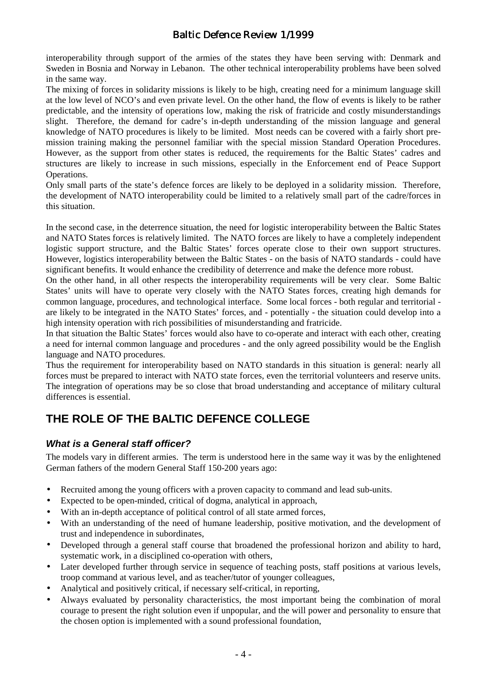interoperability through support of the armies of the states they have been serving with: Denmark and Sweden in Bosnia and Norway in Lebanon. The other technical interoperability problems have been solved in the same way.

The mixing of forces in solidarity missions is likely to be high, creating need for a minimum language skill at the low level of NCO's and even private level. On the other hand, the flow of events is likely to be rather predictable, and the intensity of operations low, making the risk of fratricide and costly misunderstandings slight. Therefore, the demand for cadre's in-depth understanding of the mission language and general knowledge of NATO procedures is likely to be limited. Most needs can be covered with a fairly short premission training making the personnel familiar with the special mission Standard Operation Procedures. However, as the support from other states is reduced, the requirements for the Baltic States' cadres and structures are likely to increase in such missions, especially in the Enforcement end of Peace Support Operations.

Only small parts of the state's defence forces are likely to be deployed in a solidarity mission. Therefore, the development of NATO interoperability could be limited to a relatively small part of the cadre/forces in this situation.

In the second case, in the deterrence situation, the need for logistic interoperability between the Baltic States and NATO States forces is relatively limited. The NATO forces are likely to have a completely independent logistic support structure, and the Baltic States' forces operate close to their own support structures. However, logistics interoperability between the Baltic States - on the basis of NATO standards - could have significant benefits. It would enhance the credibility of deterrence and make the defence more robust.

On the other hand, in all other respects the interoperability requirements will be very clear. Some Baltic States' units will have to operate very closely with the NATO States forces, creating high demands for common language, procedures, and technological interface. Some local forces - both regular and territorial are likely to be integrated in the NATO States' forces, and - potentially - the situation could develop into a high intensity operation with rich possibilities of misunderstanding and fratricide.

In that situation the Baltic States' forces would also have to co-operate and interact with each other, creating a need for internal common language and procedures - and the only agreed possibility would be the English language and NATO procedures.

Thus the requirement for interoperability based on NATO standards in this situation is general: nearly all forces must be prepared to interact with NATO state forces, even the territorial volunteers and reserve units. The integration of operations may be so close that broad understanding and acceptance of military cultural differences is essential.

# **THE ROLE OF THE BALTIC DEFENCE COLLEGE**

# *What is a General staff officer?*

The models vary in different armies. The term is understood here in the same way it was by the enlightened German fathers of the modern General Staff 150-200 years ago:

- Recruited among the young officers with a proven capacity to command and lead sub-units.
- Expected to be open-minded, critical of dogma, analytical in approach,
- With an in-depth acceptance of political control of all state armed forces,
- With an understanding of the need of humane leadership, positive motivation, and the development of trust and independence in subordinates,
- Developed through a general staff course that broadened the professional horizon and ability to hard, systematic work, in a disciplined co-operation with others,
- Later developed further through service in sequence of teaching posts, staff positions at various levels, troop command at various level, and as teacher/tutor of younger colleagues,
- Analytical and positively critical, if necessary self-critical, in reporting,
- Always evaluated by personality characteristics, the most important being the combination of moral courage to present the right solution even if unpopular, and the will power and personality to ensure that the chosen option is implemented with a sound professional foundation,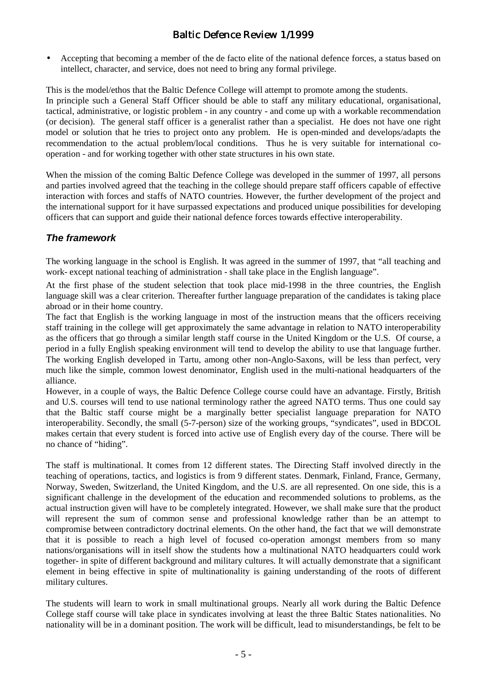• Accepting that becoming a member of the de facto elite of the national defence forces, a status based on intellect, character, and service, does not need to bring any formal privilege.

This is the model/ethos that the Baltic Defence College will attempt to promote among the students. In principle such a General Staff Officer should be able to staff any military educational, organisational, tactical, administrative, or logistic problem - in any country - and come up with a workable recommendation (or decision). The general staff officer is a generalist rather than a specialist. He does not have one right model or solution that he tries to project onto any problem. He is open-minded and develops/adapts the recommendation to the actual problem/local conditions. Thus he is very suitable for international cooperation - and for working together with other state structures in his own state.

When the mission of the coming Baltic Defence College was developed in the summer of 1997, all persons and parties involved agreed that the teaching in the college should prepare staff officers capable of effective interaction with forces and staffs of NATO countries. However, the further development of the project and the international support for it have surpassed expectations and produced unique possibilities for developing officers that can support and guide their national defence forces towards effective interoperability.

# *The framework*

The working language in the school is English. It was agreed in the summer of 1997, that "all teaching and work- except national teaching of administration - shall take place in the English language".

At the first phase of the student selection that took place mid-1998 in the three countries, the English language skill was a clear criterion. Thereafter further language preparation of the candidates is taking place abroad or in their home country.

The fact that English is the working language in most of the instruction means that the officers receiving staff training in the college will get approximately the same advantage in relation to NATO interoperability as the officers that go through a similar length staff course in the United Kingdom or the U.S. Of course, a period in a fully English speaking environment will tend to develop the ability to use that language further. The working English developed in Tartu, among other non-Anglo-Saxons, will be less than perfect, very much like the simple, common lowest denominator, English used in the multi-national headquarters of the alliance.

However, in a couple of ways, the Baltic Defence College course could have an advantage. Firstly, British and U.S. courses will tend to use national terminology rather the agreed NATO terms. Thus one could say that the Baltic staff course might be a marginally better specialist language preparation for NATO interoperability. Secondly, the small (5-7-person) size of the working groups, "syndicates", used in BDCOL makes certain that every student is forced into active use of English every day of the course. There will be no chance of "hiding".

The staff is multinational. It comes from 12 different states. The Directing Staff involved directly in the teaching of operations, tactics, and logistics is from 9 different states. Denmark, Finland, France, Germany, Norway, Sweden, Switzerland, the United Kingdom, and the U.S. are all represented. On one side, this is a significant challenge in the development of the education and recommended solutions to problems, as the actual instruction given will have to be completely integrated. However, we shall make sure that the product will represent the sum of common sense and professional knowledge rather than be an attempt to compromise between contradictory doctrinal elements. On the other hand, the fact that we will demonstrate that it is possible to reach a high level of focused co-operation amongst members from so many nations/organisations will in itself show the students how a multinational NATO headquarters could work together- in spite of different background and military cultures. It will actually demonstrate that a significant element in being effective in spite of multinationality is gaining understanding of the roots of different military cultures.

The students will learn to work in small multinational groups. Nearly all work during the Baltic Defence College staff course will take place in syndicates involving at least the three Baltic States nationalities. No nationality will be in a dominant position. The work will be difficult, lead to misunderstandings, be felt to be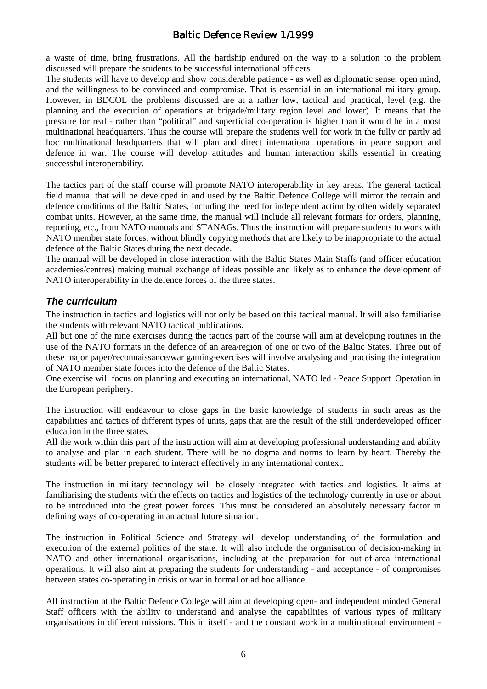a waste of time, bring frustrations. All the hardship endured on the way to a solution to the problem discussed will prepare the students to be successful international officers.

The students will have to develop and show considerable patience - as well as diplomatic sense, open mind, and the willingness to be convinced and compromise. That is essential in an international military group. However, in BDCOL the problems discussed are at a rather low, tactical and practical, level (e.g. the planning and the execution of operations at brigade/military region level and lower). It means that the pressure for real - rather than "political" and superficial co-operation is higher than it would be in a most multinational headquarters. Thus the course will prepare the students well for work in the fully or partly ad hoc multinational headquarters that will plan and direct international operations in peace support and defence in war. The course will develop attitudes and human interaction skills essential in creating successful interoperability.

The tactics part of the staff course will promote NATO interoperability in key areas. The general tactical field manual that will be developed in and used by the Baltic Defence College will mirror the terrain and defence conditions of the Baltic States, including the need for independent action by often widely separated combat units. However, at the same time, the manual will include all relevant formats for orders, planning, reporting, etc., from NATO manuals and STANAGs. Thus the instruction will prepare students to work with NATO member state forces, without blindly copying methods that are likely to be inappropriate to the actual defence of the Baltic States during the next decade.

The manual will be developed in close interaction with the Baltic States Main Staffs (and officer education academies/centres) making mutual exchange of ideas possible and likely as to enhance the development of NATO interoperability in the defence forces of the three states.

#### *The curriculum*

The instruction in tactics and logistics will not only be based on this tactical manual. It will also familiarise the students with relevant NATO tactical publications.

All but one of the nine exercises during the tactics part of the course will aim at developing routines in the use of the NATO formats in the defence of an area/region of one or two of the Baltic States. Three out of these major paper/reconnaissance/war gaming-exercises will involve analysing and practising the integration of NATO member state forces into the defence of the Baltic States.

One exercise will focus on planning and executing an international, NATO led - Peace Support Operation in the European periphery.

The instruction will endeavour to close gaps in the basic knowledge of students in such areas as the capabilities and tactics of different types of units, gaps that are the result of the still underdeveloped officer education in the three states.

All the work within this part of the instruction will aim at developing professional understanding and ability to analyse and plan in each student. There will be no dogma and norms to learn by heart. Thereby the students will be better prepared to interact effectively in any international context.

The instruction in military technology will be closely integrated with tactics and logistics. It aims at familiarising the students with the effects on tactics and logistics of the technology currently in use or about to be introduced into the great power forces. This must be considered an absolutely necessary factor in defining ways of co-operating in an actual future situation.

The instruction in Political Science and Strategy will develop understanding of the formulation and execution of the external politics of the state. It will also include the organisation of decision-making in NATO and other international organisations, including at the preparation for out-of-area international operations. It will also aim at preparing the students for understanding - and acceptance - of compromises between states co-operating in crisis or war in formal or ad hoc alliance.

All instruction at the Baltic Defence College will aim at developing open- and independent minded General Staff officers with the ability to understand and analyse the capabilities of various types of military organisations in different missions. This in itself - and the constant work in a multinational environment -